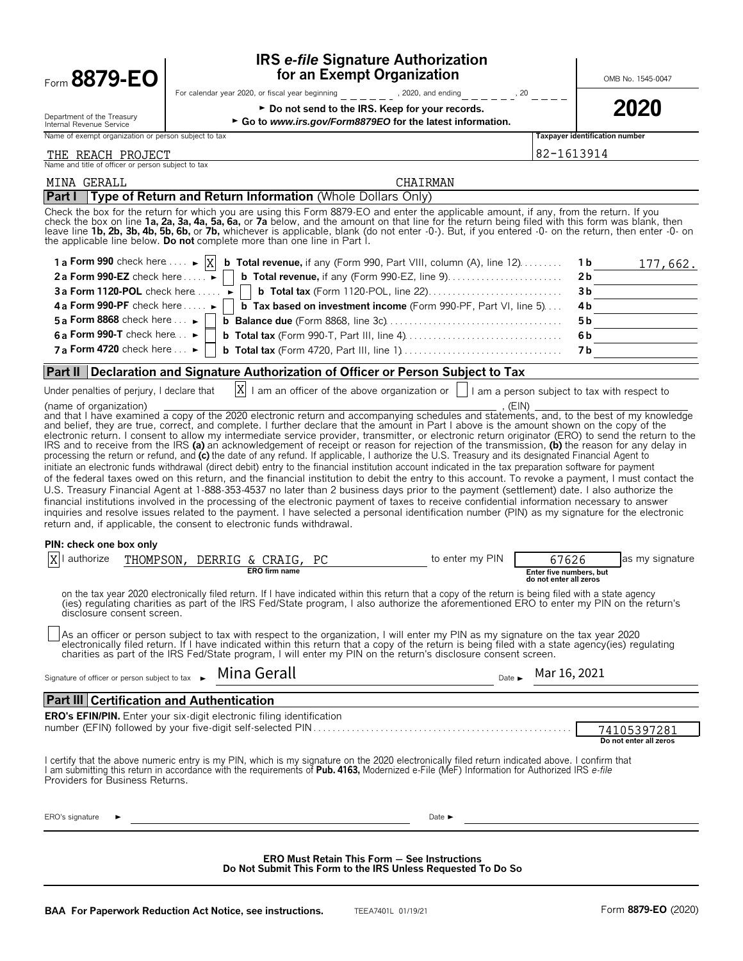| Form 8879-EO                                                                                                                           | <b>IRS e-file Signature Authorization</b><br>for an Exempt Organization                                                                                                                                                                                                                                                                                                                                                                                                                                                                                                                                                                                                                                                                                                                                                                                                                                                                                                                                                                                                                                                                                                                                                                                                                                                                                                                                                                                                                                                                                                                                                                                                                                                                                                                                                                                                                                                                                                                                                                                                                                                                                                                                                                                                                                                                                                                                                             |                                                                            | OMB No. 1545-0047                     |
|----------------------------------------------------------------------------------------------------------------------------------------|-------------------------------------------------------------------------------------------------------------------------------------------------------------------------------------------------------------------------------------------------------------------------------------------------------------------------------------------------------------------------------------------------------------------------------------------------------------------------------------------------------------------------------------------------------------------------------------------------------------------------------------------------------------------------------------------------------------------------------------------------------------------------------------------------------------------------------------------------------------------------------------------------------------------------------------------------------------------------------------------------------------------------------------------------------------------------------------------------------------------------------------------------------------------------------------------------------------------------------------------------------------------------------------------------------------------------------------------------------------------------------------------------------------------------------------------------------------------------------------------------------------------------------------------------------------------------------------------------------------------------------------------------------------------------------------------------------------------------------------------------------------------------------------------------------------------------------------------------------------------------------------------------------------------------------------------------------------------------------------------------------------------------------------------------------------------------------------------------------------------------------------------------------------------------------------------------------------------------------------------------------------------------------------------------------------------------------------------------------------------------------------------------------------------------------------|----------------------------------------------------------------------------|---------------------------------------|
|                                                                                                                                        | For calendar year 2020, or fiscal year beginning For calendar year 2020, and ending<br>, 20                                                                                                                                                                                                                                                                                                                                                                                                                                                                                                                                                                                                                                                                                                                                                                                                                                                                                                                                                                                                                                                                                                                                                                                                                                                                                                                                                                                                                                                                                                                                                                                                                                                                                                                                                                                                                                                                                                                                                                                                                                                                                                                                                                                                                                                                                                                                         |                                                                            |                                       |
| Department of the Treasury<br>Internal Revenue Service                                                                                 | Do not send to the IRS. Keep for your records.<br>► Go to www.irs.gov/Form8879EO for the latest information.                                                                                                                                                                                                                                                                                                                                                                                                                                                                                                                                                                                                                                                                                                                                                                                                                                                                                                                                                                                                                                                                                                                                                                                                                                                                                                                                                                                                                                                                                                                                                                                                                                                                                                                                                                                                                                                                                                                                                                                                                                                                                                                                                                                                                                                                                                                        |                                                                            | 2020                                  |
| Name of exempt organization or person subject to tax                                                                                   |                                                                                                                                                                                                                                                                                                                                                                                                                                                                                                                                                                                                                                                                                                                                                                                                                                                                                                                                                                                                                                                                                                                                                                                                                                                                                                                                                                                                                                                                                                                                                                                                                                                                                                                                                                                                                                                                                                                                                                                                                                                                                                                                                                                                                                                                                                                                                                                                                                     |                                                                            | <b>Taxpayer identification number</b> |
| THE REACH PROJECT<br>Name and title of officer or person subject to tax                                                                |                                                                                                                                                                                                                                                                                                                                                                                                                                                                                                                                                                                                                                                                                                                                                                                                                                                                                                                                                                                                                                                                                                                                                                                                                                                                                                                                                                                                                                                                                                                                                                                                                                                                                                                                                                                                                                                                                                                                                                                                                                                                                                                                                                                                                                                                                                                                                                                                                                     | 82-1613914                                                                 |                                       |
| MINA GERALL                                                                                                                            | CHAIRMAN                                                                                                                                                                                                                                                                                                                                                                                                                                                                                                                                                                                                                                                                                                                                                                                                                                                                                                                                                                                                                                                                                                                                                                                                                                                                                                                                                                                                                                                                                                                                                                                                                                                                                                                                                                                                                                                                                                                                                                                                                                                                                                                                                                                                                                                                                                                                                                                                                            |                                                                            |                                       |
| Part I                                                                                                                                 | Type of Return and Return Information (Whole Dollars Only)                                                                                                                                                                                                                                                                                                                                                                                                                                                                                                                                                                                                                                                                                                                                                                                                                                                                                                                                                                                                                                                                                                                                                                                                                                                                                                                                                                                                                                                                                                                                                                                                                                                                                                                                                                                                                                                                                                                                                                                                                                                                                                                                                                                                                                                                                                                                                                          |                                                                            |                                       |
|                                                                                                                                        | Check the box for the return for which you are using this Form 8879-EO and enter the applicable amount, if any, from the return. If you<br>check the box on line 1a, 2a, 3a, 4a, 5a, 6a, or 7a below, and the amount on that line for the return being filed with this form was blank, then<br>leave line 1b, 2b, 3b, 4b, 5b, 6b, or 7b, whichever is applicable, blank (do not enter -0-). But, if you entered -0- on the return, then enter -0- on<br>the applicable line below. Do not complete more than one line in Part I.                                                                                                                                                                                                                                                                                                                                                                                                                                                                                                                                                                                                                                                                                                                                                                                                                                                                                                                                                                                                                                                                                                                                                                                                                                                                                                                                                                                                                                                                                                                                                                                                                                                                                                                                                                                                                                                                                                    |                                                                            |                                       |
| 1 a Form 990 check here $\ldots$ $\triangleright$ $ X $                                                                                | <b>b Total revenue,</b> if any (Form 990, Part VIII, column (A), line 12)                                                                                                                                                                                                                                                                                                                                                                                                                                                                                                                                                                                                                                                                                                                                                                                                                                                                                                                                                                                                                                                                                                                                                                                                                                                                                                                                                                                                                                                                                                                                                                                                                                                                                                                                                                                                                                                                                                                                                                                                                                                                                                                                                                                                                                                                                                                                                           |                                                                            | 1 b<br>177,662.                       |
| 2a Form 990-EZ check here $\dots$                                                                                                      |                                                                                                                                                                                                                                                                                                                                                                                                                                                                                                                                                                                                                                                                                                                                                                                                                                                                                                                                                                                                                                                                                                                                                                                                                                                                                                                                                                                                                                                                                                                                                                                                                                                                                                                                                                                                                                                                                                                                                                                                                                                                                                                                                                                                                                                                                                                                                                                                                                     |                                                                            | 2b                                    |
| 3a Form 1120-POL check here  ►                                                                                                         |                                                                                                                                                                                                                                                                                                                                                                                                                                                                                                                                                                                                                                                                                                                                                                                                                                                                                                                                                                                                                                                                                                                                                                                                                                                                                                                                                                                                                                                                                                                                                                                                                                                                                                                                                                                                                                                                                                                                                                                                                                                                                                                                                                                                                                                                                                                                                                                                                                     |                                                                            | 3b                                    |
| 4 a Form 990-PF check here $\dots \rightarrow$                                                                                         | <b>b</b> Tax based on investment income (Form 990-PF, Part VI, line 5)                                                                                                                                                                                                                                                                                                                                                                                                                                                                                                                                                                                                                                                                                                                                                                                                                                                                                                                                                                                                                                                                                                                                                                                                                                                                                                                                                                                                                                                                                                                                                                                                                                                                                                                                                                                                                                                                                                                                                                                                                                                                                                                                                                                                                                                                                                                                                              |                                                                            | 4b                                    |
| 5 a Form 8868 check here $\ldots \blacktriangleright$                                                                                  |                                                                                                                                                                                                                                                                                                                                                                                                                                                                                                                                                                                                                                                                                                                                                                                                                                                                                                                                                                                                                                                                                                                                                                                                                                                                                                                                                                                                                                                                                                                                                                                                                                                                                                                                                                                                                                                                                                                                                                                                                                                                                                                                                                                                                                                                                                                                                                                                                                     |                                                                            | 5 b                                   |
| 6 a Form 990-T check here $\ldots$                                                                                                     | <b>b</b> Total tax (Form 990-T, Part III, line 4) $\ldots$ $\ldots$ $\ldots$ $\ldots$ $\ldots$ $\ldots$                                                                                                                                                                                                                                                                                                                                                                                                                                                                                                                                                                                                                                                                                                                                                                                                                                                                                                                                                                                                                                                                                                                                                                                                                                                                                                                                                                                                                                                                                                                                                                                                                                                                                                                                                                                                                                                                                                                                                                                                                                                                                                                                                                                                                                                                                                                             |                                                                            | 6b                                    |
| 7 a Form 4720 check here $\ldots$                                                                                                      |                                                                                                                                                                                                                                                                                                                                                                                                                                                                                                                                                                                                                                                                                                                                                                                                                                                                                                                                                                                                                                                                                                                                                                                                                                                                                                                                                                                                                                                                                                                                                                                                                                                                                                                                                                                                                                                                                                                                                                                                                                                                                                                                                                                                                                                                                                                                                                                                                                     |                                                                            | 7 b                                   |
|                                                                                                                                        | Part II Declaration and Signature Authorization of Officer or Person Subject to Tax                                                                                                                                                                                                                                                                                                                                                                                                                                                                                                                                                                                                                                                                                                                                                                                                                                                                                                                                                                                                                                                                                                                                                                                                                                                                                                                                                                                                                                                                                                                                                                                                                                                                                                                                                                                                                                                                                                                                                                                                                                                                                                                                                                                                                                                                                                                                                 |                                                                            |                                       |
| Under penalties of periury. I declare that                                                                                             | X<br>I am an officer of the above organization or       am a person subject to tax with respect to                                                                                                                                                                                                                                                                                                                                                                                                                                                                                                                                                                                                                                                                                                                                                                                                                                                                                                                                                                                                                                                                                                                                                                                                                                                                                                                                                                                                                                                                                                                                                                                                                                                                                                                                                                                                                                                                                                                                                                                                                                                                                                                                                                                                                                                                                                                                  |                                                                            |                                       |
| PIN: check one box only<br>X   authorize<br>THOMPSON,<br>disclosure consent screen.<br>Signature of officer or person subject to tax ► | and that I have examined a copy of the 2020 electronic return and accompanying schedules and statements, and, to the best of my knowledge<br>and belief, they are true, correct, and complete. I further declare that the amount in Part I above is the amount shown on the copy of the<br>electronic return. I consent to allow my intermediate service provider, transmitter, or electronic return originator (ERO) to send the return to the<br>IRS and to receive from the IRS (a) an acknowledgement of receipt or reason for rejection of the transmission, (b) the reason for any delay in<br>processing the return or refund, and (c) the date of any refund. If applicable, I authorize the U.S. Treasury and its designated Financial Agent to<br>initiate an electronic funds withdrawal (direct debit) entry to the financial institution account indicated in the tax preparation software for payment<br>of the federal taxes owed on this return, and the financial institution to debit the entry to this account. To revoke a payment, I must contact the<br>U.S. Treasury Financial Agent at 1-888-353-4537 no later than 2 business days prior to the payment (settlement) date. I also authorize the<br>financial institutions involved in the processing of the electronic payment of taxes to receive confidential information necessary to answer<br>inquiries and resolve issues related to the payment. I have selected a personal identification number (PIN) as my signature for the electronic<br>return and, if applicable, the consent to electronic funds withdrawal.<br>to enter my PIN<br>DERRIG<br>& CRAIG.<br><b>ERO</b> firm name<br>on the tax year 2020 electronically filed return. If I have indicated within this return that a copy of the return is being filed with a state agency<br>(ies) requiating charities as part of the IRS Fed/State program, I also authorize the aforementioned ERO to enter my PIN on the return's<br>As an officer or person subject to tax with respect to the organization, I will enter my PIN as my signature on the tax year 2020<br>electronically filed return. If I have indicated within this return that a copy of the return is being filed with a state agency (ies) regulating<br>charities as part of the IRS Fed/State program, I will enter my PIN on the return's disclosure consent screen.<br>Mina Gerall<br>Date $\blacktriangleright$ | 67626<br>Enter five numbers, but<br>do not enter all zeros<br>Mar 16, 2021 | as my signature                       |
| Part III Certification and Authentication                                                                                              |                                                                                                                                                                                                                                                                                                                                                                                                                                                                                                                                                                                                                                                                                                                                                                                                                                                                                                                                                                                                                                                                                                                                                                                                                                                                                                                                                                                                                                                                                                                                                                                                                                                                                                                                                                                                                                                                                                                                                                                                                                                                                                                                                                                                                                                                                                                                                                                                                                     |                                                                            |                                       |
|                                                                                                                                        | <b>ERO's EFIN/PIN.</b> Enter your six-digit electronic filing identification                                                                                                                                                                                                                                                                                                                                                                                                                                                                                                                                                                                                                                                                                                                                                                                                                                                                                                                                                                                                                                                                                                                                                                                                                                                                                                                                                                                                                                                                                                                                                                                                                                                                                                                                                                                                                                                                                                                                                                                                                                                                                                                                                                                                                                                                                                                                                        |                                                                            |                                       |
|                                                                                                                                        |                                                                                                                                                                                                                                                                                                                                                                                                                                                                                                                                                                                                                                                                                                                                                                                                                                                                                                                                                                                                                                                                                                                                                                                                                                                                                                                                                                                                                                                                                                                                                                                                                                                                                                                                                                                                                                                                                                                                                                                                                                                                                                                                                                                                                                                                                                                                                                                                                                     |                                                                            | 74105397281<br>Do not enter all zeros |
| Providers for Business Returns.                                                                                                        | I certify that the above numeric entry is my PIN, which is my signature on the 2020 electronically filed return indicated above. I confirm that<br>am submitting this return in accordance with the requirements of Pub. 4163, Modernized e-File (MeF) Information for Authorized IRS e-file                                                                                                                                                                                                                                                                                                                                                                                                                                                                                                                                                                                                                                                                                                                                                                                                                                                                                                                                                                                                                                                                                                                                                                                                                                                                                                                                                                                                                                                                                                                                                                                                                                                                                                                                                                                                                                                                                                                                                                                                                                                                                                                                        |                                                                            |                                       |
| ERO's signature                                                                                                                        | Date $\blacktriangleright$                                                                                                                                                                                                                                                                                                                                                                                                                                                                                                                                                                                                                                                                                                                                                                                                                                                                                                                                                                                                                                                                                                                                                                                                                                                                                                                                                                                                                                                                                                                                                                                                                                                                                                                                                                                                                                                                                                                                                                                                                                                                                                                                                                                                                                                                                                                                                                                                          |                                                                            |                                       |
|                                                                                                                                        | <b>ERO Must Retain This Form - See Instructions</b><br>Do Not Submit This Form to the IRS Unless Requested To Do So                                                                                                                                                                                                                                                                                                                                                                                                                                                                                                                                                                                                                                                                                                                                                                                                                                                                                                                                                                                                                                                                                                                                                                                                                                                                                                                                                                                                                                                                                                                                                                                                                                                                                                                                                                                                                                                                                                                                                                                                                                                                                                                                                                                                                                                                                                                 |                                                                            |                                       |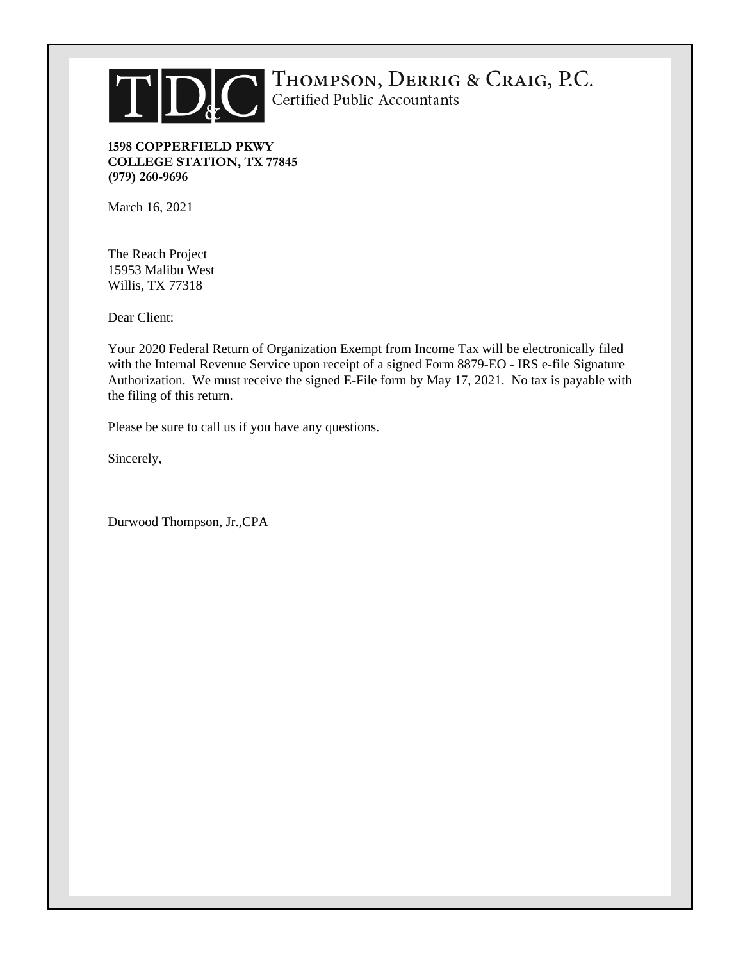

# **CEL THOMPSON, DERRIG & CRAIG, P.C.**<br>Certified Public Accountants

**1598 COPPERFIELD PKWY COLLEGE STATION, TX 77845 (979) 260-9696**

March 16, 2021

The Reach Project 15953 Malibu West Willis, TX 77318

Dear Client:

Your 2020 Federal Return of Organization Exempt from Income Tax will be electronically filed with the Internal Revenue Service upon receipt of a signed Form 8879-EO - IRS e-file Signature Authorization. We must receive the signed E-File form by May 17, 2021. No tax is payable with the filing of this return.

Please be sure to call us if you have any questions.

Sincerely,

Durwood Thompson, Jr.,CPA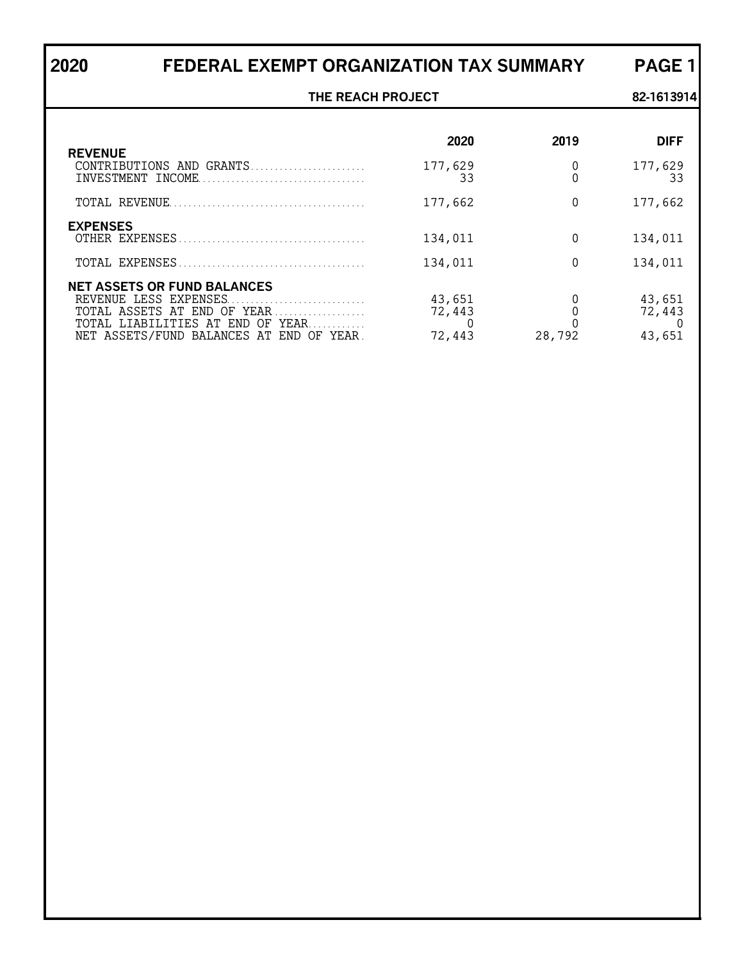| 2020                                                         | FEDERAL EXEMPT ORGANIZATION TAX SUMMARY                         |                  |               | <b>PAGE 1</b>    |
|--------------------------------------------------------------|-----------------------------------------------------------------|------------------|---------------|------------------|
|                                                              | THE REACH PROJECT                                               |                  |               | 82-1613914       |
|                                                              |                                                                 | 2020             | 2019          | <b>DIFF</b>      |
| <b>REVENUE</b>                                               | CONTRIBUTIONS AND GRANTS                                        | 177,629<br>33    | 0<br>$\Omega$ | 177,629<br>33    |
|                                                              |                                                                 | 177,662          | 0             | 177,662          |
| <b>EXPENSES</b>                                              |                                                                 | 134,011          | $\Omega$      | 134,011          |
|                                                              |                                                                 | 134,011          | 0             | 134,011          |
| <b>NET ASSETS OR FUND BALANCES</b><br>REVENUE LESS EXPENSES. | TOTAL ASSETS AT END OF YEAR<br>TOTAL LIABILITIES AT END OF YEAR | 43,651<br>72,443 |               | 43,651<br>72,443 |
|                                                              | NET ASSETS/FUND BALANCES AT END OF YEAR.                        | 72,443           | 28,792        | 43,651           |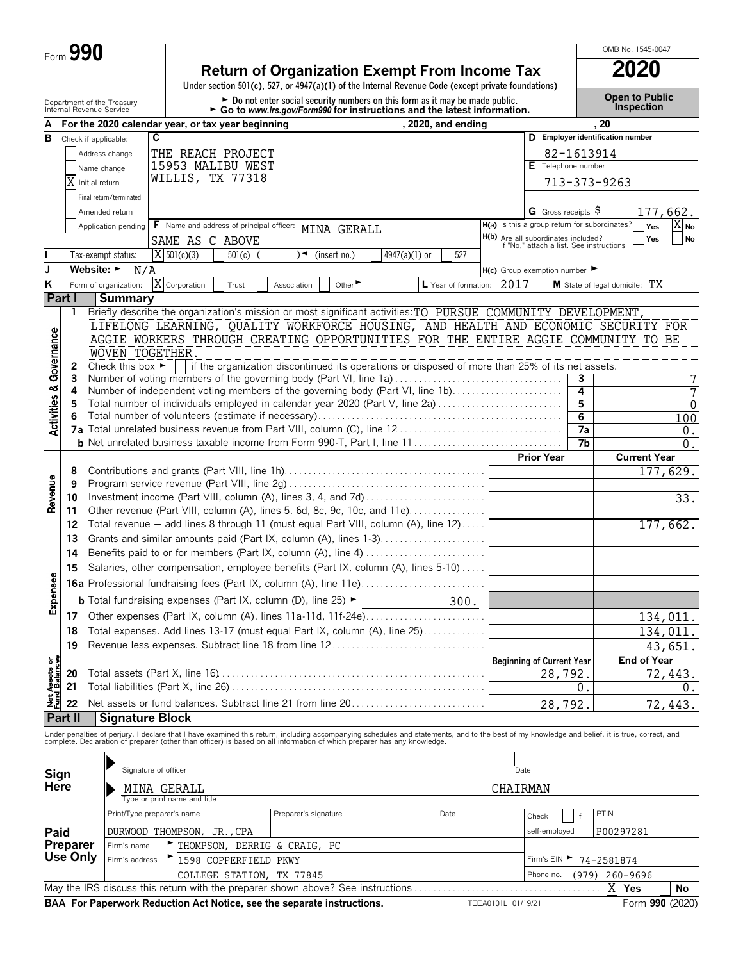| Form $\bm{\omega}$ | <b>90</b><br>n |
|--------------------|----------------|
|--------------------|----------------|

#### **Return of Organization Exempt From Income Tax 2020**

**Under section 501(c), 527, or 4947(a)(1) of the Internal Revenue Code (except private foundations)**

Department of the Treasury **and County of the Treasury and County of the County of Science County of County of County of the Donot enter social security numbers on this form as it may be made public. County the Treasury C** 

OMB No. 1545-0047

| А                                      |                      |                                      | For the 2020 calendar year, or tax year beginning |                       | ab to www.as.gov/romaso for mistractions and the fatest miorination.                                                                                                                                                           |                             |               | , 2020, and ending        |                    |                                                                                 |                       | , 20                             |                       |
|----------------------------------------|----------------------|--------------------------------------|---------------------------------------------------|-----------------------|--------------------------------------------------------------------------------------------------------------------------------------------------------------------------------------------------------------------------------|-----------------------------|---------------|---------------------------|--------------------|---------------------------------------------------------------------------------|-----------------------|----------------------------------|-----------------------|
| в                                      | Check if applicable: |                                      | C                                                 |                       |                                                                                                                                                                                                                                |                             |               |                           |                    |                                                                                 |                       | D Employer identification number |                       |
|                                        |                      | Address change                       | THE REACH PROJECT                                 |                       |                                                                                                                                                                                                                                |                             |               |                           |                    |                                                                                 | 82-1613914            |                                  |                       |
|                                        |                      | Name change                          | 15953 MALIBU WEST                                 |                       |                                                                                                                                                                                                                                |                             |               |                           |                    | E Telephone number                                                              |                       |                                  |                       |
|                                        |                      | Initial return                       | WILLIS, TX 77318                                  |                       |                                                                                                                                                                                                                                |                             |               |                           |                    |                                                                                 |                       | 713-373-9263                     |                       |
|                                        |                      | Final return/terminated              |                                                   |                       |                                                                                                                                                                                                                                |                             |               |                           |                    |                                                                                 |                       |                                  |                       |
|                                        |                      | Amended return                       |                                                   |                       |                                                                                                                                                                                                                                |                             |               |                           |                    | G Gross receipts $\varsigma$                                                    |                       |                                  | 177,662.              |
|                                        |                      | Application pending                  |                                                   |                       | F Name and address of principal officer: MINA GERALL                                                                                                                                                                           |                             |               |                           |                    | H(a) Is this a group return for subordinates?                                   |                       |                                  | $X_{N0}$<br>Yes       |
|                                        |                      |                                      | SAME AS C ABOVE                                   |                       |                                                                                                                                                                                                                                |                             |               |                           |                    | H(b) Are all subordinates included?<br>If "No," attach a list. See instructions |                       |                                  | Yes<br>No             |
|                                        |                      | Tax-exempt status:                   | $\overline{X}$ 501(c)(3)                          | $501(c)$ (            | )◄                                                                                                                                                                                                                             | (insert no.)                | 4947(a)(1) or | 527                       |                    |                                                                                 |                       |                                  |                       |
| J                                      |                      | Website: $\blacktriangleright$ N/A   |                                                   |                       |                                                                                                                                                                                                                                |                             |               |                           |                    | $H(c)$ Group exemption number $\blacktriangleright$                             |                       |                                  |                       |
| Κ                                      |                      | Form of organization:                | X Corporation                                     | Trust                 | Association                                                                                                                                                                                                                    | Other $\blacktriangleright$ |               | L Year of formation: 2017 |                    |                                                                                 |                       | M State of legal domicile: TX    |                       |
|                                        | Part I               | <b>Summary</b>                       |                                                   |                       |                                                                                                                                                                                                                                |                             |               |                           |                    |                                                                                 |                       |                                  |                       |
|                                        | 1                    |                                      |                                                   |                       | Briefly describe the organization's mission or most significant activities: TO PURSUE COMMUNITY DEVELOPMENT,                                                                                                                   |                             |               |                           |                    |                                                                                 |                       |                                  |                       |
|                                        |                      |                                      |                                                   |                       | LIFELONG LEARNING, QUALITY WORKFORCE HOUSING, AND HEALTH AND ECONOMIC SECURITY FOR                                                                                                                                             |                             |               |                           |                    |                                                                                 |                       |                                  |                       |
| Governance                             |                      |                                      |                                                   |                       | AGGIE WORKERS THROUGH CREATING OPPORTUNITIES FOR THE ENTIRE AGGIE COMMUNITY TO BE                                                                                                                                              |                             |               |                           |                    |                                                                                 |                       |                                  |                       |
|                                        |                      | WOVEN TOGETHER.                      |                                                   |                       |                                                                                                                                                                                                                                |                             |               |                           |                    |                                                                                 |                       |                                  |                       |
|                                        | 2                    | Check this box $\blacktriangleright$ |                                                   |                       | if the organization discontinued its operations or disposed of more than 25% of its net assets.                                                                                                                                |                             |               |                           |                    |                                                                                 |                       |                                  |                       |
|                                        | 3                    |                                      |                                                   |                       | Number of voting members of the governing body (Part VI, line 1a)                                                                                                                                                              |                             |               |                           |                    |                                                                                 | 3                     |                                  | 7                     |
|                                        | 4                    |                                      |                                                   |                       | Number of independent voting members of the governing body (Part VI, line 1b)                                                                                                                                                  |                             |               |                           |                    |                                                                                 | 4                     |                                  | 7                     |
|                                        | 5                    |                                      |                                                   |                       | Total number of individuals employed in calendar year 2020 (Part V, line 2a)                                                                                                                                                   |                             |               |                           |                    |                                                                                 | 5                     |                                  | $\mathbf{0}$          |
| <b>Activities &amp;</b>                |                      |                                      |                                                   |                       |                                                                                                                                                                                                                                |                             |               |                           |                    |                                                                                 | $6\overline{6}$<br>7a |                                  | 100                   |
|                                        |                      |                                      |                                                   |                       | <b>b</b> Net unrelated business taxable income from Form 990-T, Part I, line 11                                                                                                                                                |                             |               |                           |                    |                                                                                 | 7b                    |                                  | 0.<br>$0$ .           |
|                                        |                      |                                      |                                                   |                       |                                                                                                                                                                                                                                |                             |               |                           |                    | <b>Prior Year</b>                                                               |                       |                                  | <b>Current Year</b>   |
|                                        | 8                    |                                      |                                                   |                       |                                                                                                                                                                                                                                |                             |               |                           |                    |                                                                                 |                       |                                  | 177,629.              |
|                                        | 9                    |                                      |                                                   |                       |                                                                                                                                                                                                                                |                             |               |                           |                    |                                                                                 |                       |                                  |                       |
| Revenue                                | 10                   |                                      |                                                   |                       |                                                                                                                                                                                                                                |                             |               |                           |                    |                                                                                 |                       |                                  | 33.                   |
|                                        | 11                   |                                      |                                                   |                       | Other revenue (Part VIII, column (A), lines 5, 6d, 8c, 9c, 10c, and 11e)                                                                                                                                                       |                             |               |                           |                    |                                                                                 |                       |                                  |                       |
|                                        | 12                   |                                      |                                                   |                       | Total revenue - add lines 8 through 11 (must equal Part VIII, column (A), line 12)                                                                                                                                             |                             |               |                           |                    |                                                                                 |                       |                                  | 177,662.              |
|                                        | 13                   |                                      |                                                   |                       | Grants and similar amounts paid (Part IX, column (A), lines 1-3)                                                                                                                                                               |                             |               |                           |                    |                                                                                 |                       |                                  |                       |
|                                        | 14                   |                                      |                                                   |                       | Benefits paid to or for members (Part IX, column (A), line 4)                                                                                                                                                                  |                             |               |                           |                    |                                                                                 |                       |                                  |                       |
|                                        | 15                   |                                      |                                                   |                       | Salaries, other compensation, employee benefits (Part IX, column (A), lines 5-10)                                                                                                                                              |                             |               |                           |                    |                                                                                 |                       |                                  |                       |
| Expenses                               |                      |                                      |                                                   |                       |                                                                                                                                                                                                                                |                             |               |                           |                    |                                                                                 |                       |                                  |                       |
|                                        |                      |                                      |                                                   |                       | <b>b</b> Total fundraising expenses (Part IX, column (D), line 25) $\blacktriangleright$                                                                                                                                       |                             |               | 300.                      |                    |                                                                                 |                       |                                  |                       |
|                                        | 17                   |                                      |                                                   |                       |                                                                                                                                                                                                                                |                             |               |                           |                    |                                                                                 |                       |                                  | 134,011.              |
|                                        | 18                   |                                      |                                                   |                       | Total expenses. Add lines 13-17 (must equal Part IX, column (A), line 25)                                                                                                                                                      |                             |               |                           |                    |                                                                                 |                       |                                  | 134,011.              |
|                                        | 19                   |                                      |                                                   |                       | Revenue less expenses. Subtract line 18 from line 12                                                                                                                                                                           |                             |               |                           |                    |                                                                                 |                       |                                  | 43,651.               |
|                                        |                      |                                      |                                                   |                       |                                                                                                                                                                                                                                |                             |               |                           |                    | <b>Beginning of Current Year</b>                                                |                       |                                  | <b>End of Year</b>    |
| <b>Net Assets or<br/>Fund Balances</b> | 20                   |                                      |                                                   |                       |                                                                                                                                                                                                                                |                             |               |                           |                    | 28,792                                                                          |                       |                                  | $\overline{7}2, 443.$ |
|                                        | 21                   |                                      |                                                   |                       |                                                                                                                                                                                                                                |                             |               |                           |                    |                                                                                 | 0.                    |                                  | 0.                    |
|                                        | 22                   |                                      |                                                   |                       | Net assets or fund balances. Subtract line 21 from line 20                                                                                                                                                                     |                             |               |                           |                    | 28,792.                                                                         |                       |                                  | 72,443.               |
|                                        | Part II              | <b>Signature Block</b>               |                                                   |                       |                                                                                                                                                                                                                                |                             |               |                           |                    |                                                                                 |                       |                                  |                       |
|                                        |                      |                                      |                                                   |                       |                                                                                                                                                                                                                                |                             |               |                           |                    |                                                                                 |                       |                                  |                       |
|                                        |                      |                                      |                                                   |                       | Under penalties of perjury, I declare that I have examined this return, including accompanying schedules and statements, and to the best of my knowledge and belief, it is true, correct, and complete. Declaration of prepare |                             |               |                           |                    |                                                                                 |                       |                                  |                       |
|                                        |                      |                                      |                                                   |                       |                                                                                                                                                                                                                                |                             |               |                           |                    |                                                                                 |                       |                                  |                       |
| Sign                                   |                      |                                      | Signature of officer                              |                       |                                                                                                                                                                                                                                |                             |               |                           |                    | Date                                                                            |                       |                                  |                       |
| Here                                   |                      |                                      | MINA GERALL                                       |                       |                                                                                                                                                                                                                                |                             |               |                           | CHAIRMAN           |                                                                                 |                       |                                  |                       |
|                                        |                      |                                      | Type or print name and title                      |                       |                                                                                                                                                                                                                                |                             |               |                           |                    |                                                                                 |                       |                                  |                       |
|                                        |                      |                                      | Print/Type preparer's name                        |                       | Preparer's signature                                                                                                                                                                                                           |                             |               | Date                      |                    | Check                                                                           | if                    | PTIN                             |                       |
| Paid                                   |                      |                                      | DURWOOD THOMPSON, JR., CPA                        |                       |                                                                                                                                                                                                                                |                             |               |                           |                    | self-employed                                                                   |                       | P00297281                        |                       |
|                                        | Preparer             | Firm's name                          |                                                   |                       | THOMPSON, DERRIG & CRAIG, PC                                                                                                                                                                                                   |                             |               |                           |                    |                                                                                 |                       |                                  |                       |
|                                        | Use Only             | Firm's address                       |                                                   | 1598 COPPERFIELD PKWY |                                                                                                                                                                                                                                |                             |               |                           |                    | Firm's EIN ▶                                                                    |                       | 74-2581874                       |                       |
|                                        |                      |                                      |                                                   |                       | COLLEGE STATION, TX 77845                                                                                                                                                                                                      |                             |               |                           |                    | Phone no.                                                                       | (979)                 | 260-9696                         |                       |
|                                        |                      |                                      |                                                   |                       | May the IRS discuss this return with the preparer shown above? See instructions                                                                                                                                                |                             |               |                           |                    |                                                                                 |                       | X Yes                            | No                    |
|                                        |                      |                                      |                                                   |                       | BAA For Paperwork Reduction Act Notice, see the separate instructions.                                                                                                                                                         |                             |               |                           | TEEA0101L 01/19/21 |                                                                                 |                       |                                  | Form 990 (2020)       |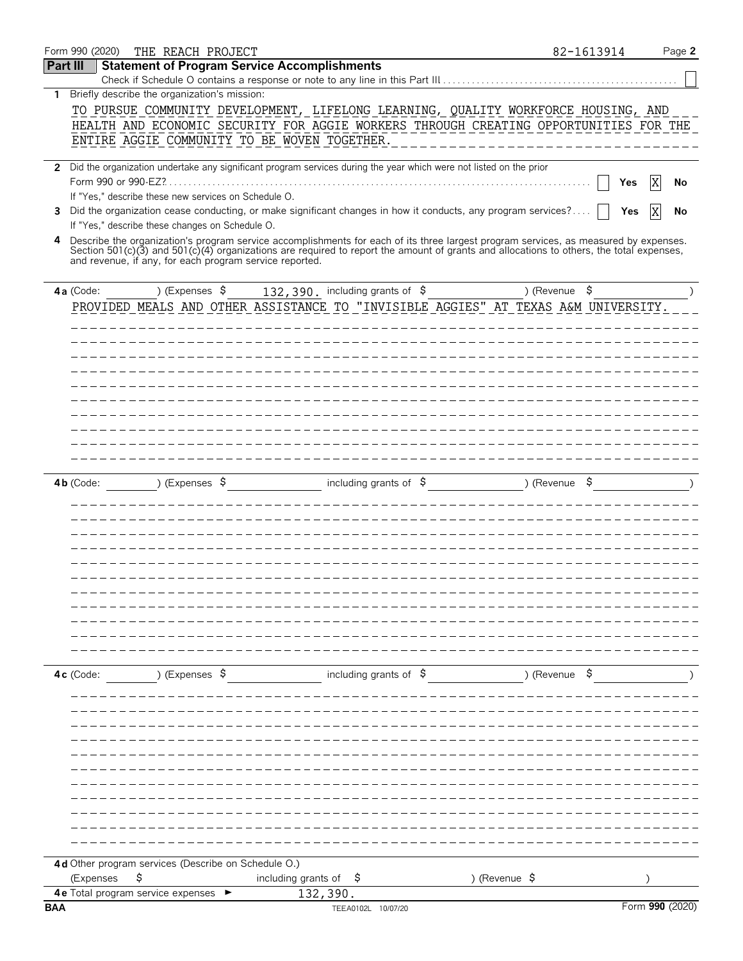|            | Form 990 (2020)<br>THE REACH PROJECT                                                                                                                                                                | 82-1613914               | Page 2          |
|------------|-----------------------------------------------------------------------------------------------------------------------------------------------------------------------------------------------------|--------------------------|-----------------|
| Part III   | <b>Statement of Program Service Accomplishments</b>                                                                                                                                                 |                          |                 |
|            | Check if Schedule O contains a response or note to any line in this Part III                                                                                                                        |                          |                 |
| 1          | Briefly describe the organization's mission:                                                                                                                                                        |                          |                 |
|            | TO PURSUE COMMUNITY DEVELOPMENT, LIFELONG LEARNING, QUALITY WORKFORCE HOUSING, AND                                                                                                                  |                          |                 |
|            | HEALTH AND ECONOMIC SECURITY FOR AGGIE WORKERS THROUGH CREATING OPPORTUNITIES FOR THE                                                                                                               |                          |                 |
|            | ENTIRE AGGIE COMMUNITY TO BE WOVEN TOGETHER.                                                                                                                                                        |                          |                 |
|            | 2 Did the organization undertake any significant program services during the year which were not listed on the prior                                                                                |                          |                 |
|            | Form 990 or 990-EZ?                                                                                                                                                                                 | Yes                      | X<br>No         |
|            | If "Yes," describe these new services on Schedule O.                                                                                                                                                |                          |                 |
| 3          | Did the organization cease conducting, or make significant changes in how it conducts, any program services?                                                                                        | Yes                      | No              |
|            | If "Yes," describe these changes on Schedule O.                                                                                                                                                     |                          |                 |
|            | 4 Describe the organization's program service accomplishments for each of its three largest program services, as measured by expenses.                                                              |                          |                 |
|            | Section 501(c)(3) and 501(c)(4) organizations are required to report the amount of grants and allocations to others, the total expenses,<br>and revenue, if any, for each program service reported. |                          |                 |
|            |                                                                                                                                                                                                     |                          |                 |
|            | ) (Expenses $\frac{132}{390}$ , including grants of $\frac{12}{3}$<br>4a (Code:                                                                                                                     | ) (Revenue $\frac{1}{2}$ |                 |
|            | PROVIDED MEALS AND OTHER ASSISTANCE TO "INVISIBLE AGGIES" AT TEXAS A&M UNIVERSITY.                                                                                                                  |                          |                 |
|            |                                                                                                                                                                                                     |                          |                 |
|            |                                                                                                                                                                                                     |                          |                 |
|            |                                                                                                                                                                                                     |                          |                 |
|            |                                                                                                                                                                                                     |                          |                 |
|            |                                                                                                                                                                                                     |                          |                 |
|            |                                                                                                                                                                                                     |                          |                 |
|            |                                                                                                                                                                                                     |                          |                 |
|            |                                                                                                                                                                                                     |                          |                 |
|            |                                                                                                                                                                                                     |                          |                 |
|            |                                                                                                                                                                                                     |                          |                 |
|            |                                                                                                                                                                                                     |                          |                 |
|            | $(Express 5$ including grants of $\$$<br>(Revenue) (Revenue<br>4b (Code:                                                                                                                            |                          |                 |
|            |                                                                                                                                                                                                     |                          |                 |
|            |                                                                                                                                                                                                     |                          |                 |
|            |                                                                                                                                                                                                     |                          |                 |
|            |                                                                                                                                                                                                     |                          |                 |
|            |                                                                                                                                                                                                     |                          |                 |
|            |                                                                                                                                                                                                     |                          |                 |
|            |                                                                                                                                                                                                     |                          |                 |
|            |                                                                                                                                                                                                     |                          |                 |
|            |                                                                                                                                                                                                     |                          |                 |
|            |                                                                                                                                                                                                     |                          |                 |
|            |                                                                                                                                                                                                     |                          |                 |
|            |                                                                                                                                                                                                     |                          |                 |
|            | including grants of $\frac{1}{2}$<br>4c (Code:<br>) (Expenses \$                                                                                                                                    | ) (Revenue \$            |                 |
|            |                                                                                                                                                                                                     |                          |                 |
|            |                                                                                                                                                                                                     |                          |                 |
|            |                                                                                                                                                                                                     |                          |                 |
|            |                                                                                                                                                                                                     |                          |                 |
|            |                                                                                                                                                                                                     |                          |                 |
|            |                                                                                                                                                                                                     |                          |                 |
|            |                                                                                                                                                                                                     |                          |                 |
|            |                                                                                                                                                                                                     |                          |                 |
|            |                                                                                                                                                                                                     |                          |                 |
|            |                                                                                                                                                                                                     |                          |                 |
|            |                                                                                                                                                                                                     |                          |                 |
|            | 4d Other program services (Describe on Schedule O.)                                                                                                                                                 |                          |                 |
|            | \$<br>including grants of<br>(Expenses<br>) (Revenue \$<br>Ş                                                                                                                                        |                          |                 |
|            | 4e Total program service expenses<br>132,390.<br>▶                                                                                                                                                  |                          |                 |
| <b>BAA</b> | TEEA0102L 10/07/20                                                                                                                                                                                  |                          | Form 990 (2020) |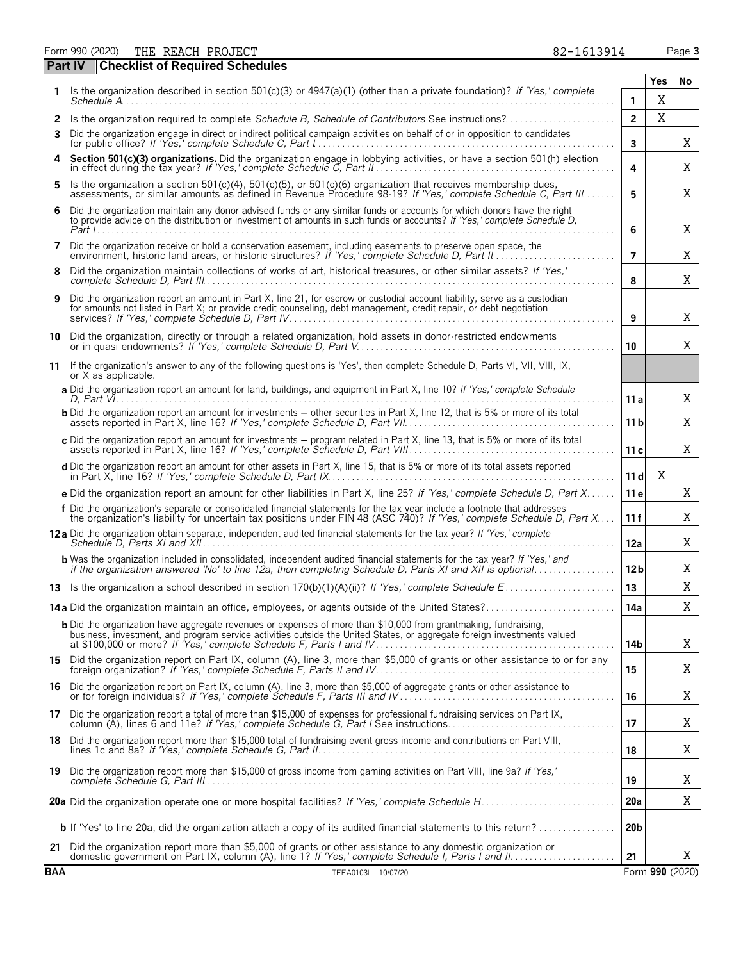Form 990 (2020) Page **3** THE REACH PROJECT 82-1613914

|            | <b>Checklist of Required Schedules</b><br>Part IV                                                                                                                                                                                                            |                 |     |                 |
|------------|--------------------------------------------------------------------------------------------------------------------------------------------------------------------------------------------------------------------------------------------------------------|-----------------|-----|-----------------|
|            |                                                                                                                                                                                                                                                              |                 | Yes | No              |
|            | 1 Is the organization described in section 501(c)(3) or 4947(a)(1) (other than a private foundation)? If 'Yes,' complete                                                                                                                                     | 1               | X   |                 |
| 2          | Is the organization required to complete Schedule B, Schedule of Contributors See instructions?                                                                                                                                                              | $\overline{2}$  | X   |                 |
| 3          | Did the organization engage in direct or indirect political campaign activities on behalf of or in opposition to candidates                                                                                                                                  | 3               |     | X               |
| 4          | Section 501(c)(3) organizations. Did the organization engage in lobbying activities, or have a section 501(h) election in effect during the tax year? If 'Yes,' complete Schedule C, Part II.                                                                | 4               |     | X               |
| 5          | Is the organization a section 501(c)(4), 501(c)(5), or 501(c)(6) organization that receives membership dues, assessments, or similar amounts as defined in Revenue Procedure 98-19? If 'Yes,' complete Schedule C, Part III                                  | 5               |     | X               |
| 6          | Did the organization maintain any donor advised funds or any similar funds or accounts for which donors have the right<br>to provide advice on the distribution or investment of amounts in such funds or accounts? If 'Yes,' complete Schedule D,<br>Part I | 6               |     | X               |
|            | 7 Did the organization receive or hold a conservation easement, including easements to preserve open space, the<br>environment, historic land areas, or historic structures? If 'Yes,' complete Schedule D, Part II.                                         | $\overline{7}$  |     | Χ               |
| 8          | Did the organization maintain collections of works of art, historical treasures, or other similar assets? If 'Yes,'                                                                                                                                          | 8               |     | X               |
| 9          | Did the organization report an amount in Part X, line 21, for escrow or custodial account liability, serve as a custodian<br>for amounts not listed in Part X; or provide credit counseling, debt management, credit repair, or debt negotiation             | 9               |     | X               |
|            | 10 Did the organization, directly or through a related organization, hold assets in donor-restricted endowments                                                                                                                                              | 10              |     | X               |
|            | 11 If the organization's answer to any of the following questions is 'Yes', then complete Schedule D, Parts VI, VII, VIII, IX,<br>or X as applicable.                                                                                                        |                 |     |                 |
|            | a Did the organization report an amount for land, buildings, and equipment in Part X, line 10? If 'Yes,' complete Schedule                                                                                                                                   | 11a             |     | X               |
|            | <b>b</b> Did the organization report an amount for investments - other securities in Part X, line 12, that is 5% or more of its total                                                                                                                        | 11 <sub>b</sub> |     | X               |
|            | c Did the organization report an amount for investments - program related in Part X, line 13, that is 5% or more of its total                                                                                                                                | 11c             |     | X               |
|            | d Did the organization report an amount for other assets in Part X, line 15, that is 5% or more of its total assets reported                                                                                                                                 | 11d             | Χ   |                 |
|            | e Did the organization report an amount for other liabilities in Part X, line 25? If 'Yes,' complete Schedule D, Part X                                                                                                                                      | 11 e            |     | X               |
|            | f Did the organization's separate or consolidated financial statements for the tax year include a footnote that addresses<br>the organization's liability for uncertain tax positions under FIN 48 (ASC 740)? If 'Yes,' complete Schedule D, Part X          | 11f             |     | Χ               |
|            | 12a Did the organization obtain separate, independent audited financial statements for the tax year? If 'Yes,' complete                                                                                                                                      | 12a             |     | X               |
|            | <b>b</b> Was the organization included in consolidated, independent audited financial statements for the tax year? If 'Yes,' and                                                                                                                             | 12 <sub>b</sub> |     | X               |
|            |                                                                                                                                                                                                                                                              | 13              |     | Χ               |
|            |                                                                                                                                                                                                                                                              | 14a             |     | X               |
|            | <b>b</b> Did the organization have aggregate revenues or expenses of more than \$10,000 from grantmaking, fundraising,<br>business, investment, and program service activities outside the United States, or aggregate foreign investments valued            | 14b             |     | X               |
|            | 15 Did the organization report on Part IX, column (A), line 3, more than \$5,000 of grants or other assistance to or for any                                                                                                                                 | 15              |     | X               |
| 16.        | Did the organization report on Part IX, column (A), line 3, more than \$5,000 of aggregate grants or other assistance to<br>or for foreign individuals? If 'Yes,' complete Schedule F, Parts III and IV                                                      | 16              |     | X               |
|            | 17 Did the organization report a total of more than \$15,000 of expenses for professional fundraising services on Part IX,                                                                                                                                   | 17              |     | Χ               |
|            | 18 Did the organization report more than \$15,000 total of fundraising event gross income and contributions on Part VIII,                                                                                                                                    | 18              |     | Χ               |
|            | 19 Did the organization report more than \$15,000 of gross income from gaming activities on Part VIII, line 9a? If 'Yes,'                                                                                                                                    | 19              |     | X               |
|            |                                                                                                                                                                                                                                                              | 20a             |     | Χ               |
|            |                                                                                                                                                                                                                                                              | 20 <sub>b</sub> |     |                 |
|            | 21 Did the organization report more than \$5,000 of grants or other assistance to any domestic organization or                                                                                                                                               |                 |     | X               |
| <b>BAA</b> | TEEA0103L 10/07/20                                                                                                                                                                                                                                           | 21              |     | Form 990 (2020) |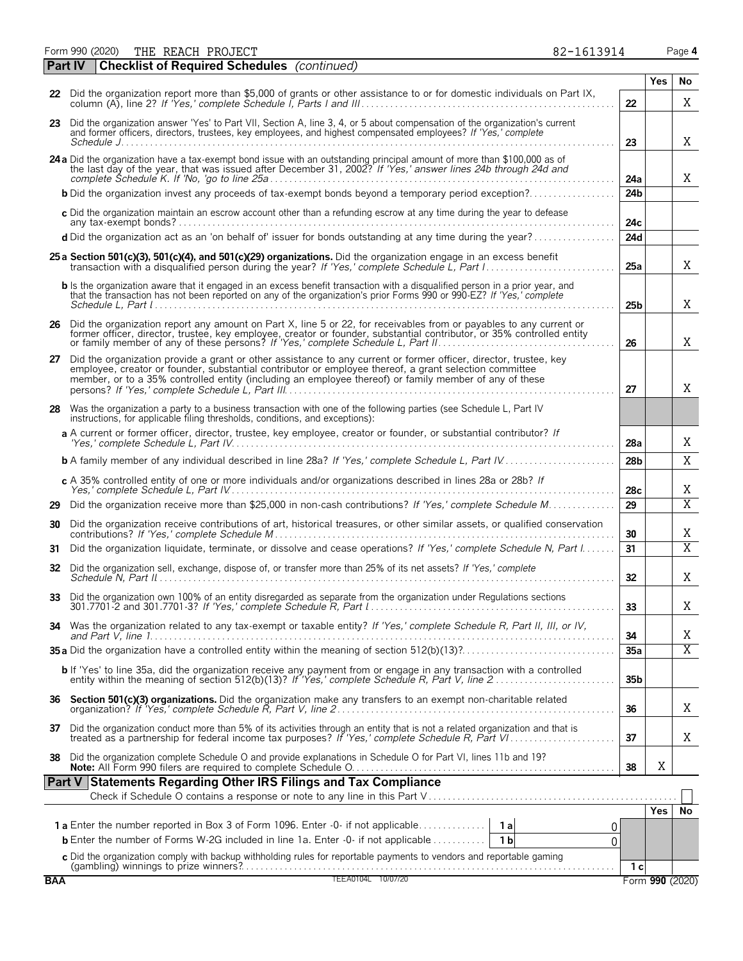**Part IV Checklist of Required Schedules** *(continued)* **Yes No 22** Did the organization report more than \$5,000 of grants or other assistance to or for domestic individuals on Part IX, column (A), line 2? *If 'Yes,' complete Schedule I, Parts I and III* . . . . . . . . . . . . . . . . . . . . . . . . . . . . . . . . . . . . . . . . . . . . . . . . . . . . . **22 23** Did the organization answer 'Yes' to Part VII, Section A, line 3, 4, or 5 about compensation of the organization's current and former officers, directors, trustees, key employees, and highest compensated employees? *If 'Yes,' complete Schedule J* . . . . . . . . . . . . . . . . . . . . . . . . . . . . . . . . . . . . . . . . . . . . . . . . . . . . . . . . . . . . . . . . . . . . . . . . . . . . . . . . . . . . . . . . . . . . . . . . . . . . . . . **23 24 a** Did the organization have a tax-exempt bond issue with an outstanding principal amount of more than \$100,000 as of the last day of the year, that was issued after December 31, 2002? *If 'Yes,' answer lines 24b through 24d and complete Schedule K. If 'No, 'go to line 25a* . . . . . . . . . . . . . . . . . . . . . . . . . . . . . . . . . . . . . . . . . . . . . . . . . . . . . . . . . . . . . . . . . . . . . . . . **24a b** Did the organization invest any proceeds of tax-exempt bonds beyond a temporary period exception?. . . . . . . . . . . . . . . . . . **24b c** Did the organization maintain an escrow account other than a refunding escrow at any time during the year to defease any tax-exempt bonds? . . . . . . . . . . . . . . . . . . . . . . . . . . . . . . . . . . . . . . . . . . . . . . . . . . . . . . . . . . . . . . . . . . . . . . . . . . . . . . . . . . . . . . . . . . . **24c d** Did the organization act as an 'on behalf of' issuer for bonds outstanding at any time during the year? . . . . . . . . . . . . . . . . . **24d 25 a Section 501(c)(3), 501(c)(4), and 501(c)(29) organizations.** Did the organization engage in an excess benefit transaction with a disqualified person during the year? *If 'Yes,' complete Schedule L, Part I* . . . . . . . . . . . . . . . . . . . . . . . . . . . **25a b** Is the organization aware that it engaged in an excess benefit transaction with a disqualified person in a prior year, and that the transaction has not been reported on any of the organization's prior Forms 990 or 990-EZ? *If 'Yes,' complete Schedule L, Part I*. . . . . . . . . . . . . . . . . . . . . . . . . . . . . . . . . . . . . . . . . . . . . . . . . . . . . . . . . . . . . . . . . . . . . . . . . . . . . . . . . . . . . . . . . . . . . . . . . **25b** 26 Did the organization report any amount on Part X, line 5 or 22, for receivables from or payables to any current or<br>former officer, director, trustee, key employee, creator or founder, substantial contributor, or 35% con 27 Did the organization provide a grant or other assistance to any current or former officer, director, trustee, key<br>employee, creator or founder, substantial contributor or employee thereof, a grant selection committee member, or to a 35% controlled entity (including an employee thereof) or family member of any of these persons? *If 'Yes,' complete Schedule L, Part III*. . . . . . . . . . . . . . . . . . . . . . . . . . . . . . . . . . . . . . . . . . . . . . . . . . . . . . . . . . . . . . . . . . . . . **27 28** Was the organization a party to a business transaction with one of the following parties (see Schedule L, Part IV instructions, for applicable filing thresholds, conditions, and exceptions): **a** A current or former officer, director, trustee, key employee, creator or founder, or substantial contributor? *If 'Yes,' complete Schedule L, Part IV*. . . . . . . . . . . . . . . . . . . . . . . . . . . . . . . . . . . . . . . . . . . . . . . . . . . . . . . . . . . . . . . . . . . . . . . . . . . . . . . . **28a b** A family member of any individual described in line 28a? *If 'Yes,' complete Schedule L, Part IV*. . . . . . . . . . . . . . . . . . . . . . . . **28b c** A 35% controlled entity of one or more individuals and/or organizations described in lines 28a or 28b? *If Yes,' complete Schedule L, Part IV*. . . . . . . . . . . . . . . . . . . . . . . . . . . . . . . . . . . . . . . . . . . . . . . . . . . . . . . . . . . . . . . . . . . . . . . . . . . . . . . . . **28c 29** Did the organization receive more than \$25,000 in non-cash contributions? *If 'Yes,' complete Schedule M*. . . . . . . . . . . . . . **29 30** Did the organization receive contributions of art, historical treasures, or other similar assets, or qualified conservation contributions? *If 'Yes,' complete Schedule M*. . . . . . . . . . . . . . . . . . . . . . . . . . . . . . . . . . . . . . . . . . . . . . . . . . . . . . . . . . . . . . . . . . . . . . . . **30 31** Did the organization liquidate, terminate, or dissolve and cease operations? *If 'Yes,' complete Schedule N, Part I*. . . . . . . **31 32** Did the organization sell, exchange, dispose of, or transfer more than 25% of its net assets? *If 'Yes,' complete Schedule N, Part II*. . . . . . . . . . . . . . . . . . . . . . . . . . . . . . . . . . . . . . . . . . . . . . . . . . . . . . . . . . . . . . . . . . . . . . . . . . . . . . . . . . . . . . . . . . . . . . . . **32 33** Did the organization own 100% of an entity disregarded as separate from the organization under Regulations sections 301.7701-2 and 301.7701-3? *If 'Yes,' complete Schedule R, Part I*. . . . . . . . . . . . . . . . . . . . . . . . . . . . . . . . . . . . . . . . . . . . . . . . . . . . **33 34** Was the organization related to any tax-exempt or taxable entity? *If 'Yes,' complete Schedule R, Part II, III, or IV, and Part V, line 1*. . . . . . . . . . . . . . . . . . . . . . . . . . . . . . . . . . . . . . . . . . . . . . . . . . . . . . . . . . . . . . . . . . . . . . . . . . . . . . . . . . . . . . . . . . . . . . . . . **34 35 a** Did the organization have a controlled entity within the meaning of section 512(b)(13)?. . . . . . . . . . . . . . . . . . . . . . . . . . . . . . . . **35a** b If 'Yes' to line 35a, did the organization receive any payment from or engage in any transaction with a controlled<br>entity within the meaning of section 512(b)(13)? If 'Yes,' complete Schedule R, Part V, line 2........... **36 Section 501(c)(3) organizations.** Did the organization make any transfers to an exempt non-charitable related organization? *If 'Yes,' complete Schedule R, Part V, line 2* . . . . . . . . . . . . . . . . . . . . . . . . . . . . . . . . . . . . . . . . . . . . . . . . . . . . . . . . . . **36** 37 Did the organization conduct more than 5% of its activities through an entity that is not a related organization and that is<br>treated as a partnership for federal income tax purposes? If 'Yes,' complete Schedule R, Part **38** Did the organization complete Schedule O and provide explanations in Schedule O for Part VI, lines 11b and 19? **Note:** All Form 990 filers are required to complete Schedule O. . . . . . . . . . . . . . . . . . . . . . . . . . . . . . . . . . . . . . . . . . . . . . . . . . . . . . . **38 Part V Statements Regarding Other IRS Filings and Tax Compliance** Check if Schedule O contains a response or note to any line in this Part V . . . . . . . . . . . . . . . . . . . . . . . . . . . . . . . . . . . . . . . . . . . . . . . . . . . . **Yes No 1 a** Enter the number reported in Box 3 of Form 1096. Enter -0- if not applicable. . . . . . . . . . . . . . **1 a b** Enter the number of Forms W-2G included in line 1a. Enter -0- if not applicable. . . . . . . . . . . . **1 b c** Did the organization comply with backup withholding rules for reportable payments to vendors and reportable gaming (gambling) winnings to prize winners?. . . . . . . . . . . . . . . . . . . . . . . . . . . . . . . . . . . . . . . . . . . . . . . . . . . . . . . . . . . . . . . . . . . . . . . . . . . . . . **1 c** X X X X X X X X X X X X X X X X X X X X 0 0

Form 990 (2020) PHE REACH PROJECT **1999 (2020)** Page 4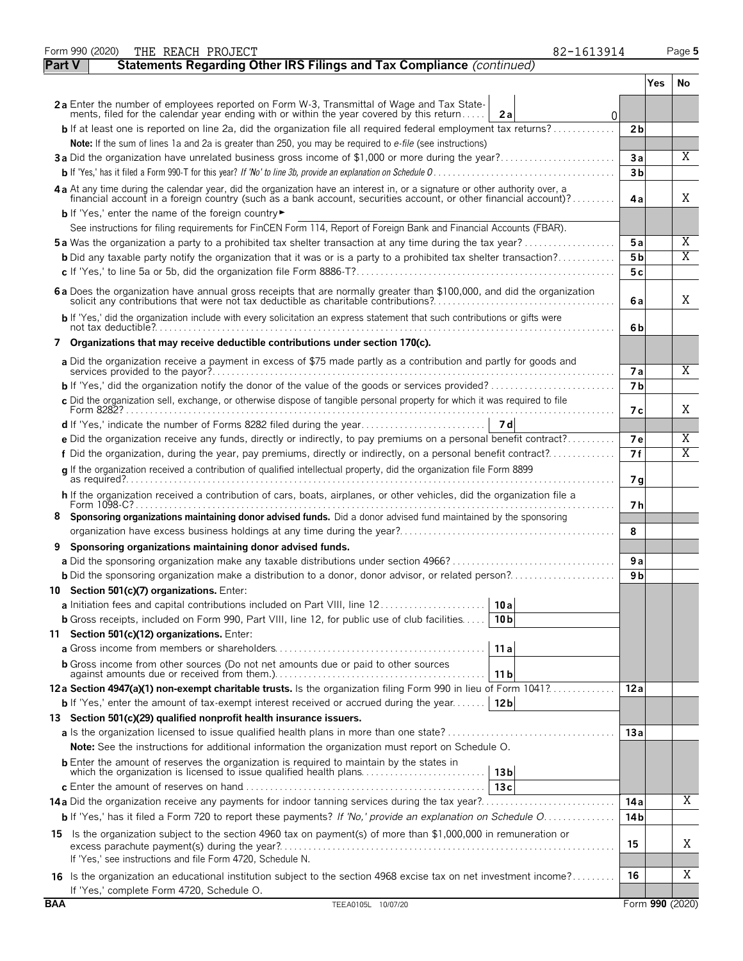|               | Form 990 (2020)<br>THE REACH PROJECT<br>82-1613914                                                                                                                                                                                                                                                    |                      | Page 5                  |  |
|---------------|-------------------------------------------------------------------------------------------------------------------------------------------------------------------------------------------------------------------------------------------------------------------------------------------------------|----------------------|-------------------------|--|
| <b>Part V</b> | Statements Regarding Other IRS Filings and Tax Compliance (continued)                                                                                                                                                                                                                                 |                      |                         |  |
|               |                                                                                                                                                                                                                                                                                                       | Yes                  | No.                     |  |
|               | 2a Enter the number of employees reported on Form W-3, Transmittal of Wage and Tax State-                                                                                                                                                                                                             |                      |                         |  |
|               | ments, filed for the calendar year ending with or within the year covered by this return<br>2a<br>0                                                                                                                                                                                                   |                      |                         |  |
|               | <b>b</b> If at least one is reported on line 2a, did the organization file all required federal employment tax returns?                                                                                                                                                                               | 2 <sub>b</sub>       |                         |  |
|               | Note: If the sum of lines 1a and 2a is greater than 250, you may be required to e-file (see instructions)<br>3a Did the organization have unrelated business gross income of \$1,000 or more during the year?                                                                                         | 3a                   | $\overline{X}$          |  |
|               |                                                                                                                                                                                                                                                                                                       | 3 <sub>b</sub>       |                         |  |
|               |                                                                                                                                                                                                                                                                                                       |                      |                         |  |
|               | 4a At any time during the calendar year, did the organization have an interest in, or a signature or other authority over, a<br>financial account in a foreign country (such as a bank account, securities account, or other financial account)?<br>b If 'Yes,' enter the name of the foreign country | 4а                   | Χ                       |  |
|               | See instructions for filing requirements for FinCEN Form 114, Report of Foreign Bank and Financial Accounts (FBAR).                                                                                                                                                                                   |                      |                         |  |
|               | <b>5a</b> Was the organization a party to a prohibited tax shelter transaction at any time during the tax year?                                                                                                                                                                                       | 5a                   | $\overline{X}$          |  |
|               | <b>b</b> Did any taxable party notify the organization that it was or is a party to a prohibited tax shelter transaction?                                                                                                                                                                             | 5 <sub>b</sub>       | $\overline{\mathrm{X}}$ |  |
|               |                                                                                                                                                                                                                                                                                                       | 5c                   |                         |  |
|               |                                                                                                                                                                                                                                                                                                       |                      |                         |  |
|               | 6a Does the organization have annual gross receipts that are normally greater than \$100,000, and did the organization                                                                                                                                                                                | 6a                   | X                       |  |
|               | b If 'Yes,' did the organization include with every solicitation an express statement that such contributions or gifts were                                                                                                                                                                           | 6b                   |                         |  |
|               | 7 Organizations that may receive deductible contributions under section 170(c).                                                                                                                                                                                                                       |                      |                         |  |
|               | a Did the organization receive a payment in excess of \$75 made partly as a contribution and partly for goods and                                                                                                                                                                                     |                      | X                       |  |
|               | services provided to the payor?<br><b>b</b> If 'Yes,' did the organization notify the donor of the value of the goods or services provided?                                                                                                                                                           | 7a<br>7 <sub>b</sub> |                         |  |
|               | c Did the organization sell, exchange, or otherwise dispose of tangible personal property for which it was required to file                                                                                                                                                                           |                      |                         |  |
|               |                                                                                                                                                                                                                                                                                                       | 7 с                  | X                       |  |
|               |                                                                                                                                                                                                                                                                                                       |                      |                         |  |
|               | e Did the organization receive any funds, directly or indirectly, to pay premiums on a personal benefit contract?                                                                                                                                                                                     | <b>7e</b>            | Χ                       |  |
|               | f Did the organization, during the year, pay premiums, directly or indirectly, on a personal benefit contract?                                                                                                                                                                                        | 7f                   | $\overline{\mathrm{X}}$ |  |
|               | q If the organization received a contribution of qualified intellectual property, did the organization file Form 8899                                                                                                                                                                                 | 7g                   |                         |  |
|               | h If the organization received a contribution of cars, boats, airplanes, or other vehicles, did the organization file a<br>Form 1098-C?                                                                                                                                                               | 7 h                  |                         |  |
| 8             | Sponsoring organizations maintaining donor advised funds. Did a donor advised fund maintained by the sponsoring                                                                                                                                                                                       |                      |                         |  |
|               |                                                                                                                                                                                                                                                                                                       | 8                    |                         |  |
| 9             | Sponsoring organizations maintaining donor advised funds.                                                                                                                                                                                                                                             |                      |                         |  |
|               | a Did the sponsoring organization make any taxable distributions under section 4966?                                                                                                                                                                                                                  | 9a                   |                         |  |
|               | <b>b</b> Did the sponsoring organization make a distribution to a donor, donor advisor, or related person?                                                                                                                                                                                            | 9 <sub>b</sub>       |                         |  |
|               | 10 Section 501(c)(7) organizations. Enter:                                                                                                                                                                                                                                                            |                      |                         |  |
|               | 10a                                                                                                                                                                                                                                                                                                   |                      |                         |  |
|               | <b>b</b> Gross receipts, included on Form 990, Part VIII, line 12, for public use of club facilities<br>10 <sub>b</sub>                                                                                                                                                                               |                      |                         |  |
|               | 11 Section 501(c)(12) organizations. Enter:                                                                                                                                                                                                                                                           |                      |                         |  |
|               | 11a                                                                                                                                                                                                                                                                                                   |                      |                         |  |
|               | <b>b</b> Gross income from other sources (Do not net amounts due or paid to other sources<br>11 b                                                                                                                                                                                                     |                      |                         |  |
|               | 12a Section 4947(a)(1) non-exempt charitable trusts. Is the organization filing Form 990 in lieu of Form 1041?                                                                                                                                                                                        | 12a                  |                         |  |
|               | <b>b</b> If 'Yes,' enter the amount of tax-exempt interest received or accrued during the year<br>12 <sub>b</sub>                                                                                                                                                                                     |                      |                         |  |
|               | 13 Section 501(c)(29) qualified nonprofit health insurance issuers.                                                                                                                                                                                                                                   |                      |                         |  |
|               |                                                                                                                                                                                                                                                                                                       | 13a                  |                         |  |
|               | <b>Note:</b> See the instructions for additional information the organization must report on Schedule O.                                                                                                                                                                                              |                      |                         |  |
|               | <b>b</b> Enter the amount of reserves the organization is required to maintain by the states in<br>which the organization is licensed to issue qualified health plans<br>13 <sub>b</sub>                                                                                                              |                      |                         |  |
|               | 13c                                                                                                                                                                                                                                                                                                   |                      |                         |  |
|               | 14a Did the organization receive any payments for indoor tanning services during the tax year?                                                                                                                                                                                                        | 14 a                 | Χ                       |  |
|               | b If 'Yes,' has it filed a Form 720 to report these payments? If 'No,' provide an explanation on Schedule O                                                                                                                                                                                           | 14 <sub>b</sub>      |                         |  |
|               | 15 Is the organization subject to the section 4960 tax on payment(s) of more than \$1,000,000 in remuneration or<br>excess parachute payment(s) during the year?                                                                                                                                      | 15                   | Χ                       |  |
|               | If 'Yes,' see instructions and file Form 4720, Schedule N.                                                                                                                                                                                                                                            |                      |                         |  |
|               | 16 Is the organization an educational institution subject to the section 4968 excise tax on net investment income?                                                                                                                                                                                    | 16                   | Χ                       |  |
| <b>BAA</b>    | If 'Yes,' complete Form 4720, Schedule O.<br>TEEA0105L 10/07/20                                                                                                                                                                                                                                       | Form 990 (2020)      |                         |  |
|               |                                                                                                                                                                                                                                                                                                       |                      |                         |  |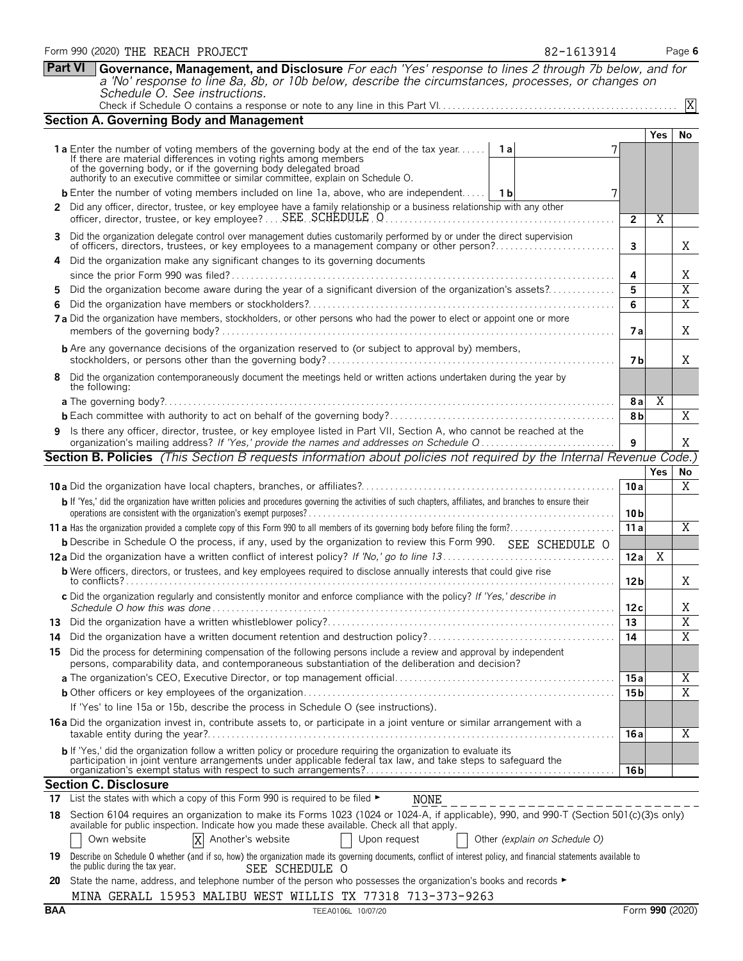|              |                                                                                                                                                                                                                                                                                                                         |                 |                 | $\boldsymbol{\mathrm{X}}$ |
|--------------|-------------------------------------------------------------------------------------------------------------------------------------------------------------------------------------------------------------------------------------------------------------------------------------------------------------------------|-----------------|-----------------|---------------------------|
|              | <b>Section A. Governing Body and Management</b>                                                                                                                                                                                                                                                                         |                 |                 |                           |
|              |                                                                                                                                                                                                                                                                                                                         |                 | Yes             | No.                       |
|              | 1a Enter the number of voting members of the governing body at the end of the tax year<br>1a<br>If there are material differences in voting rights among members<br>of the governing body, or if the governing body delegated broad<br>authority to an executive committee or similar committee, explain on Schedule O. |                 |                 |                           |
|              | <b>b</b> Enter the number of voting members included on line 1a, above, who are independent   1b<br>7                                                                                                                                                                                                                   |                 |                 |                           |
| $\mathbf{2}$ | Did any officer, director, trustee, or key employee have a family relationship or a business relationship with any other<br>officer, director, trustee, or key employee?  SEE SCHEDULE O                                                                                                                                | $\mathbf{2}$    | Χ               |                           |
| 3            | Did the organization delegate control over management duties customarily performed by or under the direct supervision<br>of officers, directors, trustees, or key employees to a management company or other person?                                                                                                    | 3               |                 | X                         |
| 4            | Did the organization make any significant changes to its governing documents                                                                                                                                                                                                                                            |                 |                 |                           |
|              |                                                                                                                                                                                                                                                                                                                         | 4               |                 | Χ                         |
| 5            | Did the organization become aware during the year of a significant diversion of the organization's assets?                                                                                                                                                                                                              | 5               |                 | X                         |
| 6            |                                                                                                                                                                                                                                                                                                                         | 6               |                 | X                         |
|              | 7 a Did the organization have members, stockholders, or other persons who had the power to elect or appoint one or more                                                                                                                                                                                                 | 7а              |                 | Χ                         |
|              | <b>b</b> Are any governance decisions of the organization reserved to (or subject to approval by) members,                                                                                                                                                                                                              | 7 b             |                 | X                         |
| 8            | Did the organization contemporaneously document the meetings held or written actions undertaken during the year by<br>the following:                                                                                                                                                                                    |                 |                 |                           |
|              |                                                                                                                                                                                                                                                                                                                         | 8a              | $\overline{X}$  |                           |
|              |                                                                                                                                                                                                                                                                                                                         | 8b              |                 | X                         |
| 9            | Is there any officer, director, trustee, or key employee listed in Part VII, Section A, who cannot be reached at the                                                                                                                                                                                                    |                 |                 |                           |
|              | organization's mailing address? If 'Yes,' provide the names and addresses on Schedule Q                                                                                                                                                                                                                                 | 9               |                 | X                         |
|              | <b>Section B. Policies</b> (This Section B requests information about policies not required by the Internal Revenue Code.)                                                                                                                                                                                              |                 |                 |                           |
|              |                                                                                                                                                                                                                                                                                                                         |                 | <b>Yes</b>      | No                        |
|              |                                                                                                                                                                                                                                                                                                                         | 10a             |                 | X                         |
|              | b If 'Yes,' did the organization have written policies and procedures governing the activities of such chapters, affiliates, and branches to ensure their                                                                                                                                                               | 10 <sub>b</sub> |                 |                           |
|              |                                                                                                                                                                                                                                                                                                                         | 11a             |                 | X                         |
|              | <b>b</b> Describe in Schedule O the process, if any, used by the organization to review this Form 990. SEE SCHEDULE O                                                                                                                                                                                                   |                 |                 |                           |
|              |                                                                                                                                                                                                                                                                                                                         | 12a             | Χ               |                           |
|              | <b>b</b> Were officers, directors, or trustees, and key employees required to disclose annually interests that could give rise                                                                                                                                                                                          |                 |                 |                           |
|              |                                                                                                                                                                                                                                                                                                                         | 12 <sub>b</sub> |                 | X                         |
|              | c Did the organization regularly and consistently monitor and enforce compliance with the policy? If 'Yes,' describe in                                                                                                                                                                                                 | 12c             |                 | Χ                         |
|              |                                                                                                                                                                                                                                                                                                                         | 13              |                 | $\overline{X}$            |
|              |                                                                                                                                                                                                                                                                                                                         | 14              |                 | $\overline{X}$            |
|              | 15 Did the process for determining compensation of the following persons include a review and approval by independent<br>persons, comparability data, and contemporaneous substantiation of the deliberation and decision?                                                                                              |                 |                 |                           |
|              |                                                                                                                                                                                                                                                                                                                         | 15 a            |                 | Χ                         |
|              |                                                                                                                                                                                                                                                                                                                         | 15 <sub>b</sub> |                 | $\overline{X}$            |
|              | If 'Yes' to line 15a or 15b, describe the process in Schedule O (see instructions).                                                                                                                                                                                                                                     |                 |                 |                           |
|              | <b>16a</b> Did the organization invest in, contribute assets to, or participate in a joint venture or similar arrangement with a                                                                                                                                                                                        | 16 a            |                 | Χ                         |
|              | b If 'Yes,' did the organization follow a written policy or procedure requiring the organization to evaluate its<br>participation in joint venture arrangements under applicable federal tax law, and take steps to safeguard the                                                                                       | 16 b            |                 |                           |
|              | <b>Section C. Disclosure</b>                                                                                                                                                                                                                                                                                            |                 |                 |                           |
|              | 17 List the states with which a copy of this Form 990 is required to be filed $\blacktriangleright$<br><b>NONE</b>                                                                                                                                                                                                      |                 |                 |                           |
| 18.          | - - - - - - - - - - - - - - - - - - -<br>Section 6104 requires an organization to make its Forms 1023 (1024 or 1024-A, if applicable), 990, and 990-T (Section 501(c)(3)s only)<br>available for public inspection. Indicate how you made these available. Check all that apply.                                        |                 |                 |                           |
|              | X Another's website<br>Own website<br>Upon request<br>Other (explain on Schedule O)                                                                                                                                                                                                                                     |                 |                 |                           |
| 19           | Describe on Schedule O whether (and if so, how) the organization made its governing documents, conflict of interest policy, and financial statements available to<br>the public during the tax year.<br>SEE SCHEDULE O                                                                                                  |                 |                 |                           |
| 20           | State the name, address, and telephone number of the person who possesses the organization's books and records ►                                                                                                                                                                                                        |                 |                 |                           |
|              | MINA GERALL 15953 MALIBU WEST WILLIS TX 77318 713-373-9263                                                                                                                                                                                                                                                              |                 |                 |                           |
| <b>BAA</b>   | TEEA0106L 10/07/20                                                                                                                                                                                                                                                                                                      |                 | Form 990 (2020) |                           |

**Part VI Governance, Management, and Disclosure** *For each 'Yes' response to lines 2 through 7b below, and for a 'No' response to line 8a, 8b, or 10b below, describe the circumstances, processes, or changes on*

#### Form 990 (2020) THE REACH PROJECT **12000 12000 12000 12000 12000 12000 1200** 13000 14000 15000 16000 17000 1800

*Schedule O. See instructions.*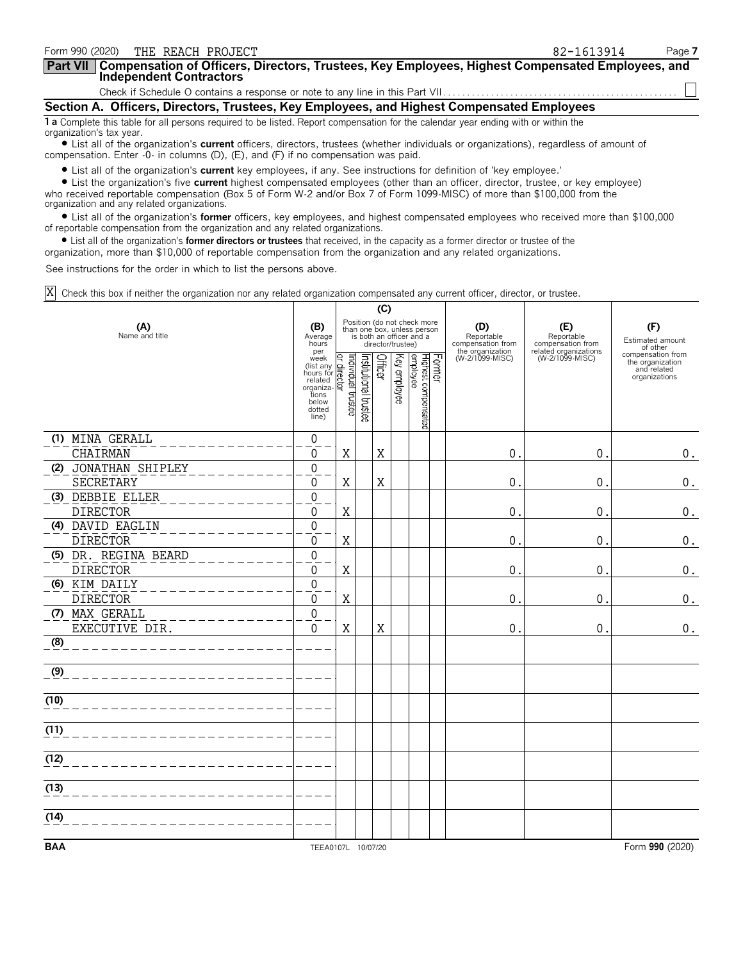| Form 990 (2020) THE REACH PROJECT                                                                                                                                                                                           | 82-1613914 | Page 7 |
|-----------------------------------------------------------------------------------------------------------------------------------------------------------------------------------------------------------------------------|------------|--------|
| Part VII Compensation of Officers, Directors, Trustees, Key Employees, Highest Compensated Employees, and<br><b>Independent Contractors</b>                                                                                 |            |        |
|                                                                                                                                                                                                                             |            |        |
| Section A. Officers, Directors, Trustees, Key Employees, and Highest Compensated Employees                                                                                                                                  |            |        |
| <b>1a</b> Complete this table for all persons required to be listed. Report compensation for the calendar year ending with or within the<br>organization's tax year.                                                        |            |        |
| • List all of the organization's current officers, directors, trustees (whether individuals or organizations), regardless of amount of<br>compensation. Enter -0- in columns (D), (E), and (F) if no compensation was paid. |            |        |

? List all of the organization's **current** key employees, if any. See instructions for definition of 'key employee.'

? List the organization's five **current** highest compensated employees (other than an officer, director, trustee, or key employee) who received reportable compensation (Box 5 of Form W-2 and/or Box 7 of Form 1099-MISC) of more than \$100,000 from the organization and any related organizations.

? List all of the organization's **former** officers, key employees, and highest compensated employees who received more than \$100,000 of reportable compensation from the organization and any related organizations.

? List all of the organization's **former directors or trustees** that received, in the capacity as a former director or trustee of the

organization, more than \$10,000 of reportable compensation from the organization and any related organizations.

See instructions for the order in which to list the persons above.

Check this box if neither the organization nor any related organization compensated any current officer, director, or trustee. X

|                                         |                                                                                                                                                                              |                         |                          | (C)     |                   |                                                                                        |        |                                                            |                                                                 |                                                                       |
|-----------------------------------------|------------------------------------------------------------------------------------------------------------------------------------------------------------------------------|-------------------------|--------------------------|---------|-------------------|----------------------------------------------------------------------------------------|--------|------------------------------------------------------------|-----------------------------------------------------------------|-----------------------------------------------------------------------|
| (A)<br>Name and title                   | (B)<br>Average<br>hours<br>per                                                                                                                                               |                         |                          |         | director/trustee) | Position (do not check more<br>than one box, unless person<br>is both an officer and a |        | (D)<br>Reportable<br>compensation from<br>the organization | (E)<br>Reportable<br>compensation from<br>related organizations | (F)<br>Estimated amount<br>of other                                   |
|                                         | week<br>$\frac{\text{mcm}}{\text{hours}}$ for $\frac{\text{m}}{\text{m}}$<br>related $\frac{\text{m}}{\text{m}}$<br>related<br>organiza<br>tions<br>below<br>dotted<br>line) | Individual trustee<br>g | Institutional<br>trustee | Officer | Key employee      | Highest compensated<br>employee                                                        | Former | (W-2/1099-MISC)                                            | (W-2/1099-MISC)                                                 | compensation from<br>the organization<br>and related<br>organizations |
| (1) MINA GERALL                         | $\pmb{0}$                                                                                                                                                                    |                         |                          |         |                   |                                                                                        |        |                                                            |                                                                 |                                                                       |
| CHAIRMAN                                | 0                                                                                                                                                                            | X                       |                          | X       |                   |                                                                                        |        | 0                                                          | 0.                                                              | $0$ .                                                                 |
| (2) JONATHAN SHIPLEY                    | $\mathbf 0$                                                                                                                                                                  |                         |                          |         |                   |                                                                                        |        |                                                            |                                                                 |                                                                       |
| <b>SECRETARY</b>                        | $\Omega$                                                                                                                                                                     | X                       |                          | X       |                   |                                                                                        |        | 0                                                          | $\mathbf{0}$                                                    | 0.                                                                    |
| (3) DEBBIE ELLER<br><b>DIRECTOR</b>     | $\mathbf{0}$<br>$\Omega$                                                                                                                                                     | $\rm X$                 |                          |         |                   |                                                                                        |        | 0                                                          | 0                                                               | 0.                                                                    |
| (4) DAVID EAGLIN<br><b>DIRECTOR</b>     | $\mathbf 0$<br>$\Omega$                                                                                                                                                      | Χ                       |                          |         |                   |                                                                                        |        | 0                                                          | 0                                                               | $0$ .                                                                 |
| (5) DR. REGINA BEARD<br><b>DIRECTOR</b> | $\mathbf 0$<br>$\Omega$                                                                                                                                                      | Χ                       |                          |         |                   |                                                                                        |        | 0                                                          | 0.                                                              | 0.                                                                    |
| (6) KIM DAILY<br><b>DIRECTOR</b>        | $\mathbf 0$<br>$\Omega$                                                                                                                                                      | $\mathbf X$             |                          |         |                   |                                                                                        |        | 0                                                          | $0$ .                                                           | 0.                                                                    |
| (7) MAX GERALL<br>EXECUTIVE DIR.        | $\mathbf 0$<br>$\Omega$                                                                                                                                                      | $\mathbf X$             |                          | X       |                   |                                                                                        |        | 0                                                          | 0.                                                              | $\boldsymbol{0}$ .                                                    |
| (8)                                     |                                                                                                                                                                              |                         |                          |         |                   |                                                                                        |        |                                                            |                                                                 |                                                                       |
| (9)                                     |                                                                                                                                                                              |                         |                          |         |                   |                                                                                        |        |                                                            |                                                                 |                                                                       |
| (10)                                    |                                                                                                                                                                              |                         |                          |         |                   |                                                                                        |        |                                                            |                                                                 |                                                                       |
| (11)                                    |                                                                                                                                                                              |                         |                          |         |                   |                                                                                        |        |                                                            |                                                                 |                                                                       |
| (12)                                    |                                                                                                                                                                              |                         |                          |         |                   |                                                                                        |        |                                                            |                                                                 |                                                                       |
| (13)                                    |                                                                                                                                                                              |                         |                          |         |                   |                                                                                        |        |                                                            |                                                                 |                                                                       |
| (14)                                    |                                                                                                                                                                              |                         |                          |         |                   |                                                                                        |        |                                                            |                                                                 |                                                                       |
| <b>BAA</b>                              | TEEA0107L 10/07/20                                                                                                                                                           |                         |                          |         |                   |                                                                                        |        |                                                            |                                                                 | Form 990 (2020)                                                       |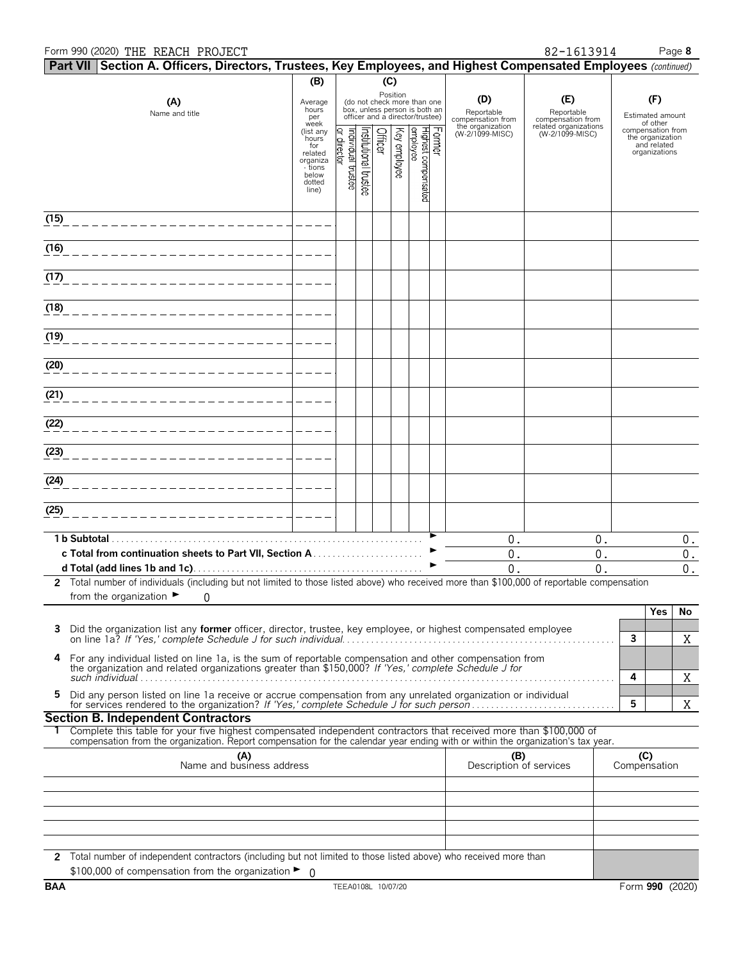#### Form 990 (2020) THE REACH PROJECT **12 Automobile 12 Automobile 12 Automobile 12 Automobile 12 Automobile 13 Automobile 13 Automobile 13 Automobile 13 Automobile 13 Automobile 13 Automobile 13 Automobile 13 Automobile 13 Au**

| (C)<br>(B)<br>Position<br>(do not check more than one<br>(D)<br>(E)<br>(A)<br>Average<br>hours<br>box, unless person is both an<br>Reportable<br>Reportable<br>Name and title<br>officer and a director/trustee)<br>per<br>compensation from<br>compensation from<br>week<br>the organization<br>related organizations<br>Former<br>Highest compensated<br>employee<br>(list any<br>or director<br>Key employee<br>ndividual trustee<br>nstitutional trustee<br>Officer<br>(W-2/1099-MISC)<br>(W-2/1099-MISC)<br>hours<br>for<br>related<br>organiza<br>- tions<br>below<br>dotted<br>line)<br>(15)<br>(16)<br>(17)<br>(18) | (F)<br>Estimated amount<br>of other<br>compensation from<br>the organization<br>and related<br>organizations |
|-----------------------------------------------------------------------------------------------------------------------------------------------------------------------------------------------------------------------------------------------------------------------------------------------------------------------------------------------------------------------------------------------------------------------------------------------------------------------------------------------------------------------------------------------------------------------------------------------------------------------------|--------------------------------------------------------------------------------------------------------------|
|                                                                                                                                                                                                                                                                                                                                                                                                                                                                                                                                                                                                                             |                                                                                                              |
|                                                                                                                                                                                                                                                                                                                                                                                                                                                                                                                                                                                                                             |                                                                                                              |
|                                                                                                                                                                                                                                                                                                                                                                                                                                                                                                                                                                                                                             |                                                                                                              |
|                                                                                                                                                                                                                                                                                                                                                                                                                                                                                                                                                                                                                             |                                                                                                              |
|                                                                                                                                                                                                                                                                                                                                                                                                                                                                                                                                                                                                                             |                                                                                                              |
|                                                                                                                                                                                                                                                                                                                                                                                                                                                                                                                                                                                                                             |                                                                                                              |
|                                                                                                                                                                                                                                                                                                                                                                                                                                                                                                                                                                                                                             |                                                                                                              |
|                                                                                                                                                                                                                                                                                                                                                                                                                                                                                                                                                                                                                             |                                                                                                              |
|                                                                                                                                                                                                                                                                                                                                                                                                                                                                                                                                                                                                                             |                                                                                                              |
|                                                                                                                                                                                                                                                                                                                                                                                                                                                                                                                                                                                                                             |                                                                                                              |
|                                                                                                                                                                                                                                                                                                                                                                                                                                                                                                                                                                                                                             |                                                                                                              |
| (19)                                                                                                                                                                                                                                                                                                                                                                                                                                                                                                                                                                                                                        |                                                                                                              |
| (20)                                                                                                                                                                                                                                                                                                                                                                                                                                                                                                                                                                                                                        |                                                                                                              |
| (21)                                                                                                                                                                                                                                                                                                                                                                                                                                                                                                                                                                                                                        |                                                                                                              |
| (22)                                                                                                                                                                                                                                                                                                                                                                                                                                                                                                                                                                                                                        |                                                                                                              |
| (23)                                                                                                                                                                                                                                                                                                                                                                                                                                                                                                                                                                                                                        |                                                                                                              |
|                                                                                                                                                                                                                                                                                                                                                                                                                                                                                                                                                                                                                             |                                                                                                              |
| (24)                                                                                                                                                                                                                                                                                                                                                                                                                                                                                                                                                                                                                        |                                                                                                              |
| (25)                                                                                                                                                                                                                                                                                                                                                                                                                                                                                                                                                                                                                        |                                                                                                              |
| 1 b Subtotal<br>$0$ .<br>$0$ .                                                                                                                                                                                                                                                                                                                                                                                                                                                                                                                                                                                              | 0.                                                                                                           |
| 0.<br>0.                                                                                                                                                                                                                                                                                                                                                                                                                                                                                                                                                                                                                    | $0$ .                                                                                                        |
| $\overline{0}$ .<br>$\mathbf 0$ .<br>2 Total number of individuals (including but not limited to those listed above) who received more than \$100,000 of reportable compensation                                                                                                                                                                                                                                                                                                                                                                                                                                            | $0$ .                                                                                                        |
| from the organization $\blacktriangleright$<br>0                                                                                                                                                                                                                                                                                                                                                                                                                                                                                                                                                                            |                                                                                                              |
|                                                                                                                                                                                                                                                                                                                                                                                                                                                                                                                                                                                                                             | Yes<br>No                                                                                                    |
| 3 Did the organization list any former officer, director, trustee, key employee, or highest compensated employee<br>3                                                                                                                                                                                                                                                                                                                                                                                                                                                                                                       | X                                                                                                            |
|                                                                                                                                                                                                                                                                                                                                                                                                                                                                                                                                                                                                                             |                                                                                                              |
| 4 For any individual listed on line 1a, is the sum of reportable compensation and other compensation from the organization and related organizations greater than \$150,000? If 'Yes,' complete Schedule J for                                                                                                                                                                                                                                                                                                                                                                                                              |                                                                                                              |
| 4<br>Did any person listed on line 1a receive or accrue compensation from any unrelated organization or individual<br>5                                                                                                                                                                                                                                                                                                                                                                                                                                                                                                     | Χ                                                                                                            |
| 5                                                                                                                                                                                                                                                                                                                                                                                                                                                                                                                                                                                                                           | X                                                                                                            |
| <b>Section B. Independent Contractors</b><br>Complete this table for your five highest compensated independent contractors that received more than \$100,000 of                                                                                                                                                                                                                                                                                                                                                                                                                                                             |                                                                                                              |
| compensation from the organization. Report compensation for the calendar year ending with or within the organization's tax year.                                                                                                                                                                                                                                                                                                                                                                                                                                                                                            |                                                                                                              |
| (A)<br>Name and business address<br>(B)<br>Description of services                                                                                                                                                                                                                                                                                                                                                                                                                                                                                                                                                          | (C)<br>Compensation                                                                                          |
|                                                                                                                                                                                                                                                                                                                                                                                                                                                                                                                                                                                                                             |                                                                                                              |
|                                                                                                                                                                                                                                                                                                                                                                                                                                                                                                                                                                                                                             |                                                                                                              |
|                                                                                                                                                                                                                                                                                                                                                                                                                                                                                                                                                                                                                             |                                                                                                              |
|                                                                                                                                                                                                                                                                                                                                                                                                                                                                                                                                                                                                                             |                                                                                                              |
| 2 Total number of independent contractors (including but not limited to those listed above) who received more than<br>\$100,000 of compensation from the organization $\blacktriangleright$ 0                                                                                                                                                                                                                                                                                                                                                                                                                               |                                                                                                              |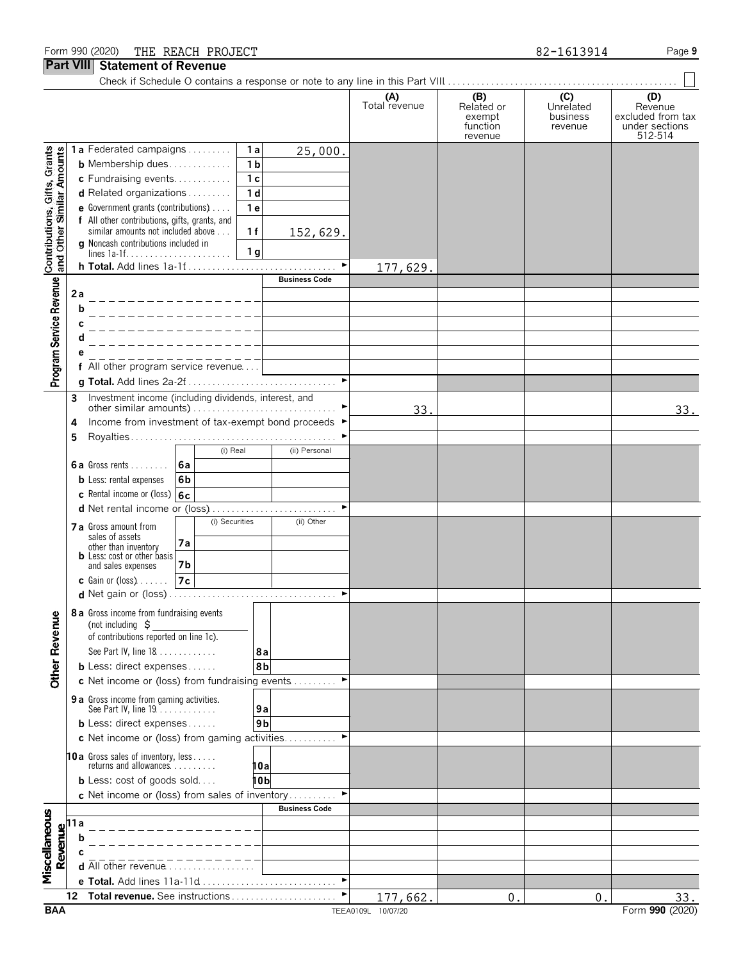#### Form 990 (2020) Page **9** THE REACH PROJECT 82-1613914

Contributions, Gifts, Grants<br>and Other Similar Amounts

Program Service Revenue

#### **Part VIII Statement of Revenue**

|                                                                                     |                |                |                      | (A)<br>Total revenue | (B)<br>Related or<br>exempt<br>function<br>revenue | (C)<br>Unrelated<br>business<br>revenue | (D)<br>Revenue<br>excluded from tax<br>under sections<br>512-514 |
|-------------------------------------------------------------------------------------|----------------|----------------|----------------------|----------------------|----------------------------------------------------|-----------------------------------------|------------------------------------------------------------------|
| 1a Federated campaigns                                                              |                | 1a             | 25,000.              |                      |                                                    |                                         |                                                                  |
| <b>b</b> Membership dues                                                            |                | 1 <sub>b</sub> |                      |                      |                                                    |                                         |                                                                  |
| <b>c</b> Fundraising events                                                         |                | 1 <sub>c</sub> |                      |                      |                                                    |                                         |                                                                  |
| <b>d</b> Related organizations $\ldots$                                             |                | 1 <sub>d</sub> |                      |                      |                                                    |                                         |                                                                  |
| e Government grants (contributions)                                                 |                | 1 <sub>e</sub> |                      |                      |                                                    |                                         |                                                                  |
| f All other contributions, gifts, grants, and<br>similar amounts not included above |                | 1f             | 152,629.             |                      |                                                    |                                         |                                                                  |
| g Noncash contributions included in                                                 |                |                |                      |                      |                                                    |                                         |                                                                  |
|                                                                                     |                | 1 <sub>q</sub> |                      |                      |                                                    |                                         |                                                                  |
|                                                                                     |                |                |                      | 177,629.             |                                                    |                                         |                                                                  |
|                                                                                     |                |                | <b>Business Code</b> |                      |                                                    |                                         |                                                                  |
| 2a<br>_______________                                                               |                |                |                      |                      |                                                    |                                         |                                                                  |
| b                                                                                   |                |                |                      |                      |                                                    |                                         |                                                                  |
| C                                                                                   |                |                |                      |                      |                                                    |                                         |                                                                  |
| d                                                                                   |                |                |                      |                      |                                                    |                                         |                                                                  |
| е<br>f All other program service revenue                                            |                |                |                      |                      |                                                    |                                         |                                                                  |
|                                                                                     |                |                |                      |                      |                                                    |                                         |                                                                  |
|                                                                                     |                |                |                      |                      |                                                    |                                         |                                                                  |
| 3 Investment income (including dividends, interest, and                             |                |                |                      | 33.                  |                                                    |                                         | 33.                                                              |
| Income from investment of tax-exempt bond proceeds ▶<br>4                           |                |                |                      |                      |                                                    |                                         |                                                                  |
| 5.                                                                                  |                |                |                      |                      |                                                    |                                         |                                                                  |
|                                                                                     | (i) Real       |                | (ii) Personal        |                      |                                                    |                                         |                                                                  |
| <b>6a</b> Gross rents $\ldots$ ,                                                    | l6a            |                |                      |                      |                                                    |                                         |                                                                  |
| <b>b</b> Less: rental expenses                                                      | 6 <sub>b</sub> |                |                      |                      |                                                    |                                         |                                                                  |
| c Rental income or (loss) 6c                                                        |                |                |                      |                      |                                                    |                                         |                                                                  |
|                                                                                     |                |                |                      |                      |                                                    |                                         |                                                                  |
| 7 a Gross amount from                                                               | (i) Securities |                | (ii) Other           |                      |                                                    |                                         |                                                                  |
| sales of assets                                                                     | 7a             |                |                      |                      |                                                    |                                         |                                                                  |
| other than inventory<br><b>b</b> Less: cost or other basis<br>and sales expenses    | 7b             |                |                      |                      |                                                    |                                         |                                                                  |
| <b>c</b> Gain or (loss) $\ldots$ .                                                  | 7c             |                |                      |                      |                                                    |                                         |                                                                  |
|                                                                                     |                |                |                      |                      |                                                    |                                         |                                                                  |
|                                                                                     |                |                |                      |                      |                                                    |                                         |                                                                  |

| <b>BAA</b>           |                                                                                                              | TEEA0109L 10/07/20    |   | Form 990 (2020) |
|----------------------|--------------------------------------------------------------------------------------------------------------|-----------------------|---|-----------------|
|                      | <b>Total revenue.</b> See instructions<br>12 <sup>2</sup>                                                    | 177,662.              | 0 | 33.<br>$\Omega$ |
|                      |                                                                                                              | $\blacktriangleright$ |   |                 |
| Miscellaneous        | Revenue<br>$\overline{a}$<br>$\overline{b}$<br>$\overline{a}$<br>$\overline{a}$<br>d All other revenue       |                       |   |                 |
|                      | $- - - - - - - - -$                                                                                          |                       |   |                 |
|                      |                                                                                                              |                       |   |                 |
|                      |                                                                                                              |                       |   |                 |
|                      | <b>Business Code</b>                                                                                         |                       |   |                 |
|                      | c Net income or (loss) from sales of inventory                                                               |                       |   |                 |
|                      | 10Ы<br><b>b</b> Less: $cost$ of goods $sold$                                                                 |                       |   |                 |
|                      | <b>10a</b> Gross sales of inventory, less<br>returns and allowances<br>10a                                   |                       |   |                 |
|                      | c Net income or (loss) from gaming activities                                                                |                       |   |                 |
|                      | <b>b</b> Less: direct expenses<br>9 <sub>b</sub>                                                             |                       |   |                 |
|                      | 9 a Gross income from gaming activities.<br>9a                                                               |                       |   |                 |
|                      | c Net income or (loss) from fundraising events                                                               | ►                     |   |                 |
|                      | <b>b</b> Less: direct expenses<br>8b                                                                         |                       |   |                 |
|                      | See Part IV, line 18<br>8a                                                                                   |                       |   |                 |
| <b>Other Revenue</b> | 8 a Gross income from fundraising events<br>(not including $\zeta$<br>of contributions reported on line 1c). |                       |   |                 |
|                      |                                                                                                              | ▶                     |   |                 |
|                      | 7c<br>$c$ Gain or (loss) $\dots$ .                                                                           |                       |   |                 |
|                      | יוטוויטו נוועוו ווועטוונטו<br><b>b</b> Less: cost or other basis<br>7b<br>and sales expenses                 |                       |   |                 |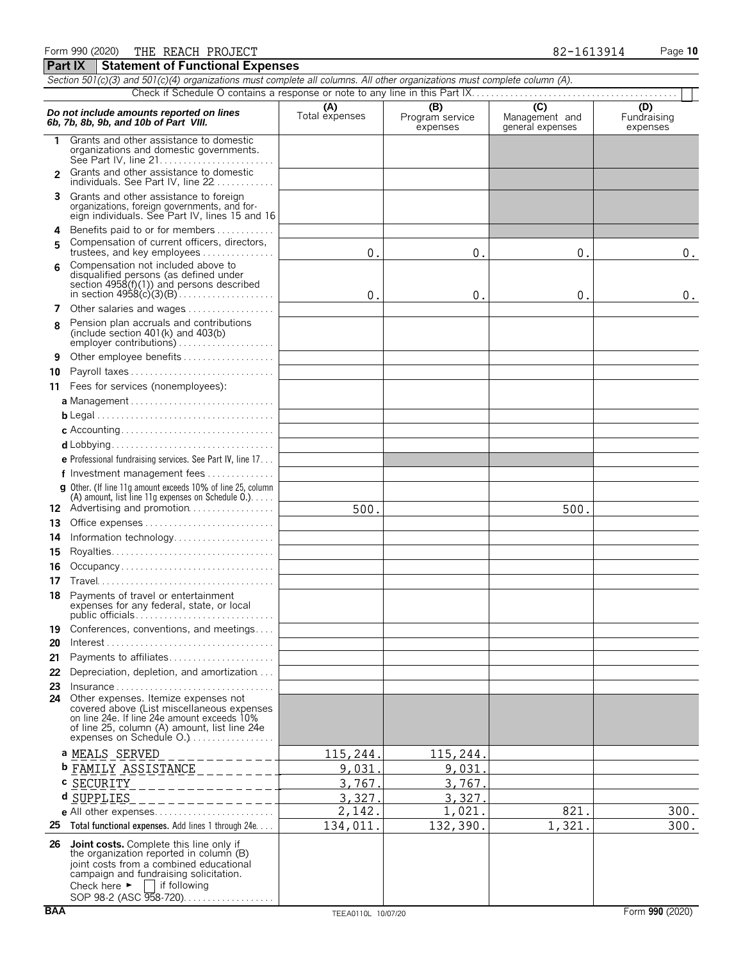| Section 501(c)(3) and 501(c)(4) organizations must complete all columns. All other organizations must complete column (A). |                                                                                                                                                                                                                                                              |                       |                                    |                                                      |                                |  |  |  |
|----------------------------------------------------------------------------------------------------------------------------|--------------------------------------------------------------------------------------------------------------------------------------------------------------------------------------------------------------------------------------------------------------|-----------------------|------------------------------------|------------------------------------------------------|--------------------------------|--|--|--|
|                                                                                                                            |                                                                                                                                                                                                                                                              |                       |                                    |                                                      |                                |  |  |  |
|                                                                                                                            | Do not include amounts reported on lines<br>6b, 7b, 8b, 9b, and 10b of Part VIII.                                                                                                                                                                            | (A)<br>Total expenses | (B)<br>Program service<br>expenses | $\overline{C}$<br>Management and<br>general expenses | (D)<br>Fundraising<br>expenses |  |  |  |
| 1.                                                                                                                         | Grants and other assistance to domestic<br>organizations and domestic governments.<br>See Part IV. line $21, \ldots, \ldots, \ldots, \ldots, \ldots, \ldots$                                                                                                 |                       |                                    |                                                      |                                |  |  |  |
| $\overline{2}$                                                                                                             | Grants and other assistance to domestic<br>individuals. See Part IV, line 22                                                                                                                                                                                 |                       |                                    |                                                      |                                |  |  |  |
|                                                                                                                            | 3 Grants and other assistance to foreign<br>organizations, foreign governments, and for-<br>eign individuals. See Part IV, lines 15 and 16                                                                                                                   |                       |                                    |                                                      |                                |  |  |  |
| 4                                                                                                                          | Benefits paid to or for members                                                                                                                                                                                                                              |                       |                                    |                                                      |                                |  |  |  |
| 5                                                                                                                          | Compensation of current officers, directors,<br>trustees, and key employees                                                                                                                                                                                  | $0$ .                 | 0.                                 | 0.                                                   | $0$ .                          |  |  |  |
| 6                                                                                                                          | Compensation not included above to<br>disqualified persons (as defined under<br>section $4958(f)(1)$ ) and persons described<br>in section $4958(c)(3)(B)$                                                                                                   | 0.                    | 0.                                 | 0.                                                   | 0.                             |  |  |  |
| 7                                                                                                                          | Other salaries and wages                                                                                                                                                                                                                                     |                       |                                    |                                                      |                                |  |  |  |
| 8                                                                                                                          | Pension plan accruals and contributions<br>(include section $401(k)$ and $403(b)$ )<br>employer contributions)                                                                                                                                               |                       |                                    |                                                      |                                |  |  |  |
| 9                                                                                                                          | Other employee benefits                                                                                                                                                                                                                                      |                       |                                    |                                                      |                                |  |  |  |
| 10                                                                                                                         | Payroll taxes                                                                                                                                                                                                                                                |                       |                                    |                                                      |                                |  |  |  |
|                                                                                                                            | 11 Fees for services (nonemployees):                                                                                                                                                                                                                         |                       |                                    |                                                      |                                |  |  |  |
|                                                                                                                            |                                                                                                                                                                                                                                                              |                       |                                    |                                                      |                                |  |  |  |
|                                                                                                                            |                                                                                                                                                                                                                                                              |                       |                                    |                                                      |                                |  |  |  |
|                                                                                                                            |                                                                                                                                                                                                                                                              |                       |                                    |                                                      |                                |  |  |  |
|                                                                                                                            |                                                                                                                                                                                                                                                              |                       |                                    |                                                      |                                |  |  |  |
|                                                                                                                            | e Professional fundraising services. See Part IV, line 17                                                                                                                                                                                                    |                       |                                    |                                                      |                                |  |  |  |
|                                                                                                                            | f Investment management fees                                                                                                                                                                                                                                 |                       |                                    |                                                      |                                |  |  |  |
|                                                                                                                            | <b>g</b> Other. (If line 11q amount exceeds 10% of line 25, column                                                                                                                                                                                           |                       |                                    |                                                      |                                |  |  |  |
|                                                                                                                            | (A) amount, list line 11g expenses on Schedule $0.$ )                                                                                                                                                                                                        |                       |                                    |                                                      |                                |  |  |  |
|                                                                                                                            | 12 Advertising and promotion                                                                                                                                                                                                                                 | 500.                  |                                    | 500.                                                 |                                |  |  |  |
| 13                                                                                                                         |                                                                                                                                                                                                                                                              |                       |                                    |                                                      |                                |  |  |  |
| 14                                                                                                                         | Information technology                                                                                                                                                                                                                                       |                       |                                    |                                                      |                                |  |  |  |
| 15                                                                                                                         |                                                                                                                                                                                                                                                              |                       |                                    |                                                      |                                |  |  |  |
| 16                                                                                                                         | Occupancy                                                                                                                                                                                                                                                    |                       |                                    |                                                      |                                |  |  |  |
| 17                                                                                                                         |                                                                                                                                                                                                                                                              |                       |                                    |                                                      |                                |  |  |  |
| 18                                                                                                                         | Payments of travel or entertainment<br>expenses for any federal, state, or local<br>public officials                                                                                                                                                         |                       |                                    |                                                      |                                |  |  |  |
| 19<br>20                                                                                                                   | Conferences, conventions, and meetings                                                                                                                                                                                                                       |                       |                                    |                                                      |                                |  |  |  |
| 21                                                                                                                         | Payments to affiliates                                                                                                                                                                                                                                       |                       |                                    |                                                      |                                |  |  |  |
| 22                                                                                                                         | Depreciation, depletion, and amortization                                                                                                                                                                                                                    |                       |                                    |                                                      |                                |  |  |  |
| 23                                                                                                                         | $Insurance \ldots \ldots \ldots \ldots \ldots \ldots \ldots \ldots \ldots$                                                                                                                                                                                   |                       |                                    |                                                      |                                |  |  |  |
|                                                                                                                            | 24 Other expenses. Itemize expenses not<br>covered above (List miscellaneous expenses<br>on line 24e. If line 24e amount exceeds 10%<br>of line 25, column (A) amount, list line 24e<br>expenses on Schedule O.)                                             |                       |                                    |                                                      |                                |  |  |  |
|                                                                                                                            | a MEALS SERVED                                                                                                                                                                                                                                               | 115,244.              | 115,244.                           |                                                      |                                |  |  |  |
|                                                                                                                            | <b>b</b> FAMILY ASSISTANCE                                                                                                                                                                                                                                   | 9,031                 | 9,031                              |                                                      |                                |  |  |  |
|                                                                                                                            | c SECURITY<br>$- - - - - - - - - -$                                                                                                                                                                                                                          | 3,767.                | 3,767.                             |                                                      |                                |  |  |  |
|                                                                                                                            | d SUPPLIES<br>__________                                                                                                                                                                                                                                     | 3,327.                | 3,327.                             |                                                      |                                |  |  |  |
|                                                                                                                            |                                                                                                                                                                                                                                                              | 2,142.                | 1,021.                             | 821.                                                 | 300.                           |  |  |  |
| 25                                                                                                                         | Total functional expenses. Add lines 1 through 24e                                                                                                                                                                                                           | 134,011.              | 132,390.                           | 1,321.                                               | 300.                           |  |  |  |
|                                                                                                                            |                                                                                                                                                                                                                                                              |                       |                                    |                                                      |                                |  |  |  |
| 26                                                                                                                         | <b>Joint costs.</b> Complete this line only if<br>the organization reported in column (B)<br>joint costs from a combined educational<br>campaign and fundraising solicitation.<br>Check here $\blacktriangleright$<br>if following<br>SOP 98-2 (ASC 958-720) |                       |                                    |                                                      |                                |  |  |  |

Form 990 (2020) Page **10** THE REACH PROJECT 82-1613914

**Part IX Statement of Functional Expenses**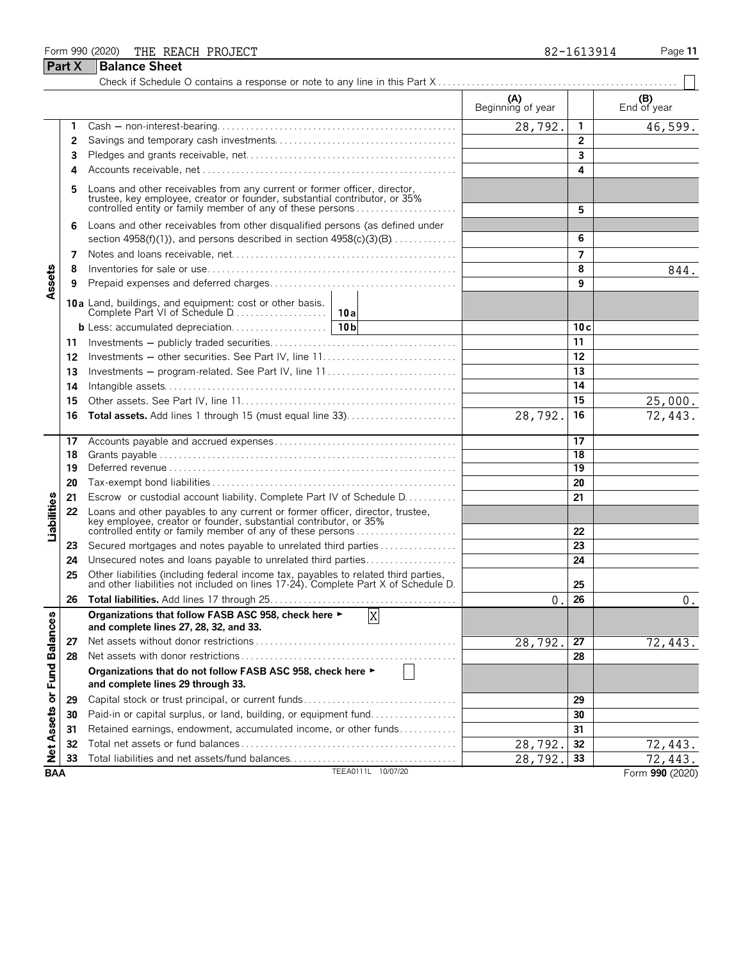#### Form 990 (2020) Page **11** THE REACH PROJECT 82-1613914 **Part X Balance Sheet** Check if Schedule O contains a response or note to any line in this Part X . . . . . . . . . . . . . . . . . . . . . . . . . . . . . . . . . . . . . . . . . . . . . . . . . . **(A) (B)**<br>Beginning of year **End of year** 1 Cash - non-interest-bearing. 28,792. 46,599.

|                  |    |                                                                                                                                                                                                                  | 20, 102.         |                | <b>TO, JJJ .</b> |
|------------------|----|------------------------------------------------------------------------------------------------------------------------------------------------------------------------------------------------------------------|------------------|----------------|------------------|
|                  | 2  |                                                                                                                                                                                                                  |                  | $\overline{2}$ |                  |
|                  | 3  |                                                                                                                                                                                                                  |                  | 3              |                  |
|                  | 4  |                                                                                                                                                                                                                  |                  | 4              |                  |
|                  | 5  | Loans and other receivables from any current or former officer, director, trustee, key employee, creator or founder, substantial contributor, or 35% controlled entity or family member of any of these persons  | 5                |                |                  |
|                  | 6  | Loans and other receivables from other disqualified persons (as defined under                                                                                                                                    |                  |                |                  |
|                  |    | section 4958(f)(1)), and persons described in section $4958(c)(3)(B)$                                                                                                                                            |                  | 6              |                  |
|                  | 7  |                                                                                                                                                                                                                  |                  | 7              |                  |
|                  | 8  |                                                                                                                                                                                                                  |                  | 8              | 844.             |
| Assets           | 9  |                                                                                                                                                                                                                  |                  | 9              |                  |
|                  |    | 10a Land, buildings, and equipment: cost or other basis.<br>10 a                                                                                                                                                 |                  |                |                  |
|                  |    | 10 <sub>b</sub>                                                                                                                                                                                                  |                  | 10c            |                  |
|                  | 11 |                                                                                                                                                                                                                  |                  | 11             |                  |
|                  | 12 |                                                                                                                                                                                                                  |                  | 12             |                  |
|                  | 13 | Investments – program-related. See Part IV, line 11                                                                                                                                                              |                  | 13             |                  |
|                  | 14 |                                                                                                                                                                                                                  |                  | 14             |                  |
|                  | 15 |                                                                                                                                                                                                                  |                  | 15             | 25,000.          |
|                  | 16 | <b>Total assets.</b> Add lines 1 through 15 (must equal line 33)                                                                                                                                                 | 28,792.          | 16             | 72,443.          |
|                  | 17 |                                                                                                                                                                                                                  |                  | 17             |                  |
|                  | 18 |                                                                                                                                                                                                                  |                  | 18             |                  |
|                  | 19 |                                                                                                                                                                                                                  |                  | 19             |                  |
|                  | 20 |                                                                                                                                                                                                                  |                  | 20             |                  |
|                  | 21 | Escrow or custodial account liability. Complete Part IV of Schedule D.                                                                                                                                           |                  | 21             |                  |
| Liabilities      | 22 | Loans and other payables to any current or former officer, director, trustee,<br>key employee, creator or founder, substantial contributor, or 35%<br>controlled entity or family member of any of these persons |                  | 22             |                  |
|                  | 23 | Secured mortgages and notes payable to unrelated third parties                                                                                                                                                   |                  | 23             |                  |
|                  | 24 | Unsecured notes and loans payable to unrelated third parties                                                                                                                                                     |                  | 24             |                  |
|                  | 25 | Other liabilities (including federal income tax, payables to related third parties, and other liabilities not included on lines 17-24). Complete Part X of Schedule D.                                           |                  | 25             |                  |
|                  | 26 |                                                                                                                                                                                                                  | $\overline{0}$ . | 26             | 0.               |
| <b>Balances</b>  |    | Organizations that follow FASB ASC 958, check here ►<br>X<br>and complete lines 27, 28, 32, and 33.                                                                                                              |                  |                |                  |
|                  | 27 |                                                                                                                                                                                                                  | 28,792           | 27             | 72,443.          |
|                  | 28 |                                                                                                                                                                                                                  |                  | 28             |                  |
| 꾿                |    | Organizations that do not follow FASB ASC 958, check here ►<br>and complete lines 29 through 33.                                                                                                                 |                  |                |                  |
|                  | 29 |                                                                                                                                                                                                                  |                  | 29             |                  |
|                  | 30 | Paid-in or capital surplus, or land, building, or equipment fund                                                                                                                                                 |                  | 30             |                  |
|                  | 31 | Retained earnings, endowment, accumulated income, or other funds                                                                                                                                                 |                  | 31             |                  |
|                  | 32 |                                                                                                                                                                                                                  | 28,792.          | 32             | 72,443.          |
| Net Assets or Fu | 33 |                                                                                                                                                                                                                  | 28,792.          | 33             | 72,443.          |
| <b>BAA</b>       |    | TEEA0111L 10/07/20                                                                                                                                                                                               |                  |                | Form 990 (2020)  |
|                  |    |                                                                                                                                                                                                                  |                  |                |                  |

 $\Box$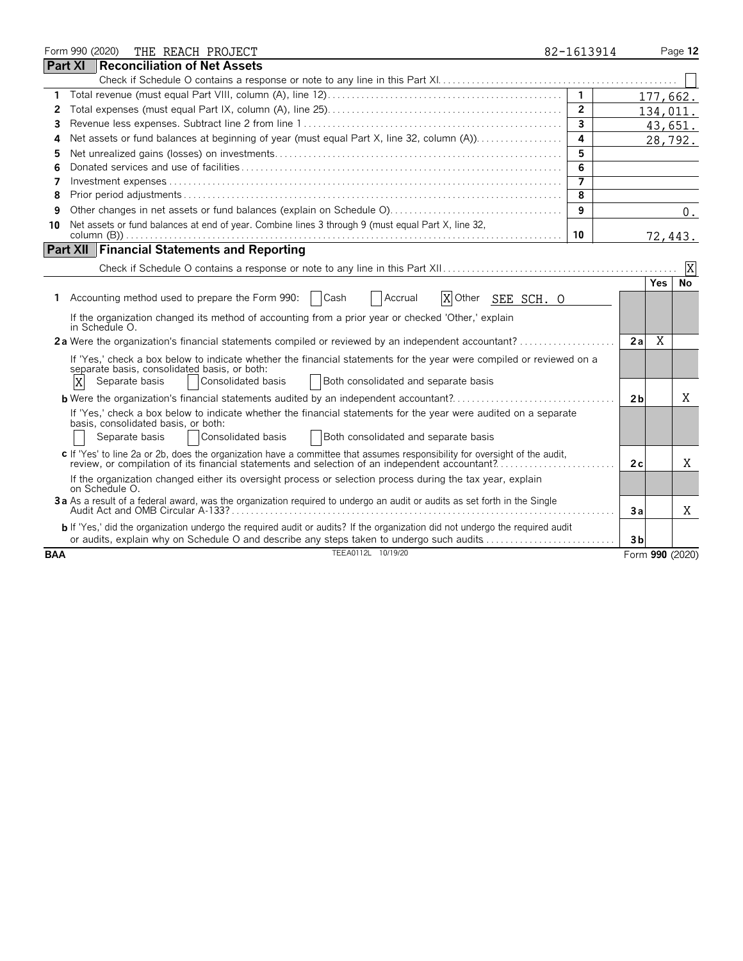|            |         | Form 990 (2020) | THE REACH PROJECT                                                                                                                                                                                                             | 82-1613914              |                |            | Page 12         |
|------------|---------|-----------------|-------------------------------------------------------------------------------------------------------------------------------------------------------------------------------------------------------------------------------|-------------------------|----------------|------------|-----------------|
|            | Part XI |                 | <b>Reconciliation of Net Assets</b>                                                                                                                                                                                           |                         |                |            |                 |
|            |         |                 |                                                                                                                                                                                                                               |                         |                |            |                 |
| 1.         |         |                 |                                                                                                                                                                                                                               | $\mathbf{1}$            |                |            | 177,662.        |
| 2          |         |                 |                                                                                                                                                                                                                               | $\overline{2}$          |                |            | 134,011.        |
| 3          |         |                 |                                                                                                                                                                                                                               | $\overline{3}$          |                |            | 43,651.         |
| 4          |         |                 | Net assets or fund balances at beginning of year (must equal Part X, line 32, column (A))                                                                                                                                     | 4                       |                |            | 28,792.         |
| 5          |         |                 |                                                                                                                                                                                                                               | 5                       |                |            |                 |
|            |         |                 |                                                                                                                                                                                                                               | 6                       |                |            |                 |
| 7          |         |                 |                                                                                                                                                                                                                               |                         |                |            |                 |
| 8          |         |                 |                                                                                                                                                                                                                               | $\overline{\mathbf{8}}$ |                |            |                 |
| 9          |         |                 |                                                                                                                                                                                                                               | 9                       |                |            | 0.              |
| 10         |         |                 | Net assets or fund balances at end of year. Combine lines 3 through 9 (must equal Part X, line 32,                                                                                                                            |                         |                |            |                 |
|            |         |                 | column (B) $\ldots$ $\ldots$ $\ldots$ $\ldots$ $\ldots$ $\ldots$ $\ldots$ $\ldots$ $\ldots$ $\ldots$ $\ldots$ $\ldots$ $\ldots$ $\ldots$ $\ldots$                                                                             | 10                      |                |            | 72,443.         |
|            |         |                 | <b>Part XII   Financial Statements and Reporting</b>                                                                                                                                                                          |                         |                |            |                 |
|            |         |                 |                                                                                                                                                                                                                               |                         |                |            | ΙX              |
|            |         |                 |                                                                                                                                                                                                                               |                         |                | <b>Yes</b> | No              |
| 1.         |         |                 | Accounting method used to prepare the Form 990:<br>X Other<br>  Cash<br><b>Accrual</b><br>SEE SCH. O                                                                                                                          |                         |                |            |                 |
|            |         | in Schedule O.  | If the organization changed its method of accounting from a prior year or checked 'Other,' explain                                                                                                                            |                         |                |            |                 |
|            |         |                 | 2a Were the organization's financial statements compiled or reviewed by an independent accountant?                                                                                                                            |                         | 2a             | X          |                 |
|            |         |                 | If 'Yes,' check a box below to indicate whether the financial statements for the year were compiled or reviewed on a                                                                                                          |                         |                |            |                 |
|            |         |                 | separate basis, consolidated basis, or both:                                                                                                                                                                                  |                         |                |            |                 |
|            | X       | Separate basis  | Consolidated basis<br>Both consolidated and separate basis                                                                                                                                                                    |                         |                |            |                 |
|            |         |                 | <b>b</b> Were the organization's financial statements audited by an independent accountant?                                                                                                                                   |                         | 2 <sub>b</sub> |            | X               |
|            |         |                 | If 'Yes,' check a box below to indicate whether the financial statements for the year were audited on a separate                                                                                                              |                         |                |            |                 |
|            |         |                 | basis, consolidated basis, or both:                                                                                                                                                                                           |                         |                |            |                 |
|            |         | Separate basis  | Consolidated basis<br>Both consolidated and separate basis                                                                                                                                                                    |                         |                |            |                 |
|            |         |                 | c If 'Yes' to line 2a or 2b, does the organization have a committee that assumes responsibility for oversight of the audit,<br>review, or compilation of its financial statements and selection of an independent accountant? |                         | 2c             |            | X               |
|            |         | on Schedule O.  | If the organization changed either its oversight process or selection process during the tax year, explain                                                                                                                    |                         |                |            |                 |
|            |         |                 | 3a As a result of a federal award, was the organization required to undergo an audit or audits as set forth in the Single                                                                                                     |                         | 3a             |            | X               |
|            |         |                 | b If 'Yes,' did the organization undergo the required audit or audits? If the organization did not undergo the required audit                                                                                                 |                         |                |            |                 |
|            |         |                 | or audits, explain why on Schedule O and describe any steps taken to undergo such audits                                                                                                                                      |                         | 3 <sub>b</sub> |            |                 |
| <b>BAA</b> |         |                 | TEEA0112L 10/19/20                                                                                                                                                                                                            |                         |                |            | Form 990 (2020) |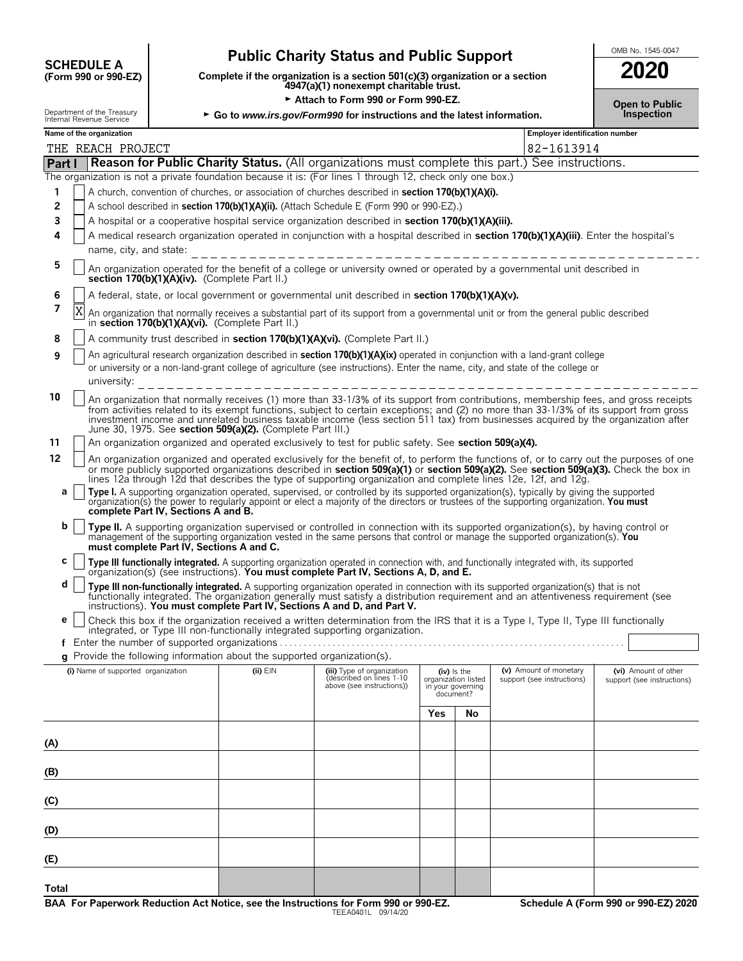## **OMB No. 1545-0047**<br>
Complete if the organization is a section 501(c)(3) organization or a section<br> **SCHEDULE A**<br> **SCHEDULE A**<br> **SCHEDULE A**<br> **SCHEDULE A**<br> **SCHEDULE A**<br> **SCHEDULE A**<br> **SCHEDULE A**<br> **SCHEDULE A**<br> **SCHEDULE**

**COMPOSCHEDULE A**<br>(Form 990 or 990-EZ) Complete if the organization is a section 501(c)(3) organization or a section<br>4947(a)(1) nonexempt charitable trust.

| 2020                                |
|-------------------------------------|
| <b>Open to Public</b><br>Inspection |

|        | ► Attach to Form 990 or Form 990-EZ.<br><b>Open to Public</b>                                                                                                                                   |                                          |                                                                          |                                                                                                                                                                                                                                                                                                                                                                                                                    |     |                                                                        |                                                      |  |                                                    |  |
|--------|-------------------------------------------------------------------------------------------------------------------------------------------------------------------------------------------------|------------------------------------------|--------------------------------------------------------------------------|--------------------------------------------------------------------------------------------------------------------------------------------------------------------------------------------------------------------------------------------------------------------------------------------------------------------------------------------------------------------------------------------------------------------|-----|------------------------------------------------------------------------|------------------------------------------------------|--|----------------------------------------------------|--|
|        | Department of the Treasury<br>Internal Revenue Service                                                                                                                                          |                                          |                                                                          | ► Go to www.irs.gov/Form990 for instructions and the latest information.                                                                                                                                                                                                                                                                                                                                           |     |                                                                        |                                                      |  | Inspection                                         |  |
|        | Name of the organization                                                                                                                                                                        |                                          |                                                                          |                                                                                                                                                                                                                                                                                                                                                                                                                    |     |                                                                        | <b>Employer identification number</b>                |  |                                                    |  |
|        | THE REACH PROJECT                                                                                                                                                                               |                                          |                                                                          |                                                                                                                                                                                                                                                                                                                                                                                                                    |     |                                                                        | 82-1613914                                           |  |                                                    |  |
| Part I |                                                                                                                                                                                                 |                                          |                                                                          | <b>Reason for Public Charity Status.</b> (All organizations must complete this part.) See instructions.                                                                                                                                                                                                                                                                                                            |     |                                                                        |                                                      |  |                                                    |  |
| 1      | The organization is not a private foundation because it is: (For lines 1 through 12, check only one box.)                                                                                       |                                          |                                                                          |                                                                                                                                                                                                                                                                                                                                                                                                                    |     |                                                                        |                                                      |  |                                                    |  |
| 2      | A church, convention of churches, or association of churches described in section 170(b)(1)(A)(i).<br>A school described in section 170(b)(1)(A)(ii). (Attach Schedule E (Form 990 or 990-EZ).) |                                          |                                                                          |                                                                                                                                                                                                                                                                                                                                                                                                                    |     |                                                                        |                                                      |  |                                                    |  |
| 3      |                                                                                                                                                                                                 |                                          |                                                                          | A hospital or a cooperative hospital service organization described in section 170(b)(1)(A)(iii).                                                                                                                                                                                                                                                                                                                  |     |                                                                        |                                                      |  |                                                    |  |
| 4      | name, city, and state:                                                                                                                                                                          |                                          |                                                                          | A medical research organization operated in conjunction with a hospital described in section 170(b)(1)(A)(iii). Enter the hospital's<br>-------------------------------                                                                                                                                                                                                                                            |     |                                                                        |                                                      |  |                                                    |  |
| 5      |                                                                                                                                                                                                 |                                          | section 170(b)(1)(A)(iv). (Complete Part II.)                            | An organization operated for the benefit of a college or university owned or operated by a governmental unit described in                                                                                                                                                                                                                                                                                          |     |                                                                        |                                                      |  |                                                    |  |
| 6      |                                                                                                                                                                                                 |                                          |                                                                          | A federal, state, or local government or governmental unit described in section 170(b)(1)(A)(v).                                                                                                                                                                                                                                                                                                                   |     |                                                                        |                                                      |  |                                                    |  |
| 7      | X                                                                                                                                                                                               |                                          | in section 170(b)(1)(A)(vi). (Complete Part II.)                         | An organization that normally receives a substantial part of its support from a governmental unit or from the general public described                                                                                                                                                                                                                                                                             |     |                                                                        |                                                      |  |                                                    |  |
| 8      |                                                                                                                                                                                                 |                                          |                                                                          | A community trust described in section 170(b)(1)(A)(vi). (Complete Part II.)                                                                                                                                                                                                                                                                                                                                       |     |                                                                        |                                                      |  |                                                    |  |
| 9      |                                                                                                                                                                                                 |                                          |                                                                          | An agricultural research organization described in section 170(b)(1)(A)(ix) operated in conjunction with a land-grant college<br>or university or a non-land-grant college of agriculture (see instructions). Enter the name, city, and state of the college or                                                                                                                                                    |     |                                                                        |                                                      |  |                                                    |  |
| 10     |                                                                                                                                                                                                 |                                          | June 30, 1975. See section 509(a)(2). (Complete Part III.)               | An organization that normally receives (1) more than 33-1/3% of its support from contributions, membership fees, and gross receipts<br>from activities related to its exempt functions, subject to certain exceptions; and (2) no more than 33-1/3% of its support from gross<br>investment income and unrelated business taxable income (less section 511 tax) from businesses acquired by the organization after |     |                                                                        |                                                      |  |                                                    |  |
| 11     |                                                                                                                                                                                                 |                                          |                                                                          | An organization organized and operated exclusively to test for public safety. See section 509(a)(4).                                                                                                                                                                                                                                                                                                               |     |                                                                        |                                                      |  |                                                    |  |
| 12     |                                                                                                                                                                                                 |                                          |                                                                          | An organization organized and operated exclusively for the benefit of, to perform the functions of, or to carry out the purposes of one<br>or more publicly supported organizations described in section 509(a)(1) or section 509(a)(2). See section 509(a)(3). Check the box in<br>lines 12a through 12d that describes the type of supporting organization and complete lines 12e, 12f, and 12g.                 |     |                                                                        |                                                      |  |                                                    |  |
| a      |                                                                                                                                                                                                 | complete Part IV, Sections A and B.      |                                                                          | Type I. A supporting organization operated, supervised, or controlled by its supported organization(s), typically by giving the supported organization(s) the power to regularly appoint or elect a majority of the directors                                                                                                                                                                                      |     |                                                                        |                                                      |  |                                                    |  |
| b      |                                                                                                                                                                                                 | must complete Part IV, Sections A and C. |                                                                          | Type II. A supporting organization supervised or controlled in connection with its supported organization(s), by having control or<br>management of the supporting organization vested in the same persons that control or manage the supported organization(s). You                                                                                                                                               |     |                                                                        |                                                      |  |                                                    |  |
| с      |                                                                                                                                                                                                 |                                          |                                                                          | Type III functionally integrated. A supporting organization operated in connection with, and functionally integrated with, its supported organization(s) (see instructions). You must complete Part IV, Sections A, D, and E.                                                                                                                                                                                      |     |                                                                        |                                                      |  |                                                    |  |
| d      |                                                                                                                                                                                                 |                                          |                                                                          | Type III non-functionally integrated. A supporting organization operated in connection with its supported organization(s) that is not<br>functionally integrated. The organization generally must satisfy a distribution requirement and an attentiveness requirement (see<br>instructions). You must complete Part IV, Sections A and D, and Part V.                                                              |     |                                                                        |                                                      |  |                                                    |  |
| e      |                                                                                                                                                                                                 |                                          |                                                                          | Check this box if the organization received a written determination from the IRS that it is a Type I, Type II, Type III functionally                                                                                                                                                                                                                                                                               |     |                                                                        |                                                      |  |                                                    |  |
| t.     |                                                                                                                                                                                                 |                                          |                                                                          | integrated, or Type III non-functionally integrated supporting organization.                                                                                                                                                                                                                                                                                                                                       |     |                                                                        |                                                      |  |                                                    |  |
|        |                                                                                                                                                                                                 |                                          | g Provide the following information about the supported organization(s). |                                                                                                                                                                                                                                                                                                                                                                                                                    |     |                                                                        |                                                      |  |                                                    |  |
|        | (i) Name of supported organization                                                                                                                                                              |                                          | (ii) EIN                                                                 | (iii) Type of organization<br>described on lines 1-10<br>above (see instructions))                                                                                                                                                                                                                                                                                                                                 |     | $(iv)$ is the<br>organization listed<br>in your governing<br>document? | (v) Amount of monetary<br>support (see instructions) |  | (vi) Amount of other<br>support (see instructions) |  |
|        |                                                                                                                                                                                                 |                                          |                                                                          |                                                                                                                                                                                                                                                                                                                                                                                                                    | Yes | No                                                                     |                                                      |  |                                                    |  |
| (A)    |                                                                                                                                                                                                 |                                          |                                                                          |                                                                                                                                                                                                                                                                                                                                                                                                                    |     |                                                                        |                                                      |  |                                                    |  |
| (B)    |                                                                                                                                                                                                 |                                          |                                                                          |                                                                                                                                                                                                                                                                                                                                                                                                                    |     |                                                                        |                                                      |  |                                                    |  |
| (C)    |                                                                                                                                                                                                 |                                          |                                                                          |                                                                                                                                                                                                                                                                                                                                                                                                                    |     |                                                                        |                                                      |  |                                                    |  |
| (D)    |                                                                                                                                                                                                 |                                          |                                                                          |                                                                                                                                                                                                                                                                                                                                                                                                                    |     |                                                                        |                                                      |  |                                                    |  |
| (E)    |                                                                                                                                                                                                 |                                          |                                                                          |                                                                                                                                                                                                                                                                                                                                                                                                                    |     |                                                                        |                                                      |  |                                                    |  |
|        |                                                                                                                                                                                                 |                                          |                                                                          |                                                                                                                                                                                                                                                                                                                                                                                                                    |     |                                                                        |                                                      |  |                                                    |  |

**Total**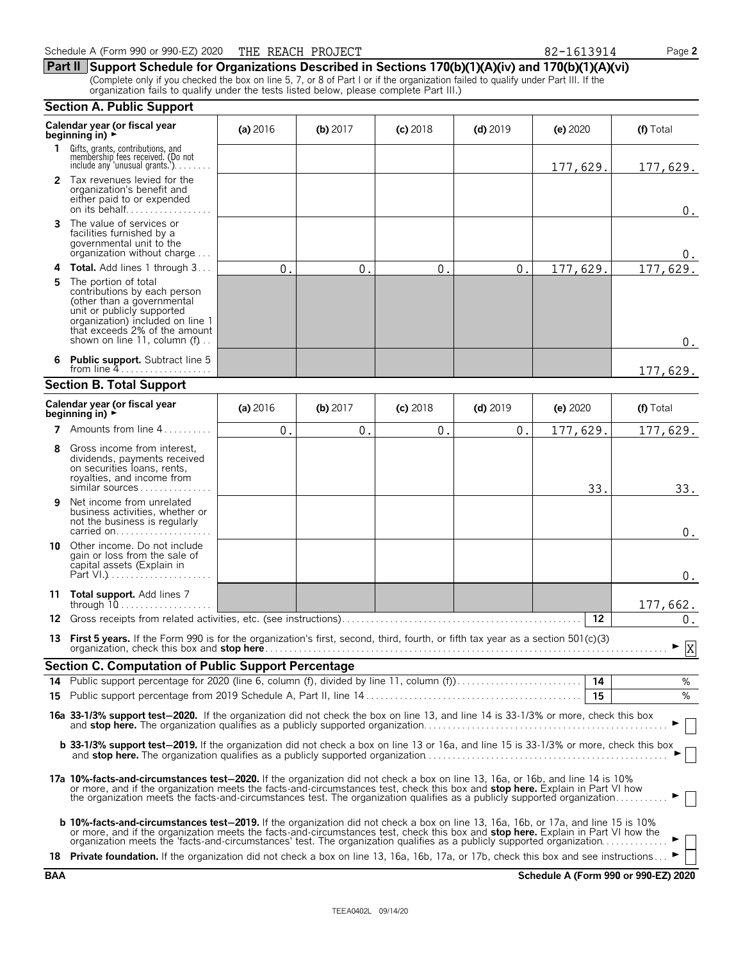|              | organization fails to qualify under the tests listed below, please complete Part III.)                                                                                                                                                                                                                                                                                                      |                  |                |                  |            |                 |           |
|--------------|---------------------------------------------------------------------------------------------------------------------------------------------------------------------------------------------------------------------------------------------------------------------------------------------------------------------------------------------------------------------------------------------|------------------|----------------|------------------|------------|-----------------|-----------|
|              | <b>Section A. Public Support</b>                                                                                                                                                                                                                                                                                                                                                            |                  |                |                  |            |                 |           |
|              | Calendar year (or fiscal year<br>beginning in) $\rightarrow$                                                                                                                                                                                                                                                                                                                                | (a) 2016         | (b) 2017       | $(c)$ 2018       | $(d)$ 2019 | (e) 2020        | (f) Total |
| 1.           | Gifts, grants, contributions, and<br>membership fees received. (Do not<br>include any 'unusual grants.'). $\ldots$                                                                                                                                                                                                                                                                          |                  |                |                  |            | 177,629.        | 177,629.  |
| $\mathbf{2}$ | Tax revenues levied for the<br>organization's benefit and<br>either paid to or expended                                                                                                                                                                                                                                                                                                     |                  |                |                  |            |                 | $0$ .     |
| 3            | The value of services or<br>facilities furnished by a<br>governmental unit to the<br>organization without charge                                                                                                                                                                                                                                                                            |                  |                |                  |            |                 | $0$ .     |
| 4            | <b>Total.</b> Add lines 1 through 3                                                                                                                                                                                                                                                                                                                                                         | $\overline{0}$ . | $\mathbf{0}$ . | $\overline{0}$ . | 0.         | 177,629.        | 177,629.  |
| 5            | The portion of total<br>contributions by each person<br>(other than a governmental<br>unit or publicly supported<br>organization) included on line 1<br>that exceeds 2% of the amount<br>shown on line 11, column $(f)$                                                                                                                                                                     |                  |                |                  |            |                 | $0$ .     |
| 6            | <b>Public support.</b> Subtract line 5<br>from line $4$                                                                                                                                                                                                                                                                                                                                     |                  |                |                  |            |                 | 177,629.  |
|              | <b>Section B. Total Support</b>                                                                                                                                                                                                                                                                                                                                                             |                  |                |                  |            |                 |           |
|              | Calendar year (or fiscal year<br>beginning in) $\rightarrow$                                                                                                                                                                                                                                                                                                                                | (a) 2016         | $(b)$ 2017     | $(c)$ 2018       | $(d)$ 2019 | (e) 2020        | (f) Total |
|              | <b>7</b> Amounts from line $4, \ldots, \ldots$                                                                                                                                                                                                                                                                                                                                              | 0.               | 0.             | 0.               | 0.         | 177,629.        | 177,629.  |
| 8            | Gross income from interest,<br>dividends, payments received<br>on securities loans, rents,<br>royalties, and income from<br>$similar$ sources $\ldots \ldots \ldots \ldots$                                                                                                                                                                                                                 |                  |                |                  |            | 33.             | 33.       |
| 9            | Net income from unrelated<br>business activities, whether or<br>not the business is regularly<br>carried on                                                                                                                                                                                                                                                                                 |                  |                |                  |            |                 | $0$ .     |
| 10           | Other income. Do not include<br>gain or loss from the sale of<br>capital assets (Explain in                                                                                                                                                                                                                                                                                                 |                  |                |                  |            |                 | $0$ .     |
|              | 11 Total support. Add lines 7<br>through 10                                                                                                                                                                                                                                                                                                                                                 |                  |                |                  |            |                 | 177,662.  |
|              | 12 Gross receipts from related activities, etc. (see instructions)                                                                                                                                                                                                                                                                                                                          |                  |                |                  |            | 12              | $0$ .     |
|              | 13 First 5 years. If the Form 990 is for the organization's first, second, third, fourth, or fifth tax year as a section 501(c)(3)                                                                                                                                                                                                                                                          |                  |                |                  |            |                 | X         |
|              | <b>Section C. Computation of Public Support Percentage</b>                                                                                                                                                                                                                                                                                                                                  |                  |                |                  |            |                 |           |
|              |                                                                                                                                                                                                                                                                                                                                                                                             |                  |                |                  |            | $\overline{14}$ | $\%$      |
|              |                                                                                                                                                                                                                                                                                                                                                                                             |                  |                |                  |            | 15              | %         |
|              | 16a 33-1/3% support test-2020. If the organization did not check the box on line 13, and line 14 is 33-1/3% or more, check this box                                                                                                                                                                                                                                                         |                  |                |                  |            |                 |           |
|              | <b>b 33-1/3% support test-2019.</b> If the organization did not check a box on line 13 or 16a, and line 15 is 33-1/3% or more, check this box                                                                                                                                                                                                                                               |                  |                |                  |            |                 |           |
|              | 17a 10%-facts-and-circumstances test-2020. If the organization did not check a box on line 13, 16a, or 16b, and line 14 is 10%<br>or more, and if the organization meets the facts-and-circumstances test, check this box and stop here. Explain in Part VI how<br>the organization meets the facts-and-circumstances test. The organization qualifies as a publicly supported organization |                  |                |                  |            |                 |           |
|              | <b>b 10%-facts-and-circumstances test-2019.</b> If the organization did not check a box on line 13, 16a, 16b, or 17a, and line 15 is 10%<br>or more, and if the organization meets the facts-and-circumstances test, check this box and stop here. Explain in Part VI how the organization meets the 'facts-and-circumstances' test. The organization qualifies as a publi                  |                  |                |                  |            |                 |           |
|              | 18 Private foundation. If the organization did not check a box on line 13, 16a, 16b, 17a, or 17b, check this box and see instructions                                                                                                                                                                                                                                                       |                  |                |                  |            |                 |           |

**BAA Schedule A (Form 990 or 990-EZ) 2020**

| ו 990 or 990-EZ) 2020<br>REACH PROJECT<br>THE<br>391<br>… A (Form ≌<br>Schedule<br>$P$ age $\blacksquare$<br>n |
|----------------------------------------------------------------------------------------------------------------|
|                                                                                                                |

**Part II Support Schedule for Organizations Described in Sections 170(b)(1)(A)(iv) and 170(b)(1)(A)(vi)** (Complete only if you checked the box on line 5, 7, or 8 of Part I or if the organization failed to qualify under Part III. If the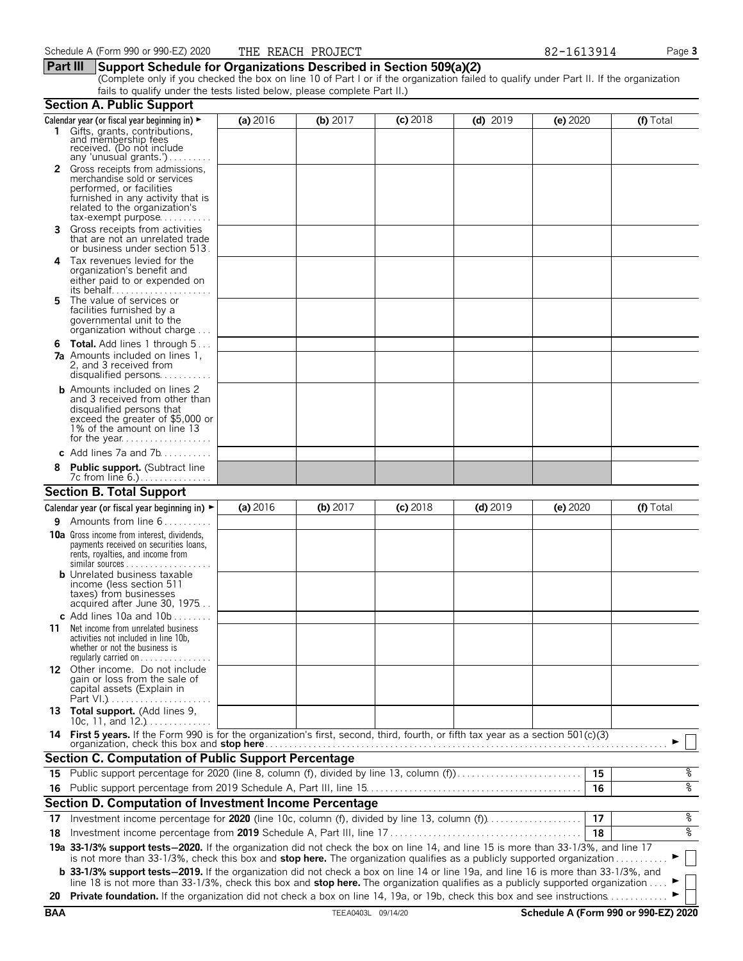#### **Part III Support Schedule for Organizations Described in Section 509(a)(2)**

(Complete only if you checked the box on line 10 of Part I or if the organization failed to qualify under Part II. If the organization fails to qualify under the tests listed below, please complete Part II.)

|            | <b>Section A. Public Support</b>                                                                                                                                                                                                                                              |          |            |            |            |          |           |  |
|------------|-------------------------------------------------------------------------------------------------------------------------------------------------------------------------------------------------------------------------------------------------------------------------------|----------|------------|------------|------------|----------|-----------|--|
|            | Calendar year (or fiscal year beginning in) ►                                                                                                                                                                                                                                 | (a) 2016 | (b) $2017$ | $(c)$ 2018 | $(d)$ 2019 | (e) 2020 | (f) Total |  |
|            | 1 Gifts, grants, contributions,<br>and membership fees<br>received. (Do not include<br>any 'unusual grants.')                                                                                                                                                                 |          |            |            |            |          |           |  |
|            | 2 Gross receipts from admissions,<br>merchandise sold or services<br>performed, or facilities<br>furnished in any activity that is<br>related to the organization's<br>$tax\text{-}exempt$ purpose                                                                            |          |            |            |            |          |           |  |
| 3.         | Gross receipts from activities<br>that are not an unrelated trade<br>or business under section 513.                                                                                                                                                                           |          |            |            |            |          |           |  |
| 4          | Tax revenues levied for the<br>organization's benefit and<br>either paid to or expended on                                                                                                                                                                                    |          |            |            |            |          |           |  |
| 5.         | The value of services or<br>facilities furnished by a<br>governmental unit to the<br>organization without charge                                                                                                                                                              |          |            |            |            |          |           |  |
| 6          | <b>Total.</b> Add lines 1 through 5<br><b>7a</b> Amounts included on lines 1,<br>2, and 3 received from<br>disqualified persons                                                                                                                                               |          |            |            |            |          |           |  |
|            | <b>b</b> Amounts included on lines 2<br>and 3 received from other than<br>disqualified persons that<br>exceed the greater of \$5,000 or<br>1% of the amount on line 13                                                                                                        |          |            |            |            |          |           |  |
|            | c Add lines $7a$ and $7b$                                                                                                                                                                                                                                                     |          |            |            |            |          |           |  |
|            | <b>Public support.</b> (Subtract line                                                                                                                                                                                                                                         |          |            |            |            |          |           |  |
|            | <b>Section B. Total Support</b>                                                                                                                                                                                                                                               |          |            |            |            |          |           |  |
|            | Calendar year (or fiscal year beginning in) $\blacktriangleright$                                                                                                                                                                                                             | (a) 2016 | (b) 2017   | $(c)$ 2018 | $(d)$ 2019 | (e) 2020 | (f) Total |  |
| 9.         | Amounts from line 6                                                                                                                                                                                                                                                           |          |            |            |            |          |           |  |
|            | <b>10a</b> Gross income from interest, dividends,<br>payments received on securities loans,<br>rents, royalties, and income from<br><b>b</b> Unrelated business taxable<br>income (less section 511<br>taxes) from businesses                                                 |          |            |            |            |          |           |  |
|            | acquired after June 30, 1975                                                                                                                                                                                                                                                  |          |            |            |            |          |           |  |
| 11         | c Add lines 10a and $10b$<br>Net income from unrelated business<br>activities not included in line 10b,<br>whether or not the business is<br>regularly carried on $\dots\dots\dots\dots$                                                                                      |          |            |            |            |          |           |  |
|            | 12 Other income. Do not include<br>gain or loss from the sale of<br>capital assets (Explain in                                                                                                                                                                                |          |            |            |            |          |           |  |
|            | 13 Total support. (Add lines 9,<br>10c, 11, and $12$                                                                                                                                                                                                                          |          |            |            |            |          |           |  |
|            | 14 First 5 years. If the Form 990 is for the organization's first, second, third, fourth, or fifth tax year as a section 501(c)(3)<br>organization, check this box and stop here                                                                                              |          |            |            |            |          |           |  |
|            | <b>Section C. Computation of Public Support Percentage</b>                                                                                                                                                                                                                    |          |            |            |            |          |           |  |
|            | 15 Public support percentage for 2020 (line 8, column (f), divided by line 13, column (f)                                                                                                                                                                                     |          |            |            |            | 15       | န့        |  |
|            |                                                                                                                                                                                                                                                                               |          |            |            |            | 16       | ०१०       |  |
|            | Section D. Computation of Investment Income Percentage                                                                                                                                                                                                                        |          |            |            |            |          |           |  |
| 17         |                                                                                                                                                                                                                                                                               |          |            |            |            | 17       | %         |  |
| 18         |                                                                                                                                                                                                                                                                               |          |            |            |            | 18       | ०७        |  |
|            | 19a 33-1/3% support tests-2020. If the organization did not check the box on line 14, and line 15 is more than 33-1/3%, and line 17<br>is not more than 33-1/3%, check this box and stop here. The organization qualifies as a publicly supported organization                |          |            |            |            |          |           |  |
|            | <b>b</b> 33-1/3% support tests-2019. If the organization did not check a box on line 14 or line 19a, and line 16 is more than 33-1/3%, and<br>line 18 is not more than 33-1/3%, check this box and stop here. The organization qualifies as a publicly supported organization |          |            |            |            |          |           |  |
| 20         | Private foundation. If the organization did not check a box on line 14, 19a, or 19b, check this box and see instructions.                                                                                                                                                     |          |            |            |            |          |           |  |
| <b>BAA</b> |                                                                                                                                                                                                                                                                               |          |            |            |            |          |           |  |
|            | Schedule A (Form 990 or 990-EZ) 2020<br>TEEA0403L 09/14/20                                                                                                                                                                                                                    |          |            |            |            |          |           |  |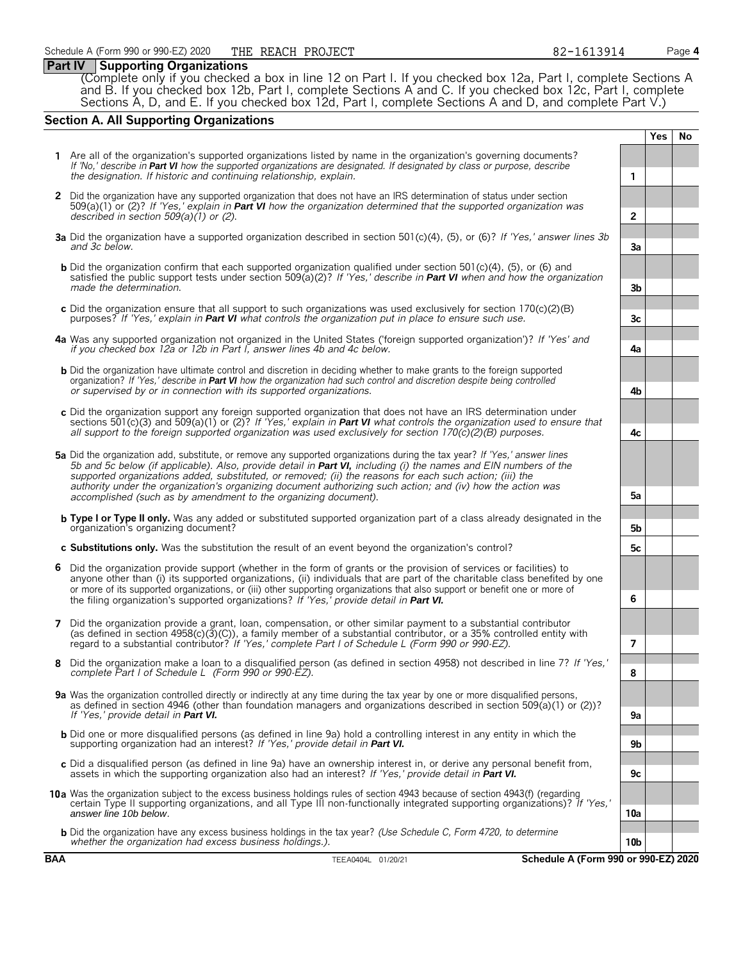#### **Part IV Supporting Organizations**

(Complete only if you checked a box in line 12 on Part I. If you checked box 12a, Part I, complete Sections A and B. If you checked box 12b, Part I, complete Sections A and C. If you checked box 12c, Part I, complete Sections A, D, and E. If you checked box 12d, Part I, complete Sections A and D, and complete Part V.)

#### **Section A. All Supporting Organizations**

|   |                                                                                                                                                                                                                                                                                                                                                                                                                                                                                                                                                      |                 | <b>Yes</b> | <b>No</b> |
|---|------------------------------------------------------------------------------------------------------------------------------------------------------------------------------------------------------------------------------------------------------------------------------------------------------------------------------------------------------------------------------------------------------------------------------------------------------------------------------------------------------------------------------------------------------|-----------------|------------|-----------|
|   | 1 Are all of the organization's supported organizations listed by name in the organization's governing documents?<br>If 'No,' describe in Part VI how the supported organizations are designated. If designated by class or purpose, describe<br>the designation. If historic and continuing relationship, explain.                                                                                                                                                                                                                                  | 1               |            |           |
|   | 2 Did the organization have any supported organization that does not have an IRS determination of status under section<br>$509(a)(1)$ or (2)? If 'Yes,' explain in <b>Part VI</b> how the organization determined that the supported organization was<br>described in section $509(a)(1)$ or (2).                                                                                                                                                                                                                                                    | $\overline{2}$  |            |           |
|   | 3a Did the organization have a supported organization described in section 501(c)(4), (5), or (6)? If 'Yes,' answer lines 3b<br>and 3c below.                                                                                                                                                                                                                                                                                                                                                                                                        | 3a              |            |           |
|   | <b>b</b> Did the organization confirm that each supported organization qualified under section 501(c)(4), (5), or (6) and<br>satisfied the public support tests under section 509( $a(2)$ ? If 'Yes,' describe in <b>Part VI</b> when and how the organization<br>made the determination.                                                                                                                                                                                                                                                            | 3 <sub>b</sub>  |            |           |
|   | c Did the organization ensure that all support to such organizations was used exclusively for section $170(c)(2)(B)$<br>purposes? If 'Yes,' explain in <b>Part VI</b> what controls the organization put in place to ensure such use.                                                                                                                                                                                                                                                                                                                | 3c              |            |           |
|   | 4a Was any supported organization not organized in the United States ('foreign supported organization')? If 'Yes' and<br>if you checked box 12a or 12b in Part I, answer lines 4b and 4c below.                                                                                                                                                                                                                                                                                                                                                      | 4a              |            |           |
|   | <b>b</b> Did the organization have ultimate control and discretion in deciding whether to make grants to the foreign supported<br>organization? If 'Yes,' describe in Part VI how the organization had such control and discretion despite being controlled<br>or supervised by or in connection with its supported organizations.                                                                                                                                                                                                                   | 4b              |            |           |
|   | c Did the organization support any foreign supported organization that does not have an IRS determination under<br>sections 501(c)(3) and 509(a)(1) or (2)? If 'Yes,' explain in <b>Part VI</b> what controls the organization used to ensure that<br>all support to the foreign supported organization was used exclusively for section $170(c)(2)(B)$ purposes.                                                                                                                                                                                    | 4c              |            |           |
|   | 5a Did the organization add, substitute, or remove any supported organizations during the tax year? If 'Yes,' answer lines<br>5b and 5c below (if applicable). Also, provide detail in <b>Part VI</b> , including (i) the names and EIN numbers of the<br>supported organizations added, substituted, or removed; (ii) the reasons for each such action; (iii) the<br>authority under the organization's organizing document authorizing such action; and (iv) how the action was<br>accomplished (such as by amendment to the organizing document). | 5a              |            |           |
|   | <b>b</b> Type I or Type II only. Was any added or substituted supported organization part of a class already designated in the<br>organization's organizing document?                                                                                                                                                                                                                                                                                                                                                                                | 5b              |            |           |
|   | c Substitutions only. Was the substitution the result of an event beyond the organization's control?                                                                                                                                                                                                                                                                                                                                                                                                                                                 | 5с              |            |           |
| 6 | Did the organization provide support (whether in the form of grants or the provision of services or facilities) to<br>anyone other than (i) its supported organizations, (ii) individuals that are part of the charitable class benefited by one<br>or more of its supported organizations, or (iii) other supporting organizations that also support or benefit one or more of<br>the filing organization's supported organizations? If 'Yes,' provide detail in Part VI.                                                                           | 6               |            |           |
| 7 | Did the organization provide a grant, loan, compensation, or other similar payment to a substantial contributor<br>(as defined in section $4958(c)(3)(c)$ ), a family member of a substantial contributor, or a 35% controlled entity with<br>regard to a substantial contributor? If 'Yes,' complete Part I of Schedule L (Form 990 or 990-EZ).                                                                                                                                                                                                     | 7               |            |           |
| 8 | Did the organization make a loan to a disqualified person (as defined in section 4958) not described in line 7? If 'Yes,'<br>complete Part I of Schedule L (Form 990 or 990-EZ).                                                                                                                                                                                                                                                                                                                                                                     | 8               |            |           |
|   | 9a Was the organization controlled directly or indirectly at any time during the tax year by one or more disqualified persons,<br>as defined in section 4946 (other than foundation managers and organizations described in section 509(a)(1) or (2))?<br>If 'Yes,' provide detail in <b>Part VI.</b>                                                                                                                                                                                                                                                | 9a              |            |           |
|   | <b>b</b> Did one or more disqualified persons (as defined in line 9a) hold a controlling interest in any entity in which the<br>supporting organization had an interest? If 'Yes,' provide detail in Part VI.                                                                                                                                                                                                                                                                                                                                        | 9b              |            |           |
|   | c Did a disqualified person (as defined in line 9a) have an ownership interest in, or derive any personal benefit from,<br>assets in which the supporting organization also had an interest? If 'Yes,' provide detail in <b>Part VI.</b>                                                                                                                                                                                                                                                                                                             | 9c              |            |           |
|   | 10a Was the organization subject to the excess business holdings rules of section 4943 because of section 4943(f) (regarding<br>certain Type II supporting organizations, and all Type III non-functionally integrated supporting organizations)? If 'Yes,'<br>answer line 10b below.                                                                                                                                                                                                                                                                | 10a             |            |           |
|   | <b>b</b> Did the organization have any excess business holdings in the tax year? (Use Schedule C, Form 4720, to determine<br>whether the organization had excess business holdings.).                                                                                                                                                                                                                                                                                                                                                                | 10 <sub>b</sub> |            |           |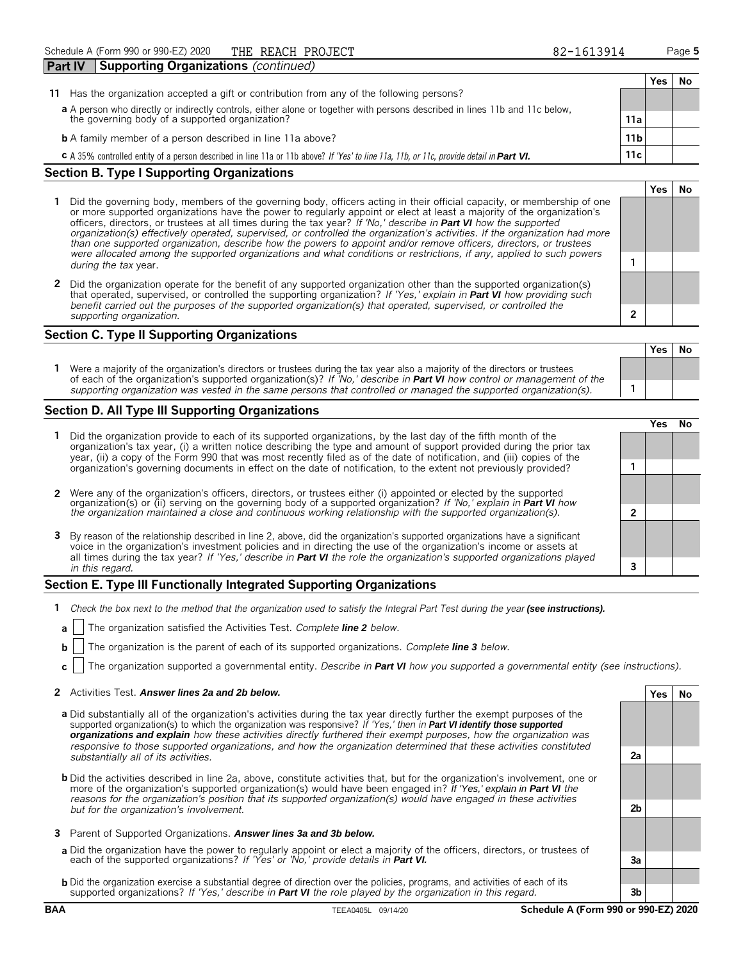**Part IV Supporting Organizations** *(continued)*

|                                                                                                                                                                             |                 | Yes | Νo |
|-----------------------------------------------------------------------------------------------------------------------------------------------------------------------------|-----------------|-----|----|
| Has the organization accepted a gift or contribution from any of the following persons?<br>11                                                                               |                 |     |    |
| a A person who directly or indirectly controls, either alone or together with persons described in lines 11b and 11c below, the governing body of a supported organization? |                 |     |    |
|                                                                                                                                                                             | 11a             |     |    |
| <b>b</b> A family member of a person described in line 11a above?                                                                                                           | 11 <sub>b</sub> |     |    |
| C A 35% controlled entity of a person described in line 11a or 11b above? If 'Yes' to line 11a, 11b, or 11c, provide detail in Part VI.                                     | 11c             |     |    |
|                                                                                                                                                                             |                 |     |    |

#### **Section B. Type I Supporting Organizations**

- **1** Did the governing body, members of the governing body, officers acting in their official capacity, or membership of one or more supported organizations have the power to regularly appoint or elect at least a majority of the organization's officers, directors, or trustees at all times during the tax year? *If 'No,' describe in Part VI how the supported organization(s) effectively operated, supervised, or controlled the organization's activities. If the organization had more than one supported organization, describe how the powers to appoint and/or remove officers, directors, or trustees were allocated among the supported organizations and what conditions or restrictions, if any, applied to such powers* **1** *during the tax* year.
- **2** Did the organization operate for the benefit of any supported organization other than the supported organization(s) that operated, supervised, or controlled the supporting organization? *If 'Yes,' explain in Part VI how providing such benefit carried out the purposes of the supported organization(s) that operated, supervised, or controlled the supporting organization.* **2**

#### **Section C. Type II Supporting Organizations**

**Yes No 1** Were a majority of the organization's directors or trustees during the tax year also a majority of the directors or trustees of each of the organization's supported organization(s)? *If 'No,' describe in Part VI how control or management of the supporting organization was vested in the same persons that controlled or managed the supported organization(s).* **1**

#### **Section D. All Type III Supporting Organizations**

|                                                                                                                                                                                                                                                                                                                                                                                       | ′e< |  |
|---------------------------------------------------------------------------------------------------------------------------------------------------------------------------------------------------------------------------------------------------------------------------------------------------------------------------------------------------------------------------------------|-----|--|
| 1 Did the organization provide to each of its supported organizations, by the last day of the fifth month of the<br>organization's tax year, (i) a written notice describing the type and amount of support provided during the prior tax<br>year, (ii) a copy of the Form 990 that was most recently filed as of the date of notification, and (iii) copies of the                   |     |  |
| organization's governing documents in effect on the date of notification, to the extent not previously provided?                                                                                                                                                                                                                                                                      |     |  |
| 2 Were any of the organization's officers, directors, or trustees either (i) appointed or elected by the supported                                                                                                                                                                                                                                                                    |     |  |
| organization(s) or (ii) serving on the governing body of a supported organization? If No, explain in <b>Part VI</b> how<br>the organization maintained a close and continuous working relationship with the supported organization(s).                                                                                                                                                |     |  |
| 3 By reason of the relationship described in line 2, above, did the organization's supported organizations have a significant<br>voice in the organization's investment policies and in directing the use of the organization's income or assets at<br>all times during the tax year? If 'Yes,' describe in <b>Part VI</b> the role the organization's supported organizations played |     |  |
| in this regard.                                                                                                                                                                                                                                                                                                                                                                       |     |  |

#### **Section E. Type III Functionally Integrated Supporting Organizations**

- **1** *Check the box next to the method that the organization used to satisfy the Integral Part Test during the year (see instructions).* 
	- **a** The organization satisfied the Activities Test. *Complete line 2 below.*
	- **b** The organization is the parent of each of its supported organizations. *Complete line 3 below.*
	- **c** The organization supported a governmental entity. *Describe in Part VI how you supported a governmental entity (see instructions).*

#### **2** Activities Test. *Answer lines 2a and 2b below.* **Yes No**

- **a** Did substantially all of the organization's activities during the tax year directly further the exempt purposes of the supported organization(s) to which the organization was responsive? *If 'Yes,' then in Part VI identify those supported organizations and explain how these activities directly furthered their exempt purposes, how the organization was responsive to those supported organizations, and how the organization determined that these activities constituted substantially all of its activities.* **2a**
- **b** Did the activities described in line 2a, above, constitute activities that, but for the organization's involvement, one or more of the organization's supported organization(s) would have been engaged in? *If 'Yes,' explain in Part VI the reasons for the organization's position that its supported organization(s) would have engaged in these activities but for the organization's involvement.* **2b**
- **3** Parent of Supported Organizations. *Answer lines 3a and 3b below.*
- **a** Did the organization have the power to regularly appoint or elect a majority of the officers, directors, or trustees of each of the supported organizations? *If 'Yes' or 'No,' provide details in Part VI.* **3a**
- **b** Did the organization exercise a substantial degree of direction over the policies, programs, and activities of each of its supported organizations? *If 'Yes,' describe in Part VI the role played by the organization in this regard.* **3b**

**Yes No**

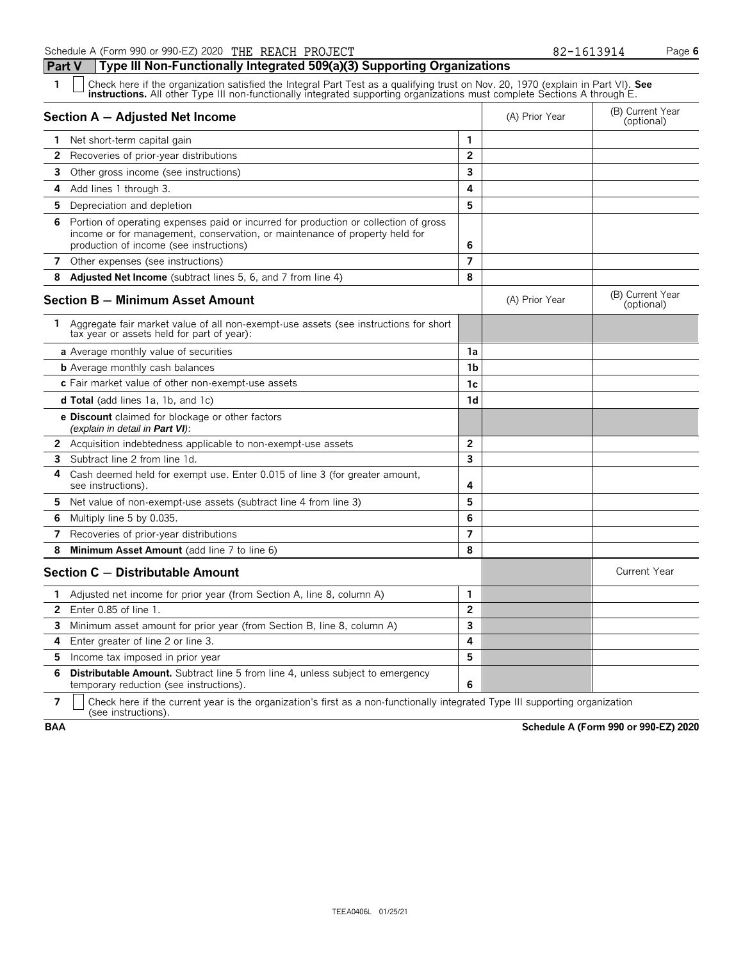**Part V Type III Non-Functionally Integrated 509(a)(3) Supporting Organizations**

| 1            | Check here if the organization satisfied the Integral Part Test as a qualifying trust on Nov. 20, 1970 (explain in Part VI). See<br>instructions. All other Type III non-functionally integrated supporting organizations must complete Sections A through E. |                |                                |                                |
|--------------|---------------------------------------------------------------------------------------------------------------------------------------------------------------------------------------------------------------------------------------------------------------|----------------|--------------------------------|--------------------------------|
|              | Section A - Adjusted Net Income                                                                                                                                                                                                                               | (A) Prior Year | (B) Current Year<br>(optional) |                                |
| 1.           | Net short-term capital gain                                                                                                                                                                                                                                   | 1              |                                |                                |
| $\mathbf{2}$ | Recoveries of prior-year distributions                                                                                                                                                                                                                        | $\overline{2}$ |                                |                                |
| 3            | Other gross income (see instructions)                                                                                                                                                                                                                         | 3              |                                |                                |
| 4            | Add lines 1 through 3.                                                                                                                                                                                                                                        | 4              |                                |                                |
| 5            | Depreciation and depletion                                                                                                                                                                                                                                    | 5              |                                |                                |
| 6            | Portion of operating expenses paid or incurred for production or collection of gross<br>income or for management, conservation, or maintenance of property held for<br>production of income (see instructions)                                                | 6              |                                |                                |
|              | 7 Other expenses (see instructions)                                                                                                                                                                                                                           | $\overline{7}$ |                                |                                |
| 8            | Adjusted Net Income (subtract lines 5, 6, and 7 from line 4)                                                                                                                                                                                                  | 8              |                                |                                |
|              | Section B - Minimum Asset Amount                                                                                                                                                                                                                              |                | (A) Prior Year                 | (B) Current Year<br>(optional) |
|              | 1 Aggregate fair market value of all non-exempt-use assets (see instructions for short<br>tax year or assets held for part of year):                                                                                                                          |                |                                |                                |
|              | <b>a</b> Average monthly value of securities                                                                                                                                                                                                                  | 1a             |                                |                                |
|              | <b>b</b> Average monthly cash balances                                                                                                                                                                                                                        | 1b             |                                |                                |
|              | c Fair market value of other non-exempt-use assets                                                                                                                                                                                                            | 1c             |                                |                                |
|              | <b>d Total</b> (add lines 1a, 1b, and 1c)                                                                                                                                                                                                                     | 1d             |                                |                                |
|              | <b>e Discount</b> claimed for blockage or other factors<br>(explain in detail in <b>Part VI</b> ):                                                                                                                                                            |                |                                |                                |
|              | 2 Acquisition indebtedness applicable to non-exempt-use assets                                                                                                                                                                                                | $\overline{2}$ |                                |                                |
| 3            | Subtract line 2 from line 1d.                                                                                                                                                                                                                                 | 3              |                                |                                |
| 4            | Cash deemed held for exempt use. Enter 0.015 of line 3 (for greater amount,<br>see instructions).                                                                                                                                                             | 4              |                                |                                |
| 5.           | Net value of non-exempt-use assets (subtract line 4 from line 3)                                                                                                                                                                                              | 5              |                                |                                |
| 6            | Multiply line 5 by 0.035.                                                                                                                                                                                                                                     | 6              |                                |                                |
| 7            | Recoveries of prior-year distributions                                                                                                                                                                                                                        | $\overline{ }$ |                                |                                |
| 8            | Minimum Asset Amount (add line 7 to line 6)                                                                                                                                                                                                                   | 8              |                                |                                |
|              | Section C - Distributable Amount                                                                                                                                                                                                                              |                |                                | <b>Current Year</b>            |
| 1            | Adjusted net income for prior year (from Section A, line 8, column A)                                                                                                                                                                                         | $\mathbf{1}$   |                                |                                |
| 2            | Enter 0.85 of line 1.                                                                                                                                                                                                                                         | $\overline{2}$ |                                |                                |
| 3            | Minimum asset amount for prior year (from Section B, line 8, column A)                                                                                                                                                                                        | 3              |                                |                                |
| 4            | Enter greater of line 2 or line 3.                                                                                                                                                                                                                            | 4              |                                |                                |
| 5            | Income tax imposed in prior year                                                                                                                                                                                                                              | 5              |                                |                                |
| 6            | Distributable Amount. Subtract line 5 from line 4, unless subject to emergency<br>temporary reduction (see instructions).                                                                                                                                     | 6              |                                |                                |

**7**  $\mid$  Check here if the current year is the organization's first as a non-functionally integrated Type III supporting organization (see instructions).

**BAA Schedule A (Form 990 or 990-EZ) 2020**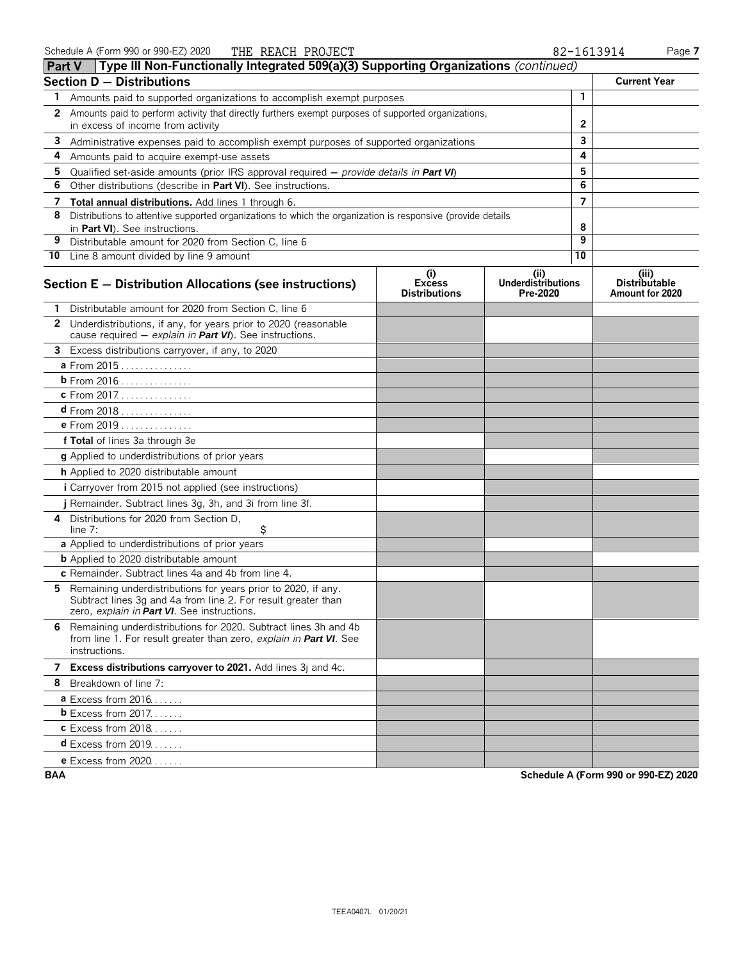| <b>Part V</b> | Type III Non-Functionally Integrated 509(a)(3) Supporting Organizations (continued)                                                                                           |                                              |                                               |    |                                                  |
|---------------|-------------------------------------------------------------------------------------------------------------------------------------------------------------------------------|----------------------------------------------|-----------------------------------------------|----|--------------------------------------------------|
|               | Section D - Distributions                                                                                                                                                     |                                              |                                               |    | <b>Current Year</b>                              |
| 1             | Amounts paid to supported organizations to accomplish exempt purposes                                                                                                         |                                              |                                               | 1  |                                                  |
| $\mathbf{2}$  | Amounts paid to perform activity that directly furthers exempt purposes of supported organizations,                                                                           |                                              |                                               |    |                                                  |
|               | in excess of income from activity                                                                                                                                             |                                              |                                               | 2  |                                                  |
| 3             | Administrative expenses paid to accomplish exempt purposes of supported organizations                                                                                         |                                              |                                               | 3  |                                                  |
| 4             | Amounts paid to acquire exempt-use assets                                                                                                                                     |                                              |                                               | 4  |                                                  |
| 5             | Qualified set-aside amounts (prior IRS approval required $-$ provide details in Part VI)                                                                                      |                                              |                                               | 5  |                                                  |
| 6             | Other distributions (describe in Part VI). See instructions.                                                                                                                  |                                              |                                               | 6  |                                                  |
| 7             | <b>Total annual distributions.</b> Add lines 1 through 6.                                                                                                                     |                                              |                                               | 7  |                                                  |
| 8             | Distributions to attentive supported organizations to which the organization is responsive (provide details<br>in Part VI). See instructions.                                 |                                              |                                               | 8  |                                                  |
| 9             | Distributable amount for 2020 from Section C, line 6                                                                                                                          |                                              |                                               | 9  |                                                  |
|               | 10 Line 8 amount divided by line 9 amount                                                                                                                                     |                                              |                                               | 10 |                                                  |
|               | Section E - Distribution Allocations (see instructions)                                                                                                                       | (i)<br><b>Excess</b><br><b>Distributions</b> | (II)<br><b>Underdistributions</b><br>Pre-2020 |    | (iii)<br><b>Distributable</b><br>Amount for 2020 |
|               | Distributable amount for 2020 from Section C, line 6                                                                                                                          |                                              |                                               |    |                                                  |
|               | 2 Underdistributions, if any, for years prior to 2020 (reasonable<br>cause required - explain in Part VI). See instructions.                                                  |                                              |                                               |    |                                                  |
|               | 3 Excess distributions carryover, if any, to 2020                                                                                                                             |                                              |                                               |    |                                                  |
|               | a From 2015                                                                                                                                                                   |                                              |                                               |    |                                                  |
|               | <b>b</b> From 2016                                                                                                                                                            |                                              |                                               |    |                                                  |
|               | c From 2017.                                                                                                                                                                  |                                              |                                               |    |                                                  |
|               | $d$ From 2018                                                                                                                                                                 |                                              |                                               |    |                                                  |
|               | e From 2019                                                                                                                                                                   |                                              |                                               |    |                                                  |
|               | f Total of lines 3a through 3e                                                                                                                                                |                                              |                                               |    |                                                  |
|               | g Applied to underdistributions of prior years                                                                                                                                |                                              |                                               |    |                                                  |
|               | h Applied to 2020 distributable amount                                                                                                                                        |                                              |                                               |    |                                                  |
|               | i Carryover from 2015 not applied (see instructions)                                                                                                                          |                                              |                                               |    |                                                  |
|               | j Remainder. Subtract lines 3g, 3h, and 3i from line 3f.                                                                                                                      |                                              |                                               |    |                                                  |
| 4             | Distributions for 2020 from Section D,<br>\$<br>line $7:$                                                                                                                     |                                              |                                               |    |                                                  |
|               | a Applied to underdistributions of prior years                                                                                                                                |                                              |                                               |    |                                                  |
|               | <b>b</b> Applied to 2020 distributable amount                                                                                                                                 |                                              |                                               |    |                                                  |
|               | c Remainder. Subtract lines 4a and 4b from line 4.                                                                                                                            |                                              |                                               |    |                                                  |
| 5.            | Remaining underdistributions for years prior to 2020, if any.<br>Subtract lines 3g and 4a from line 2. For result greater than<br>zero, explain in Part VI. See instructions. |                                              |                                               |    |                                                  |
|               | 6 Remaining underdistributions for 2020. Subtract lines 3h and 4b<br>from line 1. For result greater than zero, explain in Part VI. See<br>instructions.                      |                                              |                                               |    |                                                  |
|               | 7 Excess distributions carryover to 2021. Add lines 3j and 4c.                                                                                                                |                                              |                                               |    |                                                  |
|               | 8 Breakdown of line 7:                                                                                                                                                        |                                              |                                               |    |                                                  |
|               | <b>a</b> Excess from $2016$                                                                                                                                                   |                                              |                                               |    |                                                  |
|               | <b>b</b> Excess from $2017$                                                                                                                                                   |                                              |                                               |    |                                                  |
|               | <b>c</b> Excess from 2018                                                                                                                                                     |                                              |                                               |    |                                                  |
|               | $d$ Excess from 2019.                                                                                                                                                         |                                              |                                               |    |                                                  |
|               | <b>e</b> Excess from 2020                                                                                                                                                     |                                              |                                               |    |                                                  |

**BAA Schedule A (Form 990 or 990-EZ) 2020**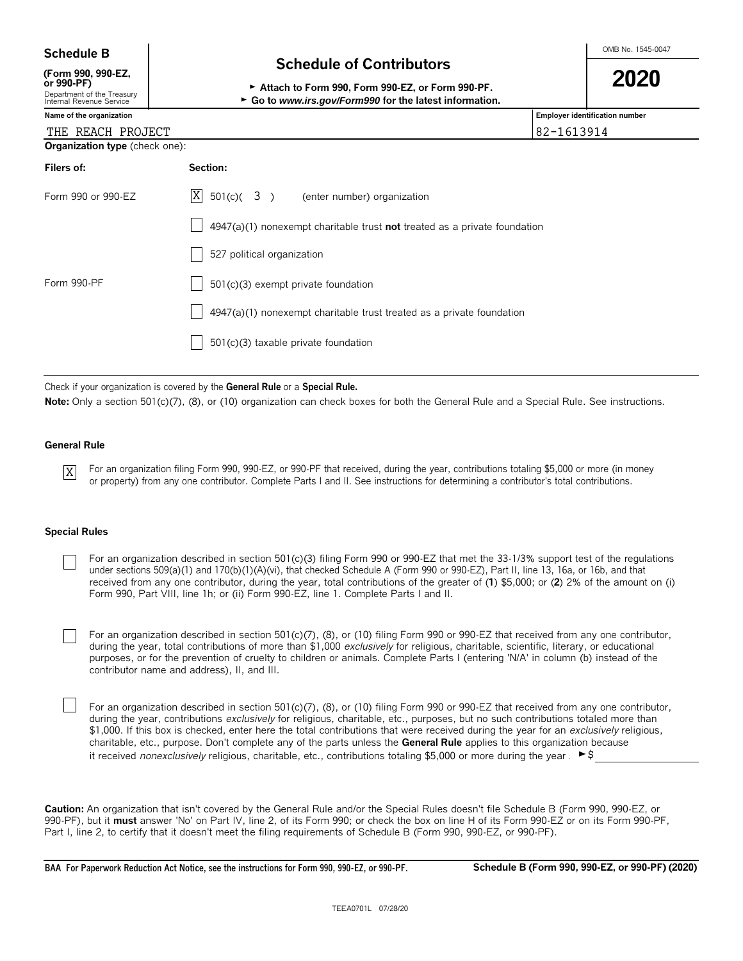| <b>Schedule B</b> |     | 1545-0047<br>OMB No. |
|-------------------|-----|----------------------|
|                   | - - |                      |

**(Form 990, 990-EZ,**

| (Form 990, 990-EZ,                                     |                                                                        | 2020 |
|--------------------------------------------------------|------------------------------------------------------------------------|------|
| or 990-PF)                                             | Attach to Form 990. Form 990-EZ, or Form 990-PF.                       |      |
| Department of the Treasury<br>Internal Revenue Service | $\triangleright$ Go to www.irs.gov/Form990 for the latest information. |      |

| <b>ILIGITIAL LIGAGE DE ARTICE</b>     | ad to www.ms.gov/rommesonor the latest imormation.                          |            |                                       |  |
|---------------------------------------|-----------------------------------------------------------------------------|------------|---------------------------------------|--|
| Name of the organization              |                                                                             |            | <b>Employer identification number</b> |  |
| THE REACH PROJECT                     |                                                                             | 82-1613914 |                                       |  |
| <b>Organization type</b> (check one): |                                                                             |            |                                       |  |
| Filers of:                            | Section:                                                                    |            |                                       |  |
| Form 990 or 990-EZ                    | $ X $ 501(c)( 3) (enter number) organization                                |            |                                       |  |
|                                       | $4947(a)(1)$ nonexempt charitable trust not treated as a private foundation |            |                                       |  |
|                                       | 527 political organization                                                  |            |                                       |  |
| Form 990-PF                           | 501(c)(3) exempt private foundation                                         |            |                                       |  |
|                                       | 4947(a)(1) nonexempt charitable trust treated as a private foundation       |            |                                       |  |
|                                       | 501(c)(3) taxable private foundation                                        |            |                                       |  |
|                                       |                                                                             |            |                                       |  |

Check if your organization is covered by the **General Rule** or a **Special Rule.**

Note: Only a section 501(c)(7), (8), or (10) organization can check boxes for both the General Rule and a Special Rule. See instructions.

#### **General Rule**

X

For an organization filing Form 990, 990-EZ, or 990-PF that received, during the year, contributions totaling \$5,000 or more (in money or property) from any one contributor. Complete Parts I and II. See instructions for determining a contributor's total contributions.

#### **Special Rules**

For an organization described in section 501(c)(3) filing Form 990 or 990-EZ that met the 33-1/3% support test of the regulations under sections 509(a)(1) and 170(b)(1)(A)(vi), that checked Schedule A (Form 990 or 990-EZ), Part II, line 13, 16a, or 16b, and that received from any one contributor, during the year, total contributions of the greater of (**1**) \$5,000; or (**2**) 2% of the amount on (i) Form 990, Part VIII, line 1h; or (ii) Form 990-EZ, line 1. Complete Parts I and II.

For an organization described in section 501(c)(7), (8), or (10) filing Form 990 or 990-EZ that received from any one contributor, during the year, total contributions of more than \$1,000 *exclusively* for religious, charitable, scientific, literary, or educational purposes, or for the prevention of cruelty to children or animals. Complete Parts I (entering 'N/A' in column (b) instead of the contributor name and address), II, and III.

For an organization described in section 501(c)(7), (8), or (10) filing Form 990 or 990-EZ that received from any one contributor, during the year, contributions *exclusively* for religious, charitable, etc., purposes, but no such contributions totaled more than \$1,000. If this box is checked, enter here the total contributions that were received during the year for an *exclusively* religious, charitable, etc., purpose. Don't complete any of the parts unless the **General Rule** applies to this organization because it received *nonexclusively* religious, charitable, etc., contributions totaling \$5,000 or more during the year . ►\$

**Caution:** An organization that isn't covered by the General Rule and/or the Special Rules doesn't file Schedule B (Form 990, 990-EZ, or 990-PF), but it **must** answer 'No' on Part IV, line 2, of its Form 990; or check the box on line H of its Form 990-EZ or on its Form 990-PF, Part I, line 2, to certify that it doesn't meet the filing requirements of Schedule B (Form 990, 990-EZ, or 990-PF).

**BAA For Paperwork Reduction Act Notice, see the instructions for Form 990, 990-EZ, or 990-PF. Schedule B (Form 990, 990-EZ, or 990-PF) (2020)**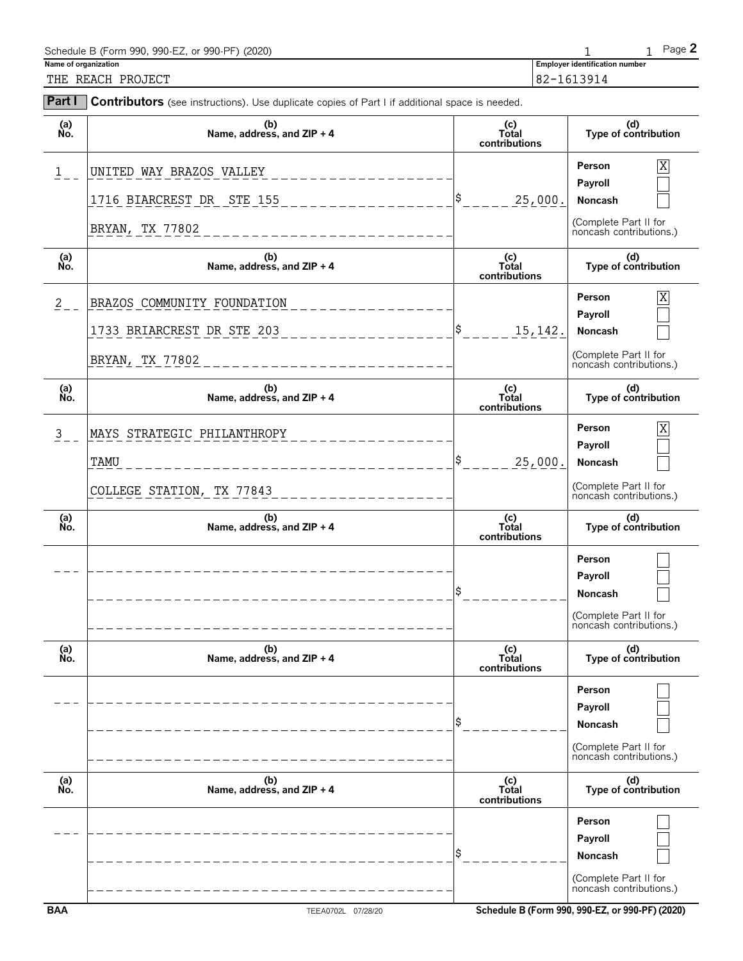| Schedule B (Form 990, 990-EZ, or 990-PF) (2020) |                                       | $P$ ade $\blacktriangle$ |
|-------------------------------------------------|---------------------------------------|--------------------------|
| Name of organization                            | <b>Employer identification number</b> |                          |
| $min$ $min$ $min$ $min$ $min$ $min$             | $100 - 1010011$                       |                          |

|  | THE REACH PROJECT |
|--|-------------------|
|  |                   |

82-1613914

| Part I        | Contributors (see instructions). Use duplicate copies of Part I if additional space is needed.                 |                               |                                                                                         |
|---------------|----------------------------------------------------------------------------------------------------------------|-------------------------------|-----------------------------------------------------------------------------------------|
| (a)<br>No.    | (b)<br>Name, address, and ZIP + 4                                                                              | (c)<br>Total<br>contributions | (d)<br>Type of contribution                                                             |
| 1             | UNITED WAY BRAZOS VALLEY<br>1716 BIARCREST DR_STE 155 _______________<br>BRYAN, TX 77802 __________________    | 25,000.                       | X<br>Person<br>Payroll<br>Noncash<br>(Complete Part II for<br>noncash contributions.)   |
| (a)<br>No.    | (b)<br>Name, address, and ZIP + 4                                                                              | (c)<br>Total<br>contributions | (d)<br>Type of contribution                                                             |
| $\frac{2}{2}$ | BRAZOS COMMUNITY FOUNDATION<br>1733 BRIARCREST DR STE 203 _______________<br>BRYAN, TX 77802 _________________ | 15,142.                       | Person<br>Χ<br>Payroll<br>Noncash<br>(Complete Part II for<br>noncash contributions.)   |
| (a)<br>Ňó.    | (b)<br>Name, address, and ZIP + 4                                                                              | (c)<br>Total<br>contributions | (d)<br>Type of contribution                                                             |
| $\frac{3}{2}$ | MAYS STRATEGIC PHILANTHROPY<br>TAMU<br>______________________<br>COLLEGE STATION, TX 77843                     | 25,000.                       | Person<br>Χ<br>Payroll<br>Noncash<br>(Complete Part II for<br>noncash contributions.)   |
| (a)<br>No.    | (b)<br>Name, address, and ZIP + 4                                                                              | (c)<br>Total<br>contributions | (d)<br>Type of contribution                                                             |
|               | -------------------------                                                                                      |                               | Person<br>Payroll<br><b>Noncash</b><br>(Complete Part II for<br>noncash contributions.) |
| (a)<br>Ñó.    | (b)<br>Name, address, and ZIP + 4                                                                              | (c)<br>Total<br>contributions | (d)<br>Type of contribution                                                             |
|               |                                                                                                                |                               | Person<br>Payroll<br><b>Noncash</b><br>(Complete Part II for<br>noncash contributions.) |
| (a)<br>No.    | (b)<br>Name, address, and $ZIP + 4$                                                                            | (c)<br>Total<br>contributions | (d)<br>Type of contribution                                                             |
|               |                                                                                                                |                               | Person<br>Payroll<br>Noncash<br>(Complete Part II for<br>noncash contributions.)        |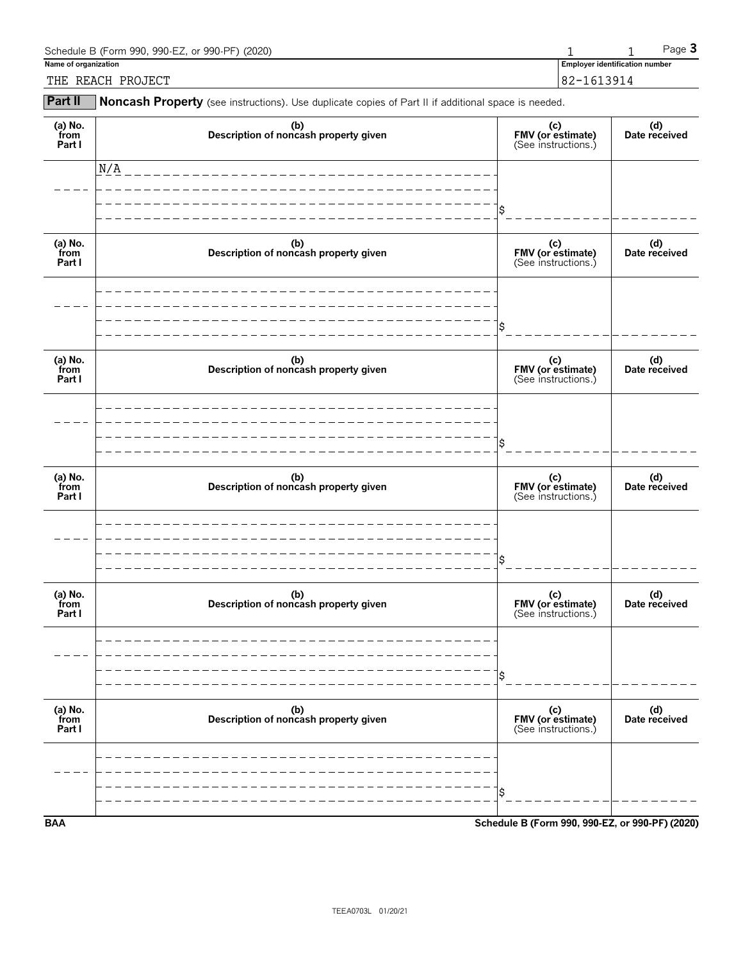| Schedule B (Form 990, 990-EZ, or 990-PF) (2020) |                                       | $P$ aqe $\bullet$ |
|-------------------------------------------------|---------------------------------------|-------------------|
| Name of organization                            | <b>Employer identification number</b> |                   |
| THE REACH PROJECT                               | 82-1613914                            |                   |

**Part II** Noncash Property (see instructions). Use duplicate copies of Part II if additional space is needed.

| (a) $No.$ from<br>Part I  | (b)<br>Description of noncash property given | (c)<br>FMV (or estimate)<br>(See instructions.) | (d)<br>Date received |
|---------------------------|----------------------------------------------|-------------------------------------------------|----------------------|
|                           | N/A                                          |                                                 |                      |
|                           |                                              |                                                 |                      |
| (a) No.<br>from<br>Part I | (b)<br>Description of noncash property given | (c)<br>FMV (or estimate)<br>(See instructions.) | (d)<br>Date received |
|                           |                                              |                                                 |                      |
| (a) No.<br>from<br>Part I | (b)<br>Description of noncash property given | (c)<br>FMV (or estimate)<br>(See instructions.) | (d)<br>Date received |
|                           |                                              |                                                 |                      |
| (a) No.<br>from<br>Part I | (b)<br>Description of noncash property given | (c)<br>FMV (or estimate)<br>(See instructions.) | (d)<br>Date received |
|                           |                                              |                                                 |                      |
| (a) $No.$ from<br>Part I  | (b)<br>Description of noncash property given | (c)<br>FMV (or estimate)<br>(See instructions.) | (d)<br>Date received |
|                           |                                              |                                                 |                      |
| (a) No.<br>from<br>Part I | (b)<br>Description of noncash property given | (c)<br>FMV (or estimate)<br>(See instructions.) | (d)<br>Date received |
|                           |                                              |                                                 |                      |
| <b>BAA</b>                |                                              | Schedule B (Form 990, 990-EZ, or 990-PF) (2020) |                      |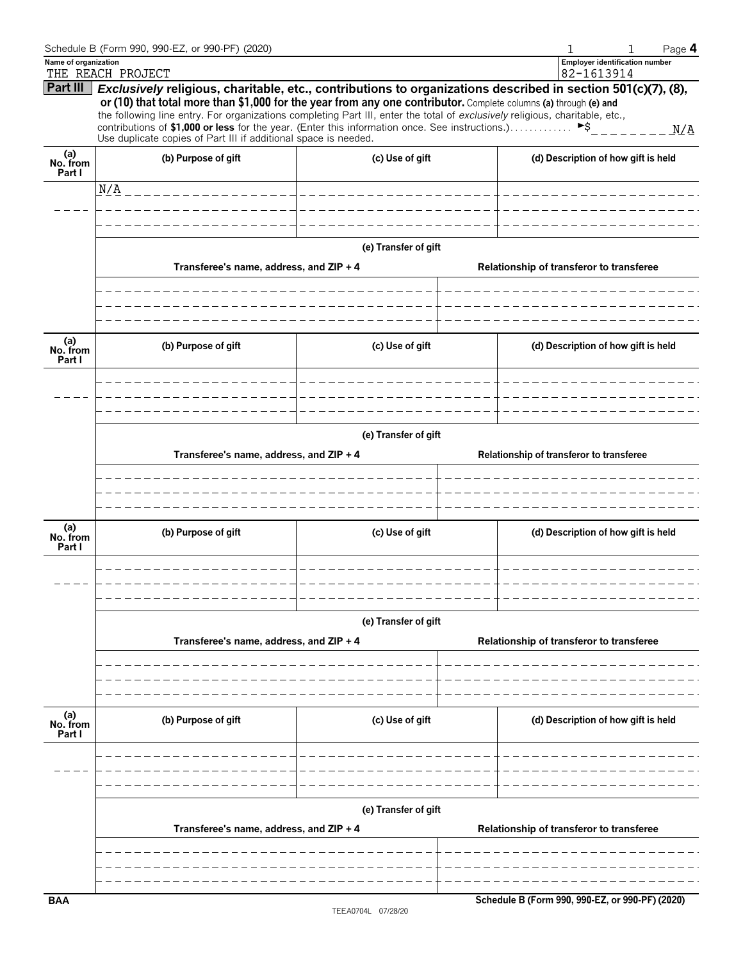|                           | Schedule B (Form 990, 990-EZ, or 990-PF) (2020)                                                                                                                                                                                                                                                                                                                                                                                                                                                                                        |                       | Page 4                                              |
|---------------------------|----------------------------------------------------------------------------------------------------------------------------------------------------------------------------------------------------------------------------------------------------------------------------------------------------------------------------------------------------------------------------------------------------------------------------------------------------------------------------------------------------------------------------------------|-----------------------|-----------------------------------------------------|
| Name of organization      | THE REACH PROJECT                                                                                                                                                                                                                                                                                                                                                                                                                                                                                                                      |                       | <b>Employer identification number</b><br>82-1613914 |
| Part III                  | Exclusively religious, charitable, etc., contributions to organizations described in section 501(c)(7), (8),<br>or (10) that total more than \$1,000 for the year from any one contributor. Complete columns (a) through (e) and<br>the following line entry. For organizations completing Part III, enter the total of exclusively religious, charitable, etc.,<br>contributions of \$1,000 or less for the year. (Enter this information once. See instructions.)<br>Use duplicate copies of Part III if additional space is needed. |                       | ►\$<br>$  N/A$                                      |
| (a)<br>No. from<br>Part I | (b) Purpose of gift                                                                                                                                                                                                                                                                                                                                                                                                                                                                                                                    | (c) Use of gift       | (d) Description of how gift is held                 |
|                           | N/A _________________                                                                                                                                                                                                                                                                                                                                                                                                                                                                                                                  | _____________________ |                                                     |
|                           |                                                                                                                                                                                                                                                                                                                                                                                                                                                                                                                                        |                       |                                                     |
|                           |                                                                                                                                                                                                                                                                                                                                                                                                                                                                                                                                        |                       |                                                     |
|                           | Transferee's name, address, and ZIP + 4                                                                                                                                                                                                                                                                                                                                                                                                                                                                                                | (e) Transfer of gift  | Relationship of transferor to transferee            |
|                           |                                                                                                                                                                                                                                                                                                                                                                                                                                                                                                                                        |                       |                                                     |
| (a)<br>No. from<br>Part I | (b) Purpose of gift                                                                                                                                                                                                                                                                                                                                                                                                                                                                                                                    | (c) Use of gift       | (d) Description of how gift is held                 |
|                           |                                                                                                                                                                                                                                                                                                                                                                                                                                                                                                                                        |                       |                                                     |
|                           |                                                                                                                                                                                                                                                                                                                                                                                                                                                                                                                                        | (e) Transfer of gift  |                                                     |
|                           | Transferee's name, address, and ZIP + 4                                                                                                                                                                                                                                                                                                                                                                                                                                                                                                |                       | Relationship of transferor to transferee            |
|                           |                                                                                                                                                                                                                                                                                                                                                                                                                                                                                                                                        |                       |                                                     |
|                           |                                                                                                                                                                                                                                                                                                                                                                                                                                                                                                                                        |                       |                                                     |
| (a)<br>No. from<br>Part I | (b) Purpose of gift                                                                                                                                                                                                                                                                                                                                                                                                                                                                                                                    | (c) Use of gift       | (d) Description of how gift is held                 |
|                           |                                                                                                                                                                                                                                                                                                                                                                                                                                                                                                                                        |                       |                                                     |
|                           |                                                                                                                                                                                                                                                                                                                                                                                                                                                                                                                                        | (e) Transfer of gift  |                                                     |
|                           | Transferee's name, address, and ZIP + 4                                                                                                                                                                                                                                                                                                                                                                                                                                                                                                |                       | Relationship of transferor to transferee            |
|                           |                                                                                                                                                                                                                                                                                                                                                                                                                                                                                                                                        |                       |                                                     |
|                           |                                                                                                                                                                                                                                                                                                                                                                                                                                                                                                                                        |                       |                                                     |
| (a)<br>No. from<br>Part I | (b) Purpose of gift                                                                                                                                                                                                                                                                                                                                                                                                                                                                                                                    | (c) Use of gift       | (d) Description of how gift is held                 |
|                           |                                                                                                                                                                                                                                                                                                                                                                                                                                                                                                                                        |                       |                                                     |
|                           |                                                                                                                                                                                                                                                                                                                                                                                                                                                                                                                                        |                       |                                                     |
|                           | Transferee's name, address, and ZIP + 4                                                                                                                                                                                                                                                                                                                                                                                                                                                                                                | (e) Transfer of gift  | Relationship of transferor to transferee            |
|                           |                                                                                                                                                                                                                                                                                                                                                                                                                                                                                                                                        |                       |                                                     |
|                           |                                                                                                                                                                                                                                                                                                                                                                                                                                                                                                                                        |                       |                                                     |
| <b>BAA</b>                |                                                                                                                                                                                                                                                                                                                                                                                                                                                                                                                                        |                       | Schedule B (Form 990, 990-EZ, or 990-PF) (2020)     |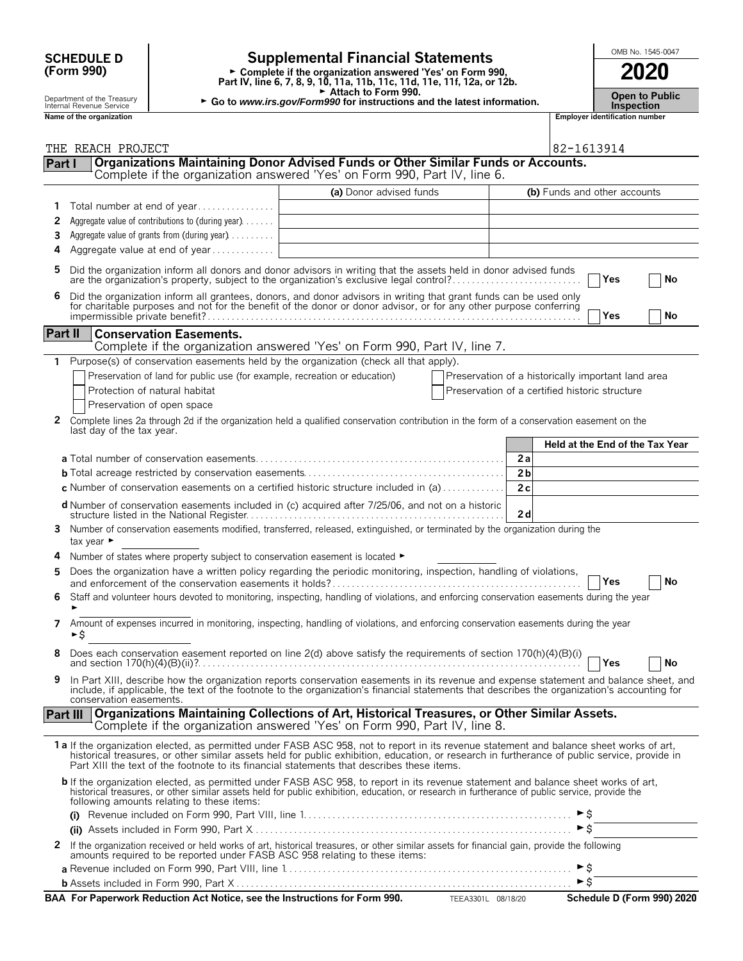### **(Form 990)**

### SCHEDULE D **Supplemental Financial Statements**<br>
(Form 990) Complete if the organization answered Yes' on Form 990, **2020**

**Part IV, line 6, 7, 8, 9, 10, 11a, 11b, 11c, 11d, 11e, 11f, 12a, or 12b.**<br>
Part IV, line 6, 7, 8, 9, 10, 11a, 11b, 11c, 11d, 11e, 11f, 12a, or 12b.

Attach to Form 990.

Department of the Treasury **Compartment of the Treasury <b>Company Compartment of the Treasury <b>Company Company Company Company Company Company Company Company Company Company Company Compartment of** 

| 111011101110000110000011000 |                             | --- |
|-----------------------------|-----------------------------|-----|
| Name of the organization    | <b>Employer identificat</b> |     |
|                             |                             |     |
|                             |                             |     |
| REACH<br>PROJECT<br>THE     | 82-1613914                  |     |

| <b>Employer identification number</b> |
|---------------------------------------|
|                                       |
|                                       |
|                                       |
| 82-1613914                            |
|                                       |
| counts.                               |
|                                       |

| Part I  |                                                                               | Organizations Maintaining Donor Advised Funds or Other Similar Funds or Accounts.<br>Complete if the organization answered 'Yes' on Form 990, Part IV, line 6.                                                                                                                                                                                                                         |                                                    |
|---------|-------------------------------------------------------------------------------|----------------------------------------------------------------------------------------------------------------------------------------------------------------------------------------------------------------------------------------------------------------------------------------------------------------------------------------------------------------------------------------|----------------------------------------------------|
|         |                                                                               | (a) Donor advised funds                                                                                                                                                                                                                                                                                                                                                                | (b) Funds and other accounts                       |
| 1       | Total number at end of year                                                   |                                                                                                                                                                                                                                                                                                                                                                                        |                                                    |
| 2       | Aggregate value of contributions to (during year)                             |                                                                                                                                                                                                                                                                                                                                                                                        |                                                    |
| 3       | Aggregate value of grants from (during year)                                  |                                                                                                                                                                                                                                                                                                                                                                                        |                                                    |
| 4       | Aggregate value at end of year                                                |                                                                                                                                                                                                                                                                                                                                                                                        |                                                    |
| 5       |                                                                               | Did the organization inform all donors and donor advisors in writing that the assets held in donor advised funds<br>are the organization's property, subject to the organization's exclusive legal control?                                                                                                                                                                            | Yes<br>No                                          |
| 6       |                                                                               | Did the organization inform all grantees, donors, and donor advisors in writing that grant funds can be used only for charitable purposes and not for the benefit of the donor or donor advisor, or for any other purpose conf                                                                                                                                                         | Yes<br>No                                          |
| Part II | <b>Conservation Easements.</b>                                                | Complete if the organization answered 'Yes' on Form 990, Part IV, line 7.                                                                                                                                                                                                                                                                                                              |                                                    |
|         |                                                                               | Purpose(s) of conservation easements held by the organization (check all that apply).                                                                                                                                                                                                                                                                                                  |                                                    |
|         | Preservation of land for public use (for example, recreation or education)    |                                                                                                                                                                                                                                                                                                                                                                                        | Preservation of a historically important land area |
|         | Protection of natural habitat                                                 |                                                                                                                                                                                                                                                                                                                                                                                        | Preservation of a certified historic structure     |
|         | Preservation of open space                                                    |                                                                                                                                                                                                                                                                                                                                                                                        |                                                    |
| 2       | last day of the tax year.                                                     | Complete lines 2a through 2d if the organization held a qualified conservation contribution in the form of a conservation easement on the                                                                                                                                                                                                                                              |                                                    |
|         |                                                                               |                                                                                                                                                                                                                                                                                                                                                                                        | Held at the End of the Tax Year                    |
|         |                                                                               |                                                                                                                                                                                                                                                                                                                                                                                        | 2a                                                 |
|         |                                                                               |                                                                                                                                                                                                                                                                                                                                                                                        | 2 <sub>b</sub>                                     |
|         |                                                                               | <b>c</b> Number of conservation easements on a certified historic structure included in (a) $\dots$                                                                                                                                                                                                                                                                                    | 2c                                                 |
|         |                                                                               | d Number of conservation easements included in (c) acquired after 7/25/06, and not on a historic                                                                                                                                                                                                                                                                                       | 2d                                                 |
| 3.      | tax year $\blacktriangleright$                                                | Number of conservation easements modified, transferred, released, extinguished, or terminated by the organization during the                                                                                                                                                                                                                                                           |                                                    |
| 4       | Number of states where property subject to conservation easement is located ► |                                                                                                                                                                                                                                                                                                                                                                                        |                                                    |
| 5       |                                                                               | Does the organization have a written policy regarding the periodic monitoring, inspection, handling of violations,                                                                                                                                                                                                                                                                     |                                                    |
|         |                                                                               |                                                                                                                                                                                                                                                                                                                                                                                        | No<br>Yes                                          |
| 6       |                                                                               | Staff and volunteer hours devoted to monitoring, inspecting, handling of violations, and enforcing conservation easements during the year                                                                                                                                                                                                                                              |                                                    |
| 7       | ►\$                                                                           | Amount of expenses incurred in monitoring, inspecting, handling of violations, and enforcing conservation easements during the year                                                                                                                                                                                                                                                    |                                                    |
| 8       |                                                                               | Does each conservation easement reported on line 2(d) above satisfy the requirements of section 170(h)(4)(B)(i)                                                                                                                                                                                                                                                                        | Yes<br>No                                          |
| 9       | conservation easements.                                                       | In Part XIII, describe how the organization reports conservation easements in its revenue and expense statement and balance sheet, and include, if applicable, the text of the footnote to the organization's financial statem                                                                                                                                                         |                                                    |
|         | <b>Part III</b>                                                               | Organizations Maintaining Collections of Art, Historical Treasures, or Other Similar Assets.                                                                                                                                                                                                                                                                                           |                                                    |
|         |                                                                               | Complete if the organization answered 'Yes' on Form 990, Part IV, line 8.                                                                                                                                                                                                                                                                                                              |                                                    |
|         |                                                                               | 1a If the organization elected, as permitted under FASB ASC 958, not to report in its revenue statement and balance sheet works of art,<br>historical treasures, or other similar assets held for public exhibition, education, or research in furtherance of public service, provide in<br>Part XIII the text of the footnote to its financial statements that describes these items. |                                                    |
|         | following amounts relating to these items:                                    | <b>b</b> If the organization elected, as permitted under FASB ASC 958, to report in its revenue statement and balance sheet works of art, historical treasures, or other similar assets held for public exhibition, education, or r                                                                                                                                                    |                                                    |
|         |                                                                               |                                                                                                                                                                                                                                                                                                                                                                                        | ►s                                                 |
|         |                                                                               |                                                                                                                                                                                                                                                                                                                                                                                        | $\triangleright$ \$                                |
|         |                                                                               | 2 If the organization received or held works of art, historical treasures, or other similar assets for financial gain, provide the following amounts required to be reported under FASB ASC 958 relating to these items:                                                                                                                                                               |                                                    |
|         |                                                                               |                                                                                                                                                                                                                                                                                                                                                                                        | $\blacktriangleright$ \$                           |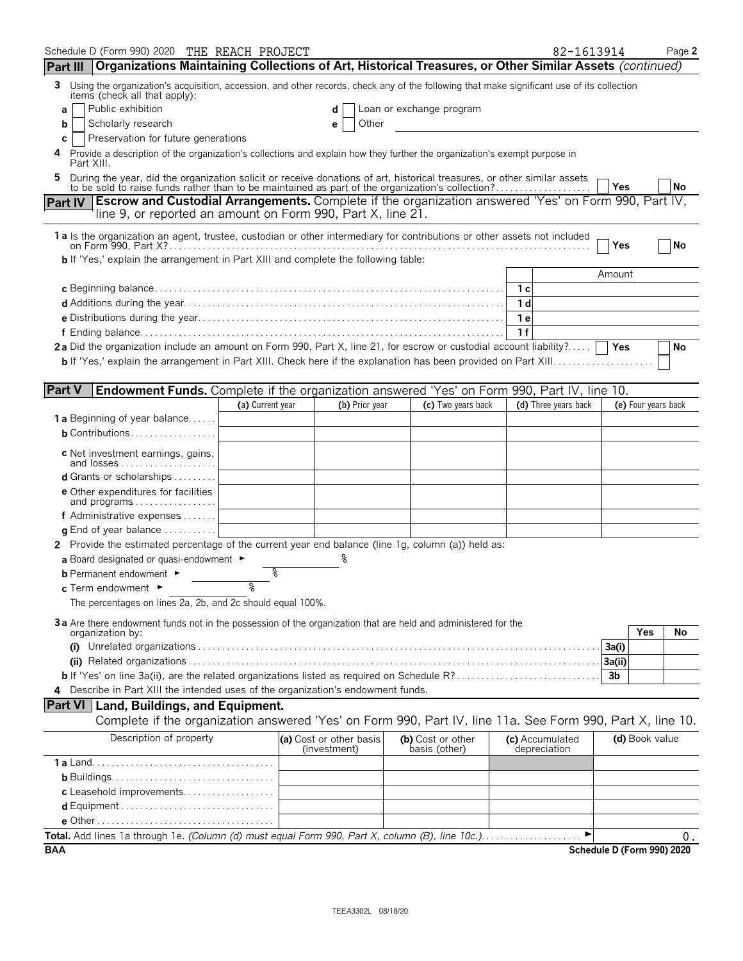| Schedule D (Form 990) 2020 THE REACH PROJECT<br>Part III   Organizations Maintaining Collections of Art, Historical Treasures, or Other Similar Assets (continued)                                                             |                  |                                         |                                    | 82-1613914                      |                            | Page 2 |
|--------------------------------------------------------------------------------------------------------------------------------------------------------------------------------------------------------------------------------|------------------|-----------------------------------------|------------------------------------|---------------------------------|----------------------------|--------|
| 3 Using the organization's acquisition, accession, and other records, check any of the following that make significant use of its collection<br>items (check all that apply):                                                  |                  |                                         |                                    |                                 |                            |        |
| Public exhibition<br>a                                                                                                                                                                                                         |                  | d                                       | Loan or exchange program           |                                 |                            |        |
| Scholarly research<br>b                                                                                                                                                                                                        |                  | Other<br>е                              |                                    |                                 |                            |        |
| Preservation for future generations<br>C                                                                                                                                                                                       |                  |                                         |                                    |                                 |                            |        |
| Provide a description of the organization's collections and explain how they further the organization's exempt purpose in<br>4<br>Part XIII.                                                                                   |                  |                                         |                                    |                                 |                            |        |
| During the year, did the organization solicit or receive donations of art, historical treasures, or other similar assets to be sold to raise funds rather than to be maintained as part of the organization's collection?<br>5 |                  |                                         |                                    |                                 | Yes                        | No     |
| Part IV   Escrow and Custodial Arrangements. Complete if the organization answered 'Yes' on Form 990, Part IV,<br>line 9, or reported an amount on Form 990, Part X, line 21.                                                  |                  |                                         |                                    |                                 |                            |        |
| 1 a Is the organization an agent, trustee, custodian or other intermediary for contributions or other assets not included                                                                                                      |                  |                                         |                                    |                                 | Yes                        | No     |
| <b>b</b> If 'Yes,' explain the arrangement in Part XIII and complete the following table:                                                                                                                                      |                  |                                         |                                    |                                 |                            |        |
|                                                                                                                                                                                                                                |                  |                                         |                                    |                                 | Amount                     |        |
|                                                                                                                                                                                                                                |                  |                                         |                                    |                                 |                            |        |
|                                                                                                                                                                                                                                |                  |                                         |                                    |                                 |                            |        |
|                                                                                                                                                                                                                                |                  |                                         |                                    | 1f                              |                            |        |
| 2a Did the organization include an amount on Form 990, Part X, line 21, for escrow or custodial account liability?   Yes                                                                                                       |                  |                                         |                                    |                                 |                            | No     |
|                                                                                                                                                                                                                                |                  |                                         |                                    |                                 |                            |        |
|                                                                                                                                                                                                                                |                  |                                         |                                    |                                 |                            |        |
| <b>Part V</b><br>Endowment Funds. Complete if the organization answered 'Yes' on Form 990, Part IV, line 10.                                                                                                                   |                  |                                         |                                    |                                 |                            |        |
|                                                                                                                                                                                                                                | (a) Current year | (b) Prior year                          | (c) Two years back                 | (d) Three years back            | (e) Four years back        |        |
| <b>1 a</b> Beginning of year balance                                                                                                                                                                                           |                  |                                         |                                    |                                 |                            |        |
| <b>b</b> Contributions                                                                                                                                                                                                         |                  |                                         |                                    |                                 |                            |        |
| <b>c</b> Net investment earnings, gains,<br>and losses                                                                                                                                                                         |                  |                                         |                                    |                                 |                            |        |
| <b>d</b> Grants or scholarships $\ldots$                                                                                                                                                                                       |                  |                                         |                                    |                                 |                            |        |
| e Other expenditures for facilities<br>and programs                                                                                                                                                                            |                  |                                         |                                    |                                 |                            |        |
| f Administrative expenses                                                                                                                                                                                                      |                  |                                         |                                    |                                 |                            |        |
| $q$ End of year balance $\ldots \ldots \ldots$                                                                                                                                                                                 |                  |                                         |                                    |                                 |                            |        |
| 2 Provide the estimated percentage of the current year end balance (line 1g, column (a)) held as:                                                                                                                              |                  |                                         |                                    |                                 |                            |        |
| a Board designated or quasi-endowment $\blacktriangleright$                                                                                                                                                                    |                  |                                         |                                    |                                 |                            |        |
| <b>b</b> Permanent endowment ►                                                                                                                                                                                                 | g<br>8           |                                         |                                    |                                 |                            |        |
| c Term endowment ►                                                                                                                                                                                                             | ৡ                |                                         |                                    |                                 |                            |        |
| The percentages on lines 2a, 2b, and 2c should equal 100%.                                                                                                                                                                     |                  |                                         |                                    |                                 |                            |        |
| 3a Are there endowment funds not in the possession of the organization that are held and administered for the                                                                                                                  |                  |                                         |                                    |                                 | Yes                        | No     |
| organization by:                                                                                                                                                                                                               |                  |                                         |                                    |                                 | 3a(i)                      |        |
|                                                                                                                                                                                                                                |                  |                                         |                                    |                                 | 3a(ii)                     |        |
|                                                                                                                                                                                                                                |                  |                                         |                                    |                                 | 3 <sub>b</sub>             |        |
| 4 Describe in Part XIII the intended uses of the organization's endowment funds.                                                                                                                                               |                  |                                         |                                    |                                 |                            |        |
| <b>Part VI</b> Land, Buildings, and Equipment.                                                                                                                                                                                 |                  |                                         |                                    |                                 |                            |        |
| Complete if the organization answered 'Yes' on Form 990, Part IV, line 11a. See Form 990, Part X, line 10.                                                                                                                     |                  |                                         |                                    |                                 |                            |        |
| Description of property                                                                                                                                                                                                        |                  | (a) Cost or other basis<br>(investment) | (b) Cost or other<br>basis (other) | (c) Accumulated<br>depreciation | (d) Book value             |        |
|                                                                                                                                                                                                                                |                  |                                         |                                    |                                 |                            |        |
|                                                                                                                                                                                                                                |                  |                                         |                                    |                                 |                            |        |
| c Leasehold improvements                                                                                                                                                                                                       |                  |                                         |                                    |                                 |                            |        |
|                                                                                                                                                                                                                                |                  |                                         |                                    |                                 |                            |        |
|                                                                                                                                                                                                                                |                  |                                         |                                    | ▶                               |                            |        |
| Total. Add lines 1a through 1e. (Column (d) must equal Form 990, Part X, column (B), line 10c.)<br><b>BAA</b>                                                                                                                  |                  |                                         |                                    |                                 | Schedule D (Form 990) 2020 | 0.     |
|                                                                                                                                                                                                                                |                  |                                         |                                    |                                 |                            |        |

TEEA3302L 08/18/20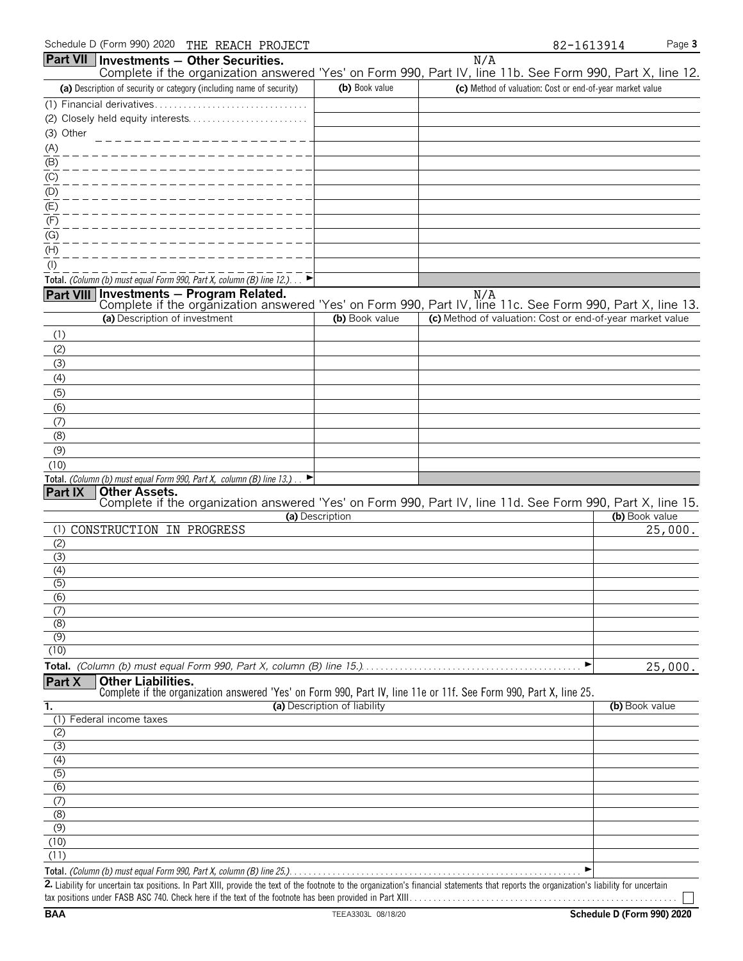| Schedule D (Form 990) 2020 THE REACH PROJECT                          |                | Page 3<br>82-1613914                                                                                       |
|-----------------------------------------------------------------------|----------------|------------------------------------------------------------------------------------------------------------|
| Part VII   Investments - Other Securities.                            |                | N/A                                                                                                        |
|                                                                       |                | Complete if the organization answered 'Yes' on Form 990, Part IV, line 11b. See Form 990, Part X, line 12. |
| (a) Description of security or category (including name of security)  | (b) Book value | (c) Method of valuation: Cost or end-of-year market value                                                  |
| (1) Financial derivatives                                             |                |                                                                                                            |
|                                                                       |                |                                                                                                            |
| (3) Other<br>_____________________                                    |                |                                                                                                            |
|                                                                       |                |                                                                                                            |
|                                                                       |                |                                                                                                            |
| $\frac{(A)}{(B)}$<br>$\frac{(C)}{(C)}$                                |                |                                                                                                            |
| $\frac{(D)}{D}$                                                       |                |                                                                                                            |
|                                                                       |                |                                                                                                            |
| $\frac{\overline{(E)}}{\overline{(F)}}$                               |                |                                                                                                            |
| (G)                                                                   |                |                                                                                                            |
| $\overline{(\mathsf{H})}$                                             |                |                                                                                                            |
| $($ l $)$                                                             |                |                                                                                                            |
| Total. (Column (b) must equal Form 990, Part X, column (B) line 12.)  |                |                                                                                                            |
| Part VIII Investments - Program Related.                              |                | N/A                                                                                                        |
|                                                                       |                | Complete if the organization answered 'Yes' on Form 990, Part IV, line 11c. See Form 990, Part X, line 13. |
| (a) Description of investment                                         | (b) Book value | (c) Method of valuation: Cost or end-of-year market value                                                  |
| (1)                                                                   |                |                                                                                                            |
| (2)                                                                   |                |                                                                                                            |
| (3)                                                                   |                |                                                                                                            |
| (4)                                                                   |                |                                                                                                            |
| (5)                                                                   |                |                                                                                                            |
| (6)                                                                   |                |                                                                                                            |
| (7)                                                                   |                |                                                                                                            |
| (8)                                                                   |                |                                                                                                            |
| (9)                                                                   |                |                                                                                                            |
| (10)                                                                  |                |                                                                                                            |
| Total. (Column (b) must equal Form 990, Part X, column (B) line 13.). |                |                                                                                                            |
| Part IX<br><b>Other Assets.</b>                                       |                |                                                                                                            |
|                                                                       |                | Complete if the organization answered 'Yes' on Form 990, Part IV, line 11d. See Form 990, Part X, line 15. |

|                             | <u>oomproto mano organizzatori antonoroa noo on nominoo ojnaani, mito nan ooon omnoo ojnaani mito non</u> |                |
|-----------------------------|-----------------------------------------------------------------------------------------------------------|----------------|
|                             | (a) Description                                                                                           | (b) Book value |
|                             | (1) CONSTRUCTION IN PROGRESS                                                                              | 25,000.        |
| (2)                         |                                                                                                           |                |
| (3)                         |                                                                                                           |                |
| (4)                         |                                                                                                           |                |
| $\sqrt{(5)}$                |                                                                                                           |                |
| (6)                         |                                                                                                           |                |
|                             |                                                                                                           |                |
| $\overline{(\overline{8})}$ |                                                                                                           |                |
| (9)                         |                                                                                                           |                |
| (10)                        |                                                                                                           |                |
|                             |                                                                                                           | 25,000.        |

#### **Part X Other Liabilities.**

Complete if the organization answered 'Yes' on Form 990, Part IV, line 11e or 11f. See Form 990, Part X, line 25.

| 1.                          | (a) Description of liability | (b) Book value |
|-----------------------------|------------------------------|----------------|
| (1) Federal income taxes    |                              |                |
| (2)                         |                              |                |
| (3)                         |                              |                |
| (4)                         |                              |                |
| $\overline{(5)}$            |                              |                |
| $\overline{(6)}$            |                              |                |
| (7)                         |                              |                |
| (8)                         |                              |                |
| $\overline{(\overline{9})}$ |                              |                |
| (10)                        |                              |                |
| (11)                        |                              |                |
|                             |                              |                |

**2.** Liability for uncertain tax positions. In Part XIII, provide the text of the footnote to the organization's financial statements that reports the organization's liability for uncertain tax positions under FASB ASC 740. Check here if the text of the footnote has been provided in Part XIII. . . . . . . . . . . . . . . . . . . . . . . . . . . . . . . . . . . . . . . . . . . . . . . . . . . . . . . .

 $\Box$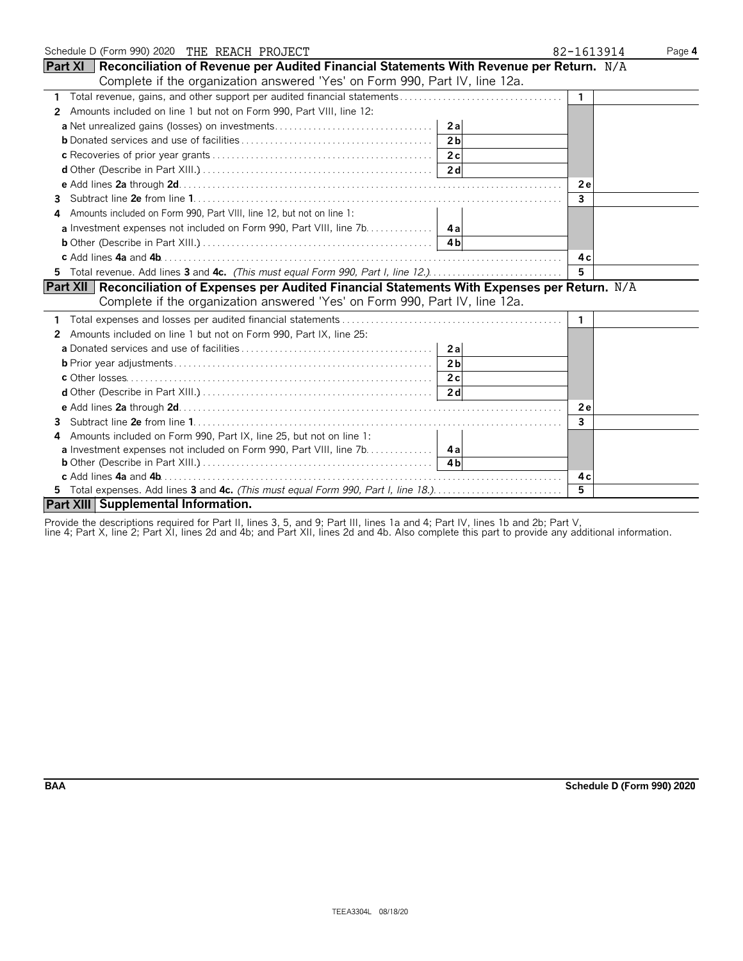| Schedule D (Form 990) 2020 THE REACH PROJECT                                                             | 82-1613914     | Page 4 |
|----------------------------------------------------------------------------------------------------------|----------------|--------|
| <b>Part XI</b> Reconciliation of Revenue per Audited Financial Statements With Revenue per Return. $N/A$ |                |        |
| Complete if the organization answered 'Yes' on Form 990, Part IV, line 12a.                              |                |        |
| 1 Total revenue, gains, and other support per audited financial statements                               | $\mathbf{1}$   |        |
| Amounts included on line 1 but not on Form 990, Part VIII, line 12:<br>2                                 |                |        |
|                                                                                                          |                |        |
| 2 <sub>b</sub>                                                                                           |                |        |
|                                                                                                          |                |        |
|                                                                                                          |                |        |
|                                                                                                          | 2e             |        |
| 3.                                                                                                       | $\overline{3}$ |        |
| Amounts included on Form 990, Part VIII, line 12, but not on line 1:<br>4                                |                |        |
|                                                                                                          |                |        |
|                                                                                                          |                |        |
|                                                                                                          | 4 c            |        |
| 5 Total revenue. Add lines 3 and 4c. (This must equal Form 990, Part I, line 12.)                        | 5              |        |
| Part XII   Reconciliation of Expenses per Audited Financial Statements With Expenses per Return. N/A     |                |        |
| Complete if the organization answered 'Yes' on Form 990, Part IV, line 12a.                              |                |        |
|                                                                                                          | -1             |        |
| 2 Amounts included on line 1 but not on Form 990, Part IX, line 25:                                      |                |        |
|                                                                                                          |                |        |
| 2 <sub>h</sub>                                                                                           |                |        |
|                                                                                                          |                |        |
|                                                                                                          |                |        |
|                                                                                                          | 2e             |        |
| 3                                                                                                        | 3              |        |
| Amounts included on Form 990, Part IX, line 25, but not on line 1:<br>4                                  |                |        |
| <b>a</b> Investment expenses not included on Form 990, Part VIII, line 7b. 4a                            |                |        |
|                                                                                                          |                |        |
|                                                                                                          | 4 c            |        |
| 5 Total expenses. Add lines 3 and 4c. (This must equal Form 990, Part I, line 18.)                       | 5              |        |
| Part XIII Supplemental Information.                                                                      |                |        |

Provide the descriptions required for Part II, lines 3, 5, and 9; Part III, lines 1a and 4; Part IV, lines 1b and 2b; Part V,

line 4; Part X, line 2; Part XI, lines 2d and 4b; and Part XII, lines 2d and 4b. Also complete this part to provide any additional information.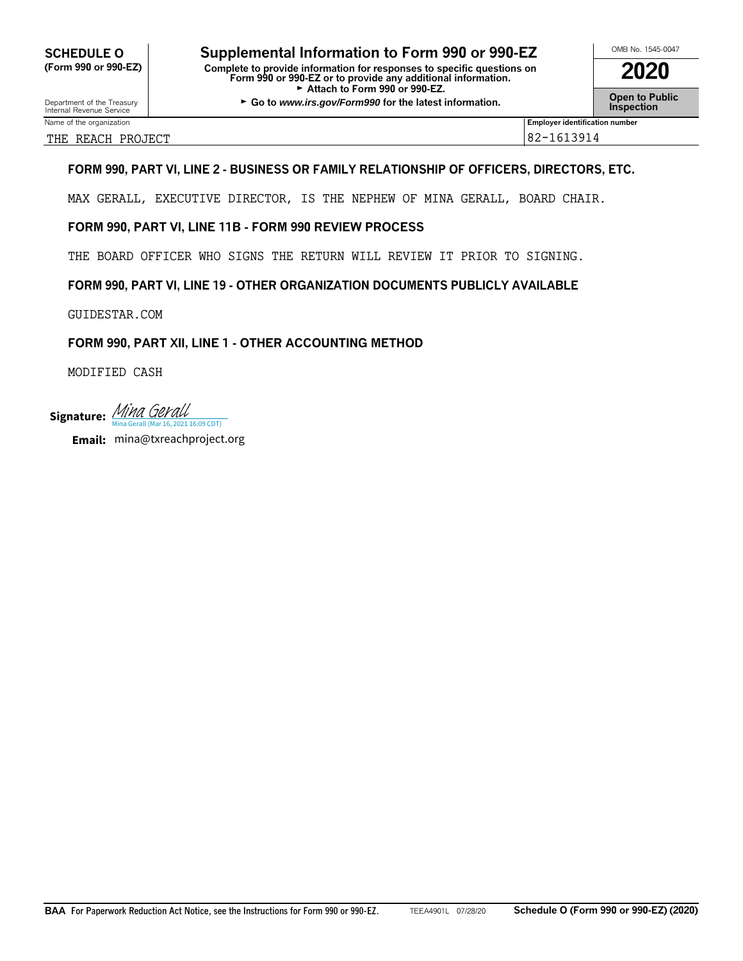### **CHEDULE O** Supplemental Information to Form 990 or 990-EZ<br>
Form 990 or 990-EZ) Complete to provide information for responses to specific questions on **(Form 990 or 990-EZ) Complete to provide information for responses to specific questions on Form 990 or 990-EZ or to provide any additional information. 2020**

Attach to Form 990 or 990-EZ. Department of the Treasury **Connect Connect Connect Connect Connect Connect Connect Connect Connect Connect Conne<br>Internal Revenue Service <b>Inspection** 

THE REACH PROJECT 82-1613914

#### **FORM 990, PART VI, LINE 2 - BUSINESS OR FAMILY RELATIONSHIP OF OFFICERS, DIRECTORS, ETC.**

MAX GERALL, EXECUTIVE DIRECTOR, IS THE NEPHEW OF MINA GERALL, BOARD CHAIR.

#### **FORM 990, PART VI, LINE 11B - FORM 990 REVIEW PROCESS**

THE BOARD OFFICER WHO SIGNS THE RETURN WILL REVIEW IT PRIOR TO SIGNING.

#### **FORM 990, PART VI, LINE 19 - OTHER ORGANIZATION DOCUMENTS PUBLICLY AVAILABLE**

GUIDESTAR.COM

#### **FORM 990, PART XII, LINE 1 - OTHER ACCOUNTING METHOD**

MODIFIED CASH

Signature: *[Mina Gerall](https://secure.na2.adobesign.com/verifier?tx=CBJCHBCAABAAht_DsxYi5rBwZTFRkVW0ibymxiRAAZ9H)* **Gerall (Mar 16, 2021 16:09 CDT)** 

**Email:** mina@txreachproject.org